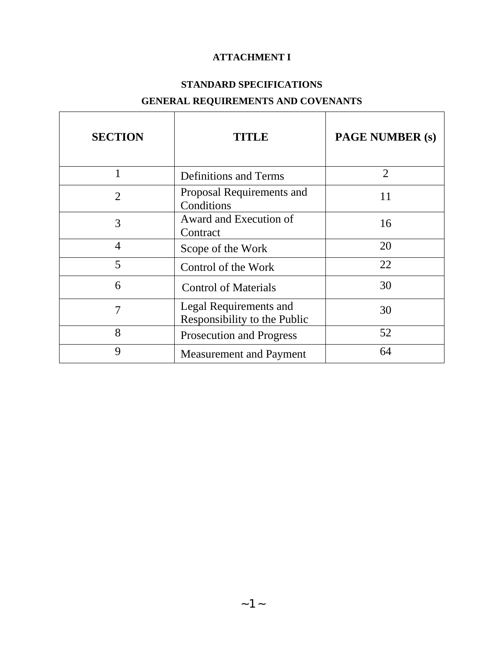# **ATTACHMENT I**

# **STANDARD SPECIFICATIONS**

# **GENERAL REQUIREMENTS AND COVENANTS**

| <b>SECTION</b>              | <b>TITLE</b>                                           | <b>PAGE NUMBER (s)</b> |
|-----------------------------|--------------------------------------------------------|------------------------|
|                             | <b>Definitions and Terms</b>                           | $\overline{2}$         |
| $\mathcal{D}_{\mathcal{L}}$ | Proposal Requirements and<br>Conditions                | 11                     |
| 3                           | Award and Execution of<br>Contract                     | 16                     |
| $\overline{4}$              | Scope of the Work                                      | 20                     |
| 5                           | Control of the Work                                    | 22                     |
| 6                           | <b>Control of Materials</b>                            | 30                     |
| 7                           | Legal Requirements and<br>Responsibility to the Public | 30                     |
| 8                           | <b>Prosecution and Progress</b>                        | 52                     |
| 9                           | <b>Measurement and Payment</b>                         | 64                     |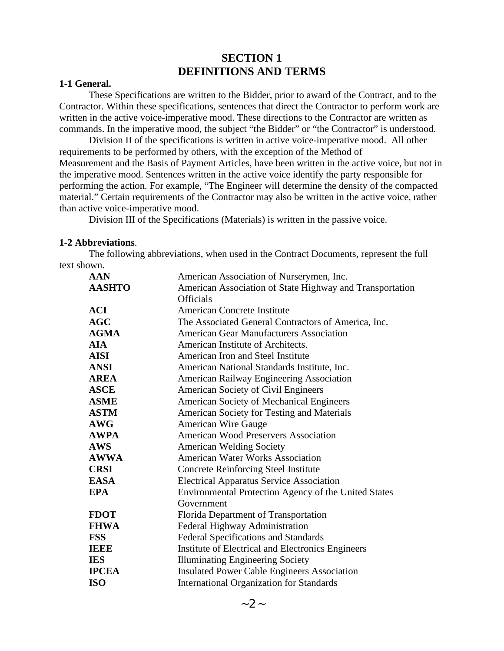# **SECTION 1 DEFINITIONS AND TERMS**

#### **1-1 General.**

These Specifications are written to the Bidder, prior to award of the Contract, and to the Contractor. Within these specifications, sentences that direct the Contractor to perform work are written in the active voice-imperative mood. These directions to the Contractor are written as commands. In the imperative mood, the subject "the Bidder" or "the Contractor" is understood.

Division II of the specifications is written in active voice-imperative mood. All other requirements to be performed by others, with the exception of the Method of Measurement and the Basis of Payment Articles, have been written in the active voice, but not in the imperative mood. Sentences written in the active voice identify the party responsible for performing the action. For example, "The Engineer will determine the density of the compacted material." Certain requirements of the Contractor may also be written in the active voice, rather than active voice-imperative mood.

Division III of the Specifications (Materials) is written in the passive voice.

### **1-2 Abbreviations**.

The following abbreviations, when used in the Contract Documents, represent the full text shown.

| <b>AAN</b>    | American Association of Nurserymen, Inc.                    |  |
|---------------|-------------------------------------------------------------|--|
| <b>AASHTO</b> | American Association of State Highway and Transportation    |  |
|               | <b>Officials</b>                                            |  |
| <b>ACI</b>    | <b>American Concrete Institute</b>                          |  |
| <b>AGC</b>    | The Associated General Contractors of America, Inc.         |  |
| <b>AGMA</b>   | <b>American Gear Manufacturers Association</b>              |  |
| <b>AIA</b>    | American Institute of Architects.                           |  |
| <b>AISI</b>   | American Iron and Steel Institute                           |  |
| <b>ANSI</b>   | American National Standards Institute, Inc.                 |  |
| <b>AREA</b>   | American Railway Engineering Association                    |  |
| <b>ASCE</b>   | American Society of Civil Engineers                         |  |
| <b>ASME</b>   | American Society of Mechanical Engineers                    |  |
| <b>ASTM</b>   | American Society for Testing and Materials                  |  |
| <b>AWG</b>    | <b>American Wire Gauge</b>                                  |  |
| <b>AWPA</b>   | <b>American Wood Preservers Association</b>                 |  |
| <b>AWS</b>    | <b>American Welding Society</b>                             |  |
| <b>AWWA</b>   | <b>American Water Works Association</b>                     |  |
| <b>CRSI</b>   | <b>Concrete Reinforcing Steel Institute</b>                 |  |
| <b>EASA</b>   | <b>Electrical Apparatus Service Association</b>             |  |
| <b>EPA</b>    | <b>Environmental Protection Agency of the United States</b> |  |
|               | Government                                                  |  |
| <b>FDOT</b>   | Florida Department of Transportation                        |  |
| <b>FHWA</b>   | Federal Highway Administration                              |  |
| <b>FSS</b>    | <b>Federal Specifications and Standards</b>                 |  |
| <b>IEEE</b>   | Institute of Electrical and Electronics Engineers           |  |
| <b>IES</b>    | <b>Illuminating Engineering Society</b>                     |  |
| <b>IPCEA</b>  | <b>Insulated Power Cable Engineers Association</b>          |  |
| <b>ISO</b>    | <b>International Organization for Standards</b>             |  |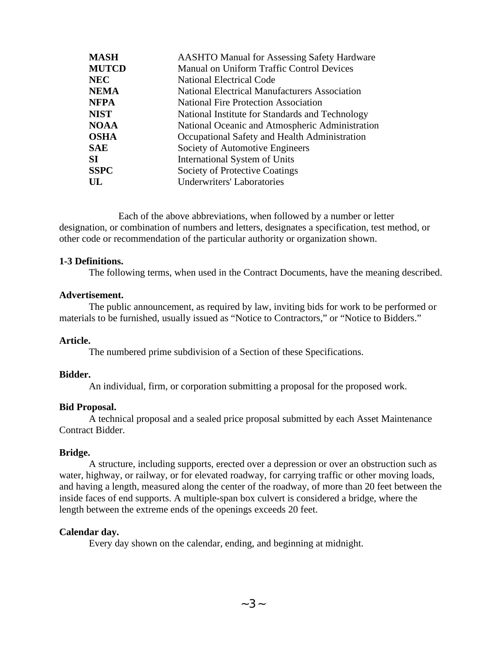| <b>MASH</b>  | <b>AASHTO Manual for Assessing Safety Hardware</b>   |
|--------------|------------------------------------------------------|
| <b>MUTCD</b> | <b>Manual on Uniform Traffic Control Devices</b>     |
| <b>NEC</b>   | <b>National Electrical Code</b>                      |
| <b>NEMA</b>  | <b>National Electrical Manufacturers Association</b> |
| <b>NFPA</b>  | <b>National Fire Protection Association</b>          |
| <b>NIST</b>  | National Institute for Standards and Technology      |
| <b>NOAA</b>  | National Oceanic and Atmospheric Administration      |
| <b>OSHA</b>  | Occupational Safety and Health Administration        |
| <b>SAE</b>   | Society of Automotive Engineers                      |
| SI.          | International System of Units                        |
| <b>SSPC</b>  | Society of Protective Coatings                       |
| UL           | <b>Underwriters' Laboratories</b>                    |

Each of the above abbreviations, when followed by a number or letter designation, or combination of numbers and letters, designates a specification, test method, or other code or recommendation of the particular authority or organization shown.

#### **1-3 Definitions.**

The following terms, when used in the Contract Documents, have the meaning described.

#### **Advertisement.**

The public announcement, as required by law, inviting bids for work to be performed or materials to be furnished, usually issued as "Notice to Contractors," or "Notice to Bidders."

#### **Article.**

The numbered prime subdivision of a Section of these Specifications.

#### **Bidder.**

An individual, firm, or corporation submitting a proposal for the proposed work.

#### **Bid Proposal.**

A technical proposal and a sealed price proposal submitted by each Asset Maintenance Contract Bidder.

#### **Bridge.**

A structure, including supports, erected over a depression or over an obstruction such as water, highway, or railway, or for elevated roadway, for carrying traffic or other moving loads, and having a length, measured along the center of the roadway, of more than 20 feet between the inside faces of end supports. A multiple-span box culvert is considered a bridge, where the length between the extreme ends of the openings exceeds 20 feet.

#### **Calendar day.**

Every day shown on the calendar, ending, and beginning at midnight.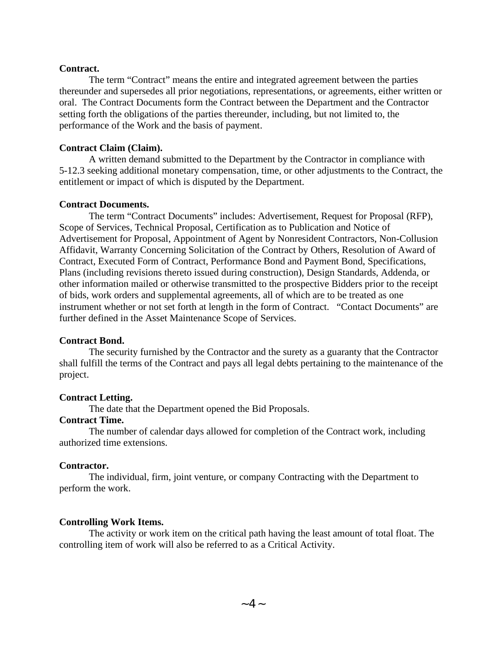#### **Contract.**

The term "Contract" means the entire and integrated agreement between the parties thereunder and supersedes all prior negotiations, representations, or agreements, either written or oral. The Contract Documents form the Contract between the Department and the Contractor setting forth the obligations of the parties thereunder, including, but not limited to, the performance of the Work and the basis of payment.

#### **Contract Claim (Claim).**

A written demand submitted to the Department by the Contractor in compliance with 5-12.3 seeking additional monetary compensation, time, or other adjustments to the Contract, the entitlement or impact of which is disputed by the Department.

#### **Contract Documents.**

The term "Contract Documents" includes: Advertisement, Request for Proposal (RFP), Scope of Services, Technical Proposal, Certification as to Publication and Notice of Advertisement for Proposal, Appointment of Agent by Nonresident Contractors, Non-Collusion Affidavit, Warranty Concerning Solicitation of the Contract by Others, Resolution of Award of Contract, Executed Form of Contract, Performance Bond and Payment Bond, Specifications, Plans (including revisions thereto issued during construction), Design Standards, Addenda, or other information mailed or otherwise transmitted to the prospective Bidders prior to the receipt of bids, work orders and supplemental agreements, all of which are to be treated as one instrument whether or not set forth at length in the form of Contract. "Contact Documents" are further defined in the Asset Maintenance Scope of Services.

#### **Contract Bond.**

The security furnished by the Contractor and the surety as a guaranty that the Contractor shall fulfill the terms of the Contract and pays all legal debts pertaining to the maintenance of the project.

#### **Contract Letting.**

The date that the Department opened the Bid Proposals.

### **Contract Time.**

The number of calendar days allowed for completion of the Contract work, including authorized time extensions.

#### **Contractor.**

The individual, firm, joint venture, or company Contracting with the Department to perform the work.

### **Controlling Work Items.**

The activity or work item on the critical path having the least amount of total float. The controlling item of work will also be referred to as a Critical Activity.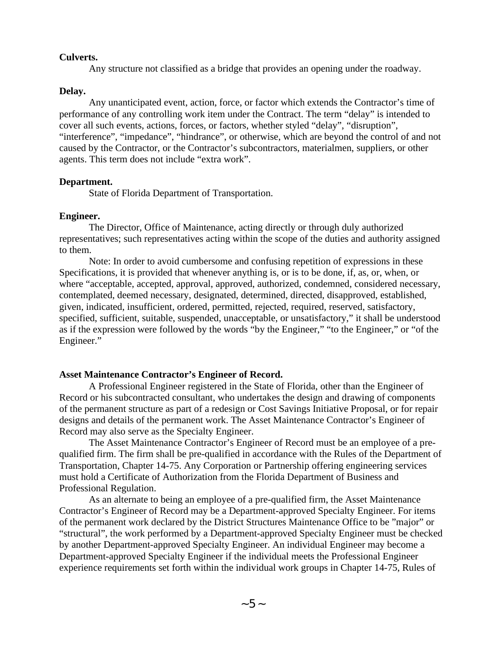#### **Culverts.**

Any structure not classified as a bridge that provides an opening under the roadway.

#### **Delay.**

Any unanticipated event, action, force, or factor which extends the Contractor's time of performance of any controlling work item under the Contract. The term "delay" is intended to cover all such events, actions, forces, or factors, whether styled "delay", "disruption", "interference", "impedance", "hindrance", or otherwise, which are beyond the control of and not caused by the Contractor, or the Contractor's subcontractors, materialmen, suppliers, or other agents. This term does not include "extra work".

#### **Department.**

State of Florida Department of Transportation.

#### **Engineer.**

The Director, Office of Maintenance, acting directly or through duly authorized representatives; such representatives acting within the scope of the duties and authority assigned to them.

Note: In order to avoid cumbersome and confusing repetition of expressions in these Specifications, it is provided that whenever anything is, or is to be done, if, as, or, when, or where "acceptable, accepted, approval, approved, authorized, condemned, considered necessary, contemplated, deemed necessary, designated, determined, directed, disapproved, established, given, indicated, insufficient, ordered, permitted, rejected, required, reserved, satisfactory, specified, sufficient, suitable, suspended, unacceptable, or unsatisfactory," it shall be understood as if the expression were followed by the words "by the Engineer," "to the Engineer," or "of the Engineer."

#### **Asset Maintenance Contractor's Engineer of Record.**

A Professional Engineer registered in the State of Florida, other than the Engineer of Record or his subcontracted consultant, who undertakes the design and drawing of components of the permanent structure as part of a redesign or Cost Savings Initiative Proposal, or for repair designs and details of the permanent work. The Asset Maintenance Contractor's Engineer of Record may also serve as the Specialty Engineer.

The Asset Maintenance Contractor's Engineer of Record must be an employee of a prequalified firm. The firm shall be pre-qualified in accordance with the Rules of the Department of Transportation, Chapter 14-75. Any Corporation or Partnership offering engineering services must hold a Certificate of Authorization from the Florida Department of Business and Professional Regulation.

As an alternate to being an employee of a pre-qualified firm, the Asset Maintenance Contractor's Engineer of Record may be a Department-approved Specialty Engineer. For items of the permanent work declared by the District Structures Maintenance Office to be "major" or "structural", the work performed by a Department-approved Specialty Engineer must be checked by another Department-approved Specialty Engineer. An individual Engineer may become a Department-approved Specialty Engineer if the individual meets the Professional Engineer experience requirements set forth within the individual work groups in Chapter 14-75, Rules of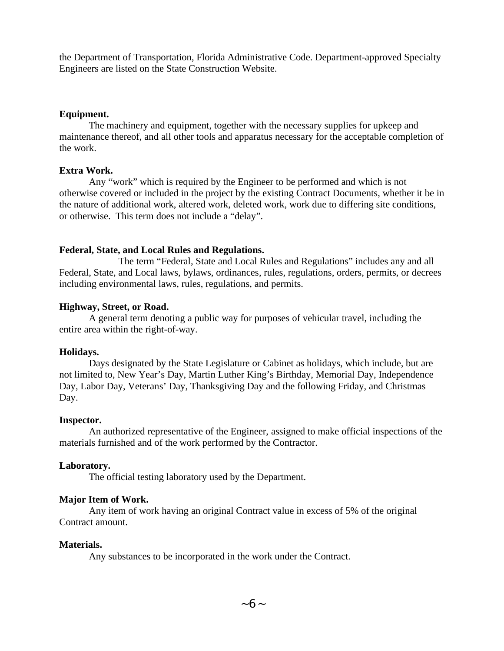the Department of Transportation, Florida Administrative Code. Department-approved Specialty Engineers are listed on the State Construction Website.

### **Equipment.**

The machinery and equipment, together with the necessary supplies for upkeep and maintenance thereof, and all other tools and apparatus necessary for the acceptable completion of the work.

## **Extra Work.**

Any "work" which is required by the Engineer to be performed and which is not otherwise covered or included in the project by the existing Contract Documents, whether it be in the nature of additional work, altered work, deleted work, work due to differing site conditions, or otherwise. This term does not include a "delay".

### **Federal, State, and Local Rules and Regulations.**

The term "Federal, State and Local Rules and Regulations" includes any and all Federal, State, and Local laws, bylaws, ordinances, rules, regulations, orders, permits, or decrees including environmental laws, rules, regulations, and permits.

### **Highway, Street, or Road.**

A general term denoting a public way for purposes of vehicular travel, including the entire area within the right-of-way.

#### **Holidays.**

Days designated by the State Legislature or Cabinet as holidays, which include, but are not limited to, New Year's Day, Martin Luther King's Birthday, Memorial Day, Independence Day, Labor Day, Veterans' Day, Thanksgiving Day and the following Friday, and Christmas Day.

#### **Inspector.**

An authorized representative of the Engineer, assigned to make official inspections of the materials furnished and of the work performed by the Contractor.

## **Laboratory.**

The official testing laboratory used by the Department.

## **Major Item of Work.**

Any item of work having an original Contract value in excess of 5% of the original Contract amount.

#### **Materials.**

Any substances to be incorporated in the work under the Contract.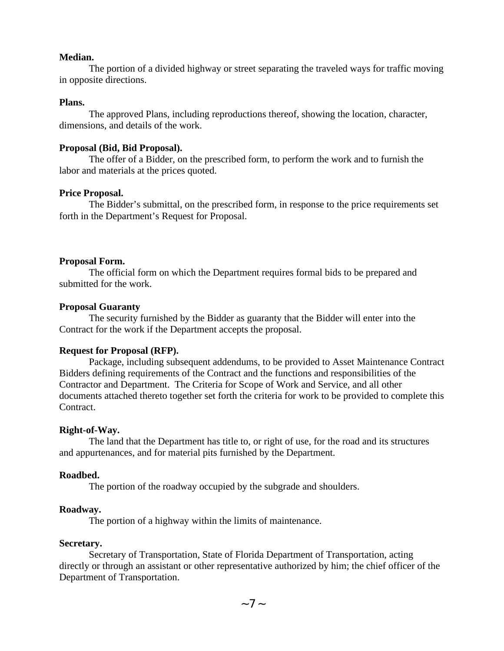#### **Median.**

The portion of a divided highway or street separating the traveled ways for traffic moving in opposite directions.

#### **Plans.**

The approved Plans, including reproductions thereof, showing the location, character, dimensions, and details of the work.

#### **Proposal (Bid, Bid Proposal).**

The offer of a Bidder, on the prescribed form, to perform the work and to furnish the labor and materials at the prices quoted.

#### **Price Proposal.**

The Bidder's submittal, on the prescribed form, in response to the price requirements set forth in the Department's Request for Proposal.

### **Proposal Form.**

The official form on which the Department requires formal bids to be prepared and submitted for the work.

### **Proposal Guaranty**

The security furnished by the Bidder as guaranty that the Bidder will enter into the Contract for the work if the Department accepts the proposal.

## **Request for Proposal (RFP).**

Package, including subsequent addendums, to be provided to Asset Maintenance Contract Bidders defining requirements of the Contract and the functions and responsibilities of the Contractor and Department. The Criteria for Scope of Work and Service, and all other documents attached thereto together set forth the criteria for work to be provided to complete this Contract.

#### **Right-of-Way.**

The land that the Department has title to, or right of use, for the road and its structures and appurtenances, and for material pits furnished by the Department.

#### **Roadbed.**

The portion of the roadway occupied by the subgrade and shoulders.

## **Roadway.**

The portion of a highway within the limits of maintenance.

#### **Secretary.**

Secretary of Transportation, State of Florida Department of Transportation, acting directly or through an assistant or other representative authorized by him; the chief officer of the Department of Transportation.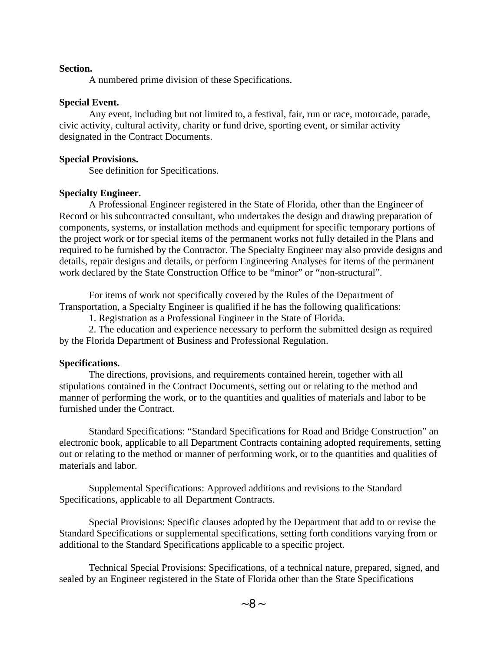#### **Section.**

A numbered prime division of these Specifications.

#### **Special Event.**

Any event, including but not limited to, a festival, fair, run or race, motorcade, parade, civic activity, cultural activity, charity or fund drive, sporting event, or similar activity designated in the Contract Documents.

#### **Special Provisions.**

See definition for Specifications.

#### **Specialty Engineer.**

A Professional Engineer registered in the State of Florida, other than the Engineer of Record or his subcontracted consultant, who undertakes the design and drawing preparation of components, systems, or installation methods and equipment for specific temporary portions of the project work or for special items of the permanent works not fully detailed in the Plans and required to be furnished by the Contractor. The Specialty Engineer may also provide designs and details, repair designs and details, or perform Engineering Analyses for items of the permanent work declared by the State Construction Office to be "minor" or "non-structural".

For items of work not specifically covered by the Rules of the Department of Transportation, a Specialty Engineer is qualified if he has the following qualifications:

1. Registration as a Professional Engineer in the State of Florida.

2. The education and experience necessary to perform the submitted design as required by the Florida Department of Business and Professional Regulation.

#### **Specifications.**

The directions, provisions, and requirements contained herein, together with all stipulations contained in the Contract Documents, setting out or relating to the method and manner of performing the work, or to the quantities and qualities of materials and labor to be furnished under the Contract.

Standard Specifications: "Standard Specifications for Road and Bridge Construction" an electronic book, applicable to all Department Contracts containing adopted requirements, setting out or relating to the method or manner of performing work, or to the quantities and qualities of materials and labor.

Supplemental Specifications: Approved additions and revisions to the Standard Specifications, applicable to all Department Contracts.

Special Provisions: Specific clauses adopted by the Department that add to or revise the Standard Specifications or supplemental specifications, setting forth conditions varying from or additional to the Standard Specifications applicable to a specific project.

Technical Special Provisions: Specifications, of a technical nature, prepared, signed, and sealed by an Engineer registered in the State of Florida other than the State Specifications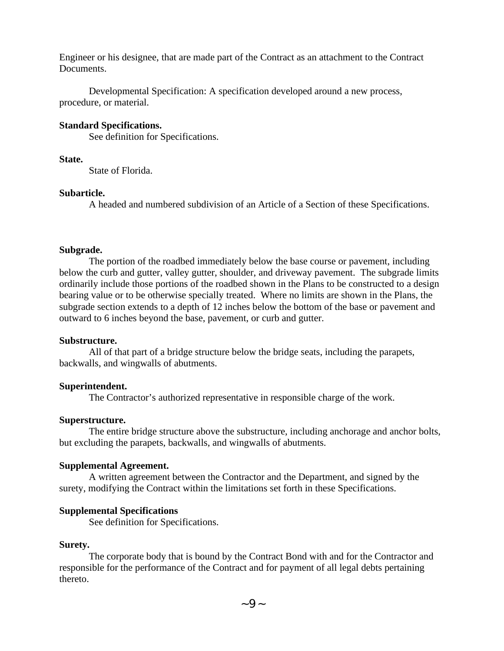Engineer or his designee, that are made part of the Contract as an attachment to the Contract Documents.

Developmental Specification: A specification developed around a new process, procedure, or material.

### **Standard Specifications.**

See definition for Specifications.

#### **State.**

State of Florida.

#### **Subarticle.**

A headed and numbered subdivision of an Article of a Section of these Specifications.

#### **Subgrade.**

The portion of the roadbed immediately below the base course or pavement, including below the curb and gutter, valley gutter, shoulder, and driveway pavement. The subgrade limits ordinarily include those portions of the roadbed shown in the Plans to be constructed to a design bearing value or to be otherwise specially treated. Where no limits are shown in the Plans, the subgrade section extends to a depth of 12 inches below the bottom of the base or pavement and outward to 6 inches beyond the base, pavement, or curb and gutter.

#### **Substructure.**

All of that part of a bridge structure below the bridge seats, including the parapets, backwalls, and wingwalls of abutments.

#### **Superintendent.**

The Contractor's authorized representative in responsible charge of the work.

#### **Superstructure.**

The entire bridge structure above the substructure, including anchorage and anchor bolts, but excluding the parapets, backwalls, and wingwalls of abutments.

#### **Supplemental Agreement.**

A written agreement between the Contractor and the Department, and signed by the surety, modifying the Contract within the limitations set forth in these Specifications.

#### **Supplemental Specifications**

See definition for Specifications.

#### **Surety.**

The corporate body that is bound by the Contract Bond with and for the Contractor and responsible for the performance of the Contract and for payment of all legal debts pertaining thereto.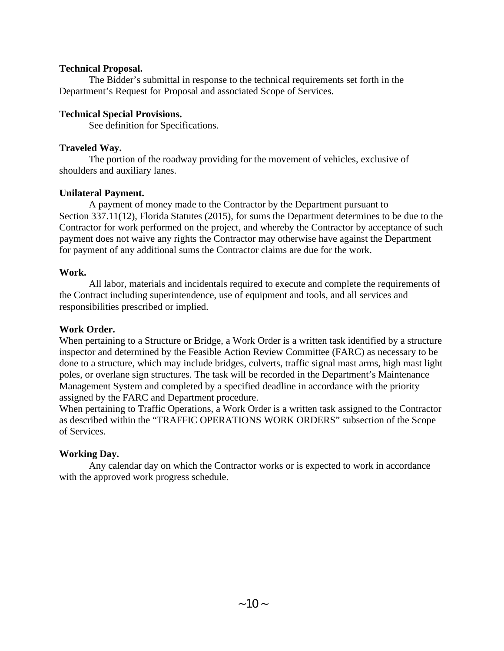### **Technical Proposal.**

The Bidder's submittal in response to the technical requirements set forth in the Department's Request for Proposal and associated Scope of Services.

### **Technical Special Provisions.**

See definition for Specifications.

### **Traveled Way.**

The portion of the roadway providing for the movement of vehicles, exclusive of shoulders and auxiliary lanes.

### **Unilateral Payment.**

A payment of money made to the Contractor by the Department pursuant to Section 337.11(12), Florida Statutes (2015), for sums the Department determines to be due to the Contractor for work performed on the project, and whereby the Contractor by acceptance of such payment does not waive any rights the Contractor may otherwise have against the Department for payment of any additional sums the Contractor claims are due for the work.

### **Work.**

All labor, materials and incidentals required to execute and complete the requirements of the Contract including superintendence, use of equipment and tools, and all services and responsibilities prescribed or implied.

## **Work Order.**

When pertaining to a Structure or Bridge, a Work Order is a written task identified by a structure inspector and determined by the Feasible Action Review Committee (FARC) as necessary to be done to a structure, which may include bridges, culverts, traffic signal mast arms, high mast light poles, or overlane sign structures. The task will be recorded in the Department's Maintenance Management System and completed by a specified deadline in accordance with the priority assigned by the FARC and Department procedure.

When pertaining to Traffic Operations, a Work Order is a written task assigned to the Contractor as described within the "TRAFFIC OPERATIONS WORK ORDERS" subsection of the Scope of Services.

## **Working Day.**

Any calendar day on which the Contractor works or is expected to work in accordance with the approved work progress schedule.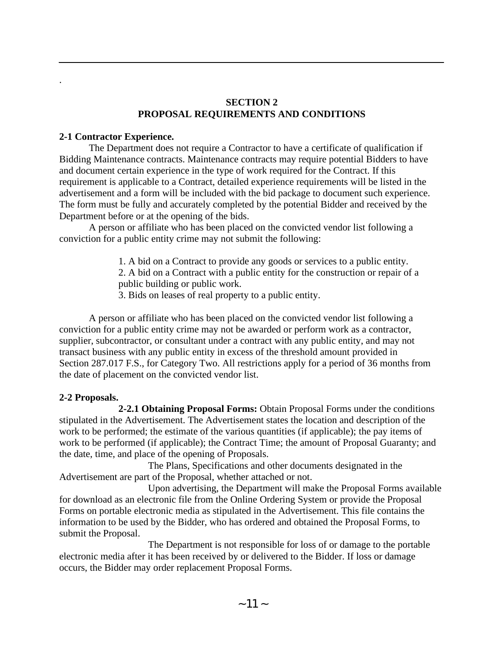## **SECTION 2 PROPOSAL REQUIREMENTS AND CONDITIONS**

## **2-1 Contractor Experience.**

.

The Department does not require a Contractor to have a certificate of qualification if Bidding Maintenance contracts. Maintenance contracts may require potential Bidders to have and document certain experience in the type of work required for the Contract. If this requirement is applicable to a Contract, detailed experience requirements will be listed in the advertisement and a form will be included with the bid package to document such experience. The form must be fully and accurately completed by the potential Bidder and received by the Department before or at the opening of the bids.

A person or affiliate who has been placed on the convicted vendor list following a conviction for a public entity crime may not submit the following:

> 1. A bid on a Contract to provide any goods or services to a public entity. 2. A bid on a Contract with a public entity for the construction or repair of a

public building or public work.

3. Bids on leases of real property to a public entity.

A person or affiliate who has been placed on the convicted vendor list following a conviction for a public entity crime may not be awarded or perform work as a contractor, supplier, subcontractor, or consultant under a contract with any public entity, and may not transact business with any public entity in excess of the threshold amount provided in Section 287.017 F.S., for Category Two. All restrictions apply for a period of 36 months from the date of placement on the convicted vendor list.

## **2-2 Proposals.**

**2-2.1 Obtaining Proposal Forms:** Obtain Proposal Forms under the conditions stipulated in the Advertisement. The Advertisement states the location and description of the work to be performed; the estimate of the various quantities (if applicable); the pay items of work to be performed (if applicable); the Contract Time; the amount of Proposal Guaranty; and the date, time, and place of the opening of Proposals.

The Plans, Specifications and other documents designated in the Advertisement are part of the Proposal, whether attached or not.

Upon advertising, the Department will make the Proposal Forms available for download as an electronic file from the Online Ordering System or provide the Proposal Forms on portable electronic media as stipulated in the Advertisement. This file contains the information to be used by the Bidder, who has ordered and obtained the Proposal Forms, to submit the Proposal.

The Department is not responsible for loss of or damage to the portable electronic media after it has been received by or delivered to the Bidder. If loss or damage occurs, the Bidder may order replacement Proposal Forms.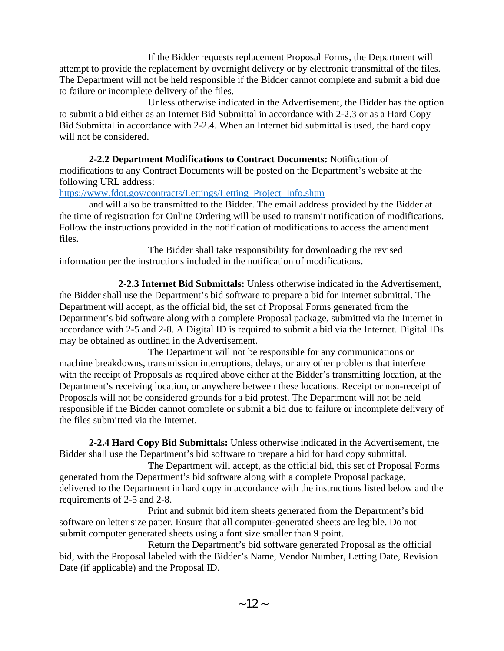If the Bidder requests replacement Proposal Forms, the Department will attempt to provide the replacement by overnight delivery or by electronic transmittal of the files. The Department will not be held responsible if the Bidder cannot complete and submit a bid due to failure or incomplete delivery of the files.

Unless otherwise indicated in the Advertisement, the Bidder has the option to submit a bid either as an Internet Bid Submittal in accordance with 2-2.3 or as a Hard Copy Bid Submittal in accordance with 2-2.4. When an Internet bid submittal is used, the hard copy will not be considered.

**2-2.2 Department Modifications to Contract Documents:** Notification of modifications to any Contract Documents will be posted on the Department's website at the following URL address:

[https://www.fdot.gov/contracts/Lettings/Letting\\_Project\\_Info.shtm](https://www.fdot.gov/contracts/Lettings/Letting_Project_Info.shtm)

and will also be transmitted to the Bidder. The email address provided by the Bidder at the time of registration for Online Ordering will be used to transmit notification of modifications. Follow the instructions provided in the notification of modifications to access the amendment files.

The Bidder shall take responsibility for downloading the revised information per the instructions included in the notification of modifications.

**2-2.3 Internet Bid Submittals:** Unless otherwise indicated in the Advertisement, the Bidder shall use the Department's bid software to prepare a bid for Internet submittal. The Department will accept, as the official bid, the set of Proposal Forms generated from the Department's bid software along with a complete Proposal package, submitted via the Internet in accordance with 2-5 and 2-8. A Digital ID is required to submit a bid via the Internet. Digital IDs may be obtained as outlined in the Advertisement.

The Department will not be responsible for any communications or machine breakdowns, transmission interruptions, delays, or any other problems that interfere with the receipt of Proposals as required above either at the Bidder's transmitting location, at the Department's receiving location, or anywhere between these locations. Receipt or non-receipt of Proposals will not be considered grounds for a bid protest. The Department will not be held responsible if the Bidder cannot complete or submit a bid due to failure or incomplete delivery of the files submitted via the Internet.

**2-2.4 Hard Copy Bid Submittals:** Unless otherwise indicated in the Advertisement, the Bidder shall use the Department's bid software to prepare a bid for hard copy submittal.

The Department will accept, as the official bid, this set of Proposal Forms generated from the Department's bid software along with a complete Proposal package, delivered to the Department in hard copy in accordance with the instructions listed below and the requirements of 2-5 and 2-8.

Print and submit bid item sheets generated from the Department's bid software on letter size paper. Ensure that all computer-generated sheets are legible. Do not submit computer generated sheets using a font size smaller than 9 point.

Return the Department's bid software generated Proposal as the official bid, with the Proposal labeled with the Bidder's Name, Vendor Number, Letting Date, Revision Date (if applicable) and the Proposal ID.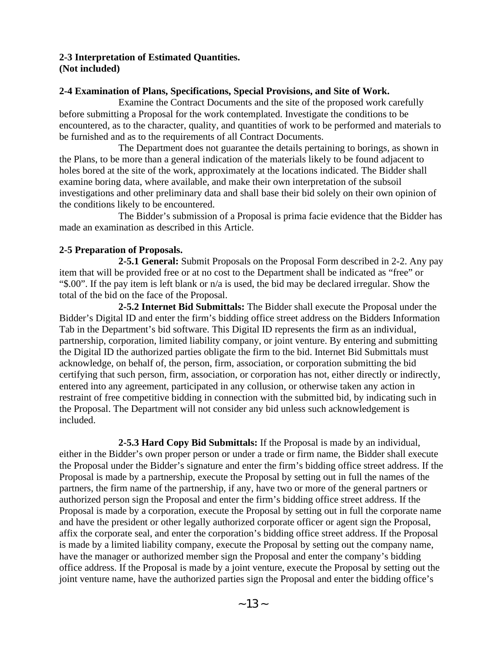### **2-3 Interpretation of Estimated Quantities. (Not included)**

### **2-4 Examination of Plans, Specifications, Special Provisions, and Site of Work.**

Examine the Contract Documents and the site of the proposed work carefully before submitting a Proposal for the work contemplated. Investigate the conditions to be encountered, as to the character, quality, and quantities of work to be performed and materials to be furnished and as to the requirements of all Contract Documents.

The Department does not guarantee the details pertaining to borings, as shown in the Plans, to be more than a general indication of the materials likely to be found adjacent to holes bored at the site of the work, approximately at the locations indicated. The Bidder shall examine boring data, where available, and make their own interpretation of the subsoil investigations and other preliminary data and shall base their bid solely on their own opinion of the conditions likely to be encountered.

The Bidder's submission of a Proposal is prima facie evidence that the Bidder has made an examination as described in this Article.

## **2-5 Preparation of Proposals.**

**2-5.1 General:** Submit Proposals on the Proposal Form described in 2-2. Any pay item that will be provided free or at no cost to the Department shall be indicated as "free" or "\$.00". If the pay item is left blank or n/a is used, the bid may be declared irregular. Show the total of the bid on the face of the Proposal.

**2-5.2 Internet Bid Submittals:** The Bidder shall execute the Proposal under the Bidder's Digital ID and enter the firm's bidding office street address on the Bidders Information Tab in the Department's bid software. This Digital ID represents the firm as an individual, partnership, corporation, limited liability company, or joint venture. By entering and submitting the Digital ID the authorized parties obligate the firm to the bid. Internet Bid Submittals must acknowledge, on behalf of, the person, firm, association, or corporation submitting the bid certifying that such person, firm, association, or corporation has not, either directly or indirectly, entered into any agreement, participated in any collusion, or otherwise taken any action in restraint of free competitive bidding in connection with the submitted bid, by indicating such in the Proposal. The Department will not consider any bid unless such acknowledgement is included.

**2-5.3 Hard Copy Bid Submittals:** If the Proposal is made by an individual, either in the Bidder's own proper person or under a trade or firm name, the Bidder shall execute the Proposal under the Bidder's signature and enter the firm's bidding office street address. If the Proposal is made by a partnership, execute the Proposal by setting out in full the names of the partners, the firm name of the partnership, if any, have two or more of the general partners or authorized person sign the Proposal and enter the firm's bidding office street address. If the Proposal is made by a corporation, execute the Proposal by setting out in full the corporate name and have the president or other legally authorized corporate officer or agent sign the Proposal, affix the corporate seal, and enter the corporation's bidding office street address. If the Proposal is made by a limited liability company, execute the Proposal by setting out the company name, have the manager or authorized member sign the Proposal and enter the company's bidding office address. If the Proposal is made by a joint venture, execute the Proposal by setting out the joint venture name, have the authorized parties sign the Proposal and enter the bidding office's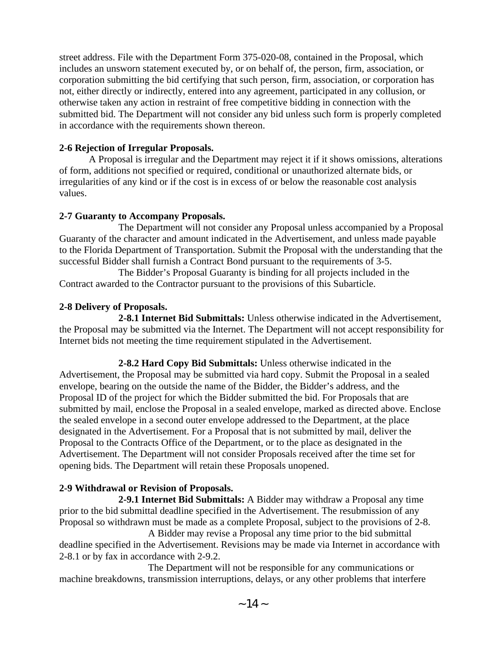street address. File with the Department Form 375-020-08, contained in the Proposal, which includes an unsworn statement executed by, or on behalf of, the person, firm, association, or corporation submitting the bid certifying that such person, firm, association, or corporation has not, either directly or indirectly, entered into any agreement, participated in any collusion, or otherwise taken any action in restraint of free competitive bidding in connection with the submitted bid. The Department will not consider any bid unless such form is properly completed in accordance with the requirements shown thereon.

## **2-6 Rejection of Irregular Proposals.**

A Proposal is irregular and the Department may reject it if it shows omissions, alterations of form, additions not specified or required, conditional or unauthorized alternate bids, or irregularities of any kind or if the cost is in excess of or below the reasonable cost analysis values.

## **2-7 Guaranty to Accompany Proposals.**

The Department will not consider any Proposal unless accompanied by a Proposal Guaranty of the character and amount indicated in the Advertisement, and unless made payable to the Florida Department of Transportation. Submit the Proposal with the understanding that the successful Bidder shall furnish a Contract Bond pursuant to the requirements of 3-5.

The Bidder's Proposal Guaranty is binding for all projects included in the Contract awarded to the Contractor pursuant to the provisions of this Subarticle.

## **2-8 Delivery of Proposals.**

**2-8.1 Internet Bid Submittals:** Unless otherwise indicated in the Advertisement, the Proposal may be submitted via the Internet. The Department will not accept responsibility for Internet bids not meeting the time requirement stipulated in the Advertisement.

**2-8.2 Hard Copy Bid Submittals:** Unless otherwise indicated in the Advertisement, the Proposal may be submitted via hard copy. Submit the Proposal in a sealed envelope, bearing on the outside the name of the Bidder, the Bidder's address, and the Proposal ID of the project for which the Bidder submitted the bid. For Proposals that are submitted by mail, enclose the Proposal in a sealed envelope, marked as directed above. Enclose the sealed envelope in a second outer envelope addressed to the Department, at the place designated in the Advertisement. For a Proposal that is not submitted by mail, deliver the Proposal to the Contracts Office of the Department, or to the place as designated in the Advertisement. The Department will not consider Proposals received after the time set for opening bids. The Department will retain these Proposals unopened.

# **2-9 Withdrawal or Revision of Proposals.**

**2-9.1 Internet Bid Submittals:** A Bidder may withdraw a Proposal any time prior to the bid submittal deadline specified in the Advertisement. The resubmission of any Proposal so withdrawn must be made as a complete Proposal, subject to the provisions of 2-8.

A Bidder may revise a Proposal any time prior to the bid submittal deadline specified in the Advertisement. Revisions may be made via Internet in accordance with 2-8.1 or by fax in accordance with 2-9.2.

The Department will not be responsible for any communications or machine breakdowns, transmission interruptions, delays, or any other problems that interfere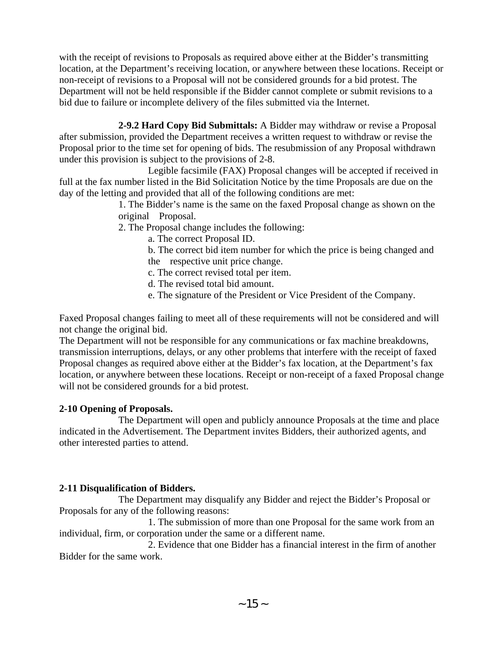with the receipt of revisions to Proposals as required above either at the Bidder's transmitting location, at the Department's receiving location, or anywhere between these locations. Receipt or non-receipt of revisions to a Proposal will not be considered grounds for a bid protest. The Department will not be held responsible if the Bidder cannot complete or submit revisions to a bid due to failure or incomplete delivery of the files submitted via the Internet.

**2-9.2 Hard Copy Bid Submittals:** A Bidder may withdraw or revise a Proposal after submission, provided the Department receives a written request to withdraw or revise the Proposal prior to the time set for opening of bids. The resubmission of any Proposal withdrawn under this provision is subject to the provisions of 2-8.

Legible facsimile (FAX) Proposal changes will be accepted if received in full at the fax number listed in the Bid Solicitation Notice by the time Proposals are due on the day of the letting and provided that all of the following conditions are met:

> 1. The Bidder's name is the same on the faxed Proposal change as shown on the original Proposal.

2. The Proposal change includes the following:

a. The correct Proposal ID.

b. The correct bid item number for which the price is being changed and the respective unit price change.

c. The correct revised total per item.

d. The revised total bid amount.

e. The signature of the President or Vice President of the Company.

Faxed Proposal changes failing to meet all of these requirements will not be considered and will not change the original bid.

The Department will not be responsible for any communications or fax machine breakdowns, transmission interruptions, delays, or any other problems that interfere with the receipt of faxed Proposal changes as required above either at the Bidder's fax location, at the Department's fax location, or anywhere between these locations. Receipt or non-receipt of a faxed Proposal change will not be considered grounds for a bid protest.

# **2-10 Opening of Proposals.**

The Department will open and publicly announce Proposals at the time and place indicated in the Advertisement. The Department invites Bidders, their authorized agents, and other interested parties to attend.

# **2-11 Disqualification of Bidders.**

The Department may disqualify any Bidder and reject the Bidder's Proposal or Proposals for any of the following reasons:

1. The submission of more than one Proposal for the same work from an individual, firm, or corporation under the same or a different name.

2. Evidence that one Bidder has a financial interest in the firm of another Bidder for the same work.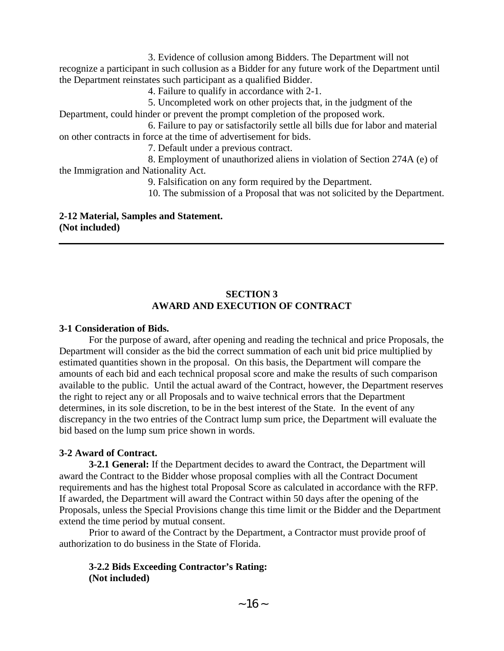3. Evidence of collusion among Bidders. The Department will not recognize a participant in such collusion as a Bidder for any future work of the Department until the Department reinstates such participant as a qualified Bidder.

4. Failure to qualify in accordance with 2-1.

5. Uncompleted work on other projects that, in the judgment of the Department, could hinder or prevent the prompt completion of the proposed work.

6. Failure to pay or satisfactorily settle all bills due for labor and material on other contracts in force at the time of advertisement for bids.

7. Default under a previous contract.

8. Employment of unauthorized aliens in violation of Section 274A (e) of the Immigration and Nationality Act.

9. Falsification on any form required by the Department.

10. The submission of a Proposal that was not solicited by the Department.

**2-12 Material, Samples and Statement. (Not included)** 

## **SECTION 3 AWARD AND EXECUTION OF CONTRACT**

## **3-1 Consideration of Bids.**

For the purpose of award, after opening and reading the technical and price Proposals, the Department will consider as the bid the correct summation of each unit bid price multiplied by estimated quantities shown in the proposal. On this basis, the Department will compare the amounts of each bid and each technical proposal score and make the results of such comparison available to the public. Until the actual award of the Contract, however, the Department reserves the right to reject any or all Proposals and to waive technical errors that the Department determines, in its sole discretion, to be in the best interest of the State. In the event of any discrepancy in the two entries of the Contract lump sum price, the Department will evaluate the bid based on the lump sum price shown in words.

# **3-2 Award of Contract.**

**3-2.1 General:** If the Department decides to award the Contract, the Department will award the Contract to the Bidder whose proposal complies with all the Contract Document requirements and has the highest total Proposal Score as calculated in accordance with the RFP. If awarded, the Department will award the Contract within 50 days after the opening of the Proposals, unless the Special Provisions change this time limit or the Bidder and the Department extend the time period by mutual consent.

Prior to award of the Contract by the Department, a Contractor must provide proof of authorization to do business in the State of Florida.

## **3-2.2 Bids Exceeding Contractor's Rating: (Not included)**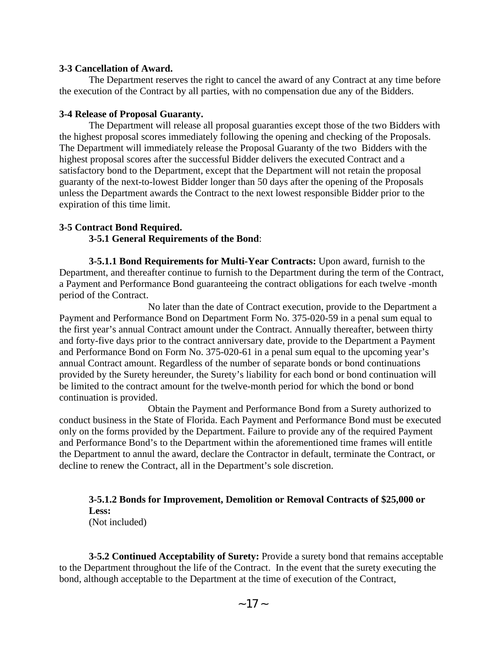#### **3-3 Cancellation of Award.**

The Department reserves the right to cancel the award of any Contract at any time before the execution of the Contract by all parties, with no compensation due any of the Bidders.

#### **3-4 Release of Proposal Guaranty.**

The Department will release all proposal guaranties except those of the two Bidders with the highest proposal scores immediately following the opening and checking of the Proposals. The Department will immediately release the Proposal Guaranty of the two Bidders with the highest proposal scores after the successful Bidder delivers the executed Contract and a satisfactory bond to the Department, except that the Department will not retain the proposal guaranty of the next-to-lowest Bidder longer than 50 days after the opening of the Proposals unless the Department awards the Contract to the next lowest responsible Bidder prior to the expiration of this time limit.

### **3-5 Contract Bond Required.**

#### **3-5.1 General Requirements of the Bond**:

**3-5.1.1 Bond Requirements for Multi-Year Contracts:** Upon award, furnish to the Department, and thereafter continue to furnish to the Department during the term of the Contract, a Payment and Performance Bond guaranteeing the contract obligations for each twelve -month period of the Contract.

No later than the date of Contract execution, provide to the Department a Payment and Performance Bond on Department Form No. 375-020-59 in a penal sum equal to the first year's annual Contract amount under the Contract. Annually thereafter, between thirty and forty-five days prior to the contract anniversary date, provide to the Department a Payment and Performance Bond on Form No. 375-020-61 in a penal sum equal to the upcoming year's annual Contract amount. Regardless of the number of separate bonds or bond continuations provided by the Surety hereunder, the Surety's liability for each bond or bond continuation will be limited to the contract amount for the twelve-month period for which the bond or bond continuation is provided.

Obtain the Payment and Performance Bond from a Surety authorized to conduct business in the State of Florida. Each Payment and Performance Bond must be executed only on the forms provided by the Department. Failure to provide any of the required Payment and Performance Bond's to the Department within the aforementioned time frames will entitle the Department to annul the award, declare the Contractor in default, terminate the Contract, or decline to renew the Contract, all in the Department's sole discretion.

**3-5.1.2 Bonds for Improvement, Demolition or Removal Contracts of \$25,000 or Less:** (Not included)

**3-5.2 Continued Acceptability of Surety:** Provide a surety bond that remains acceptable to the Department throughout the life of the Contract. In the event that the surety executing the bond, although acceptable to the Department at the time of execution of the Contract,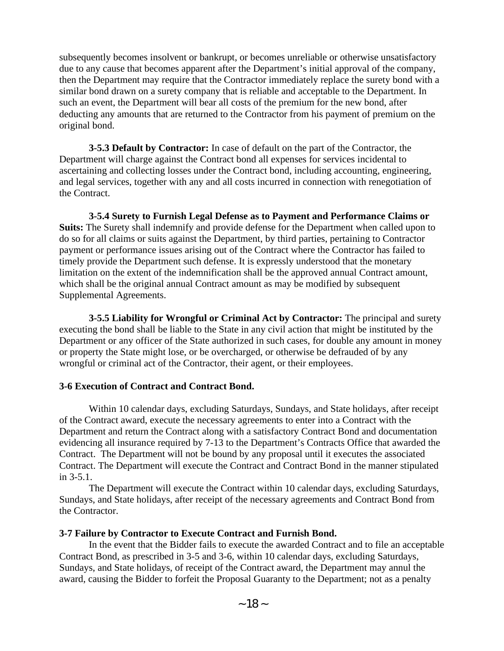subsequently becomes insolvent or bankrupt, or becomes unreliable or otherwise unsatisfactory due to any cause that becomes apparent after the Department's initial approval of the company, then the Department may require that the Contractor immediately replace the surety bond with a similar bond drawn on a surety company that is reliable and acceptable to the Department. In such an event, the Department will bear all costs of the premium for the new bond, after deducting any amounts that are returned to the Contractor from his payment of premium on the original bond.

**3-5.3 Default by Contractor:** In case of default on the part of the Contractor, the Department will charge against the Contract bond all expenses for services incidental to ascertaining and collecting losses under the Contract bond, including accounting, engineering, and legal services, together with any and all costs incurred in connection with renegotiation of the Contract.

**3-5.4 Surety to Furnish Legal Defense as to Payment and Performance Claims or Suits:** The Surety shall indemnify and provide defense for the Department when called upon to do so for all claims or suits against the Department, by third parties, pertaining to Contractor payment or performance issues arising out of the Contract where the Contractor has failed to timely provide the Department such defense. It is expressly understood that the monetary limitation on the extent of the indemnification shall be the approved annual Contract amount, which shall be the original annual Contract amount as may be modified by subsequent Supplemental Agreements.

**3-5.5 Liability for Wrongful or Criminal Act by Contractor:** The principal and surety executing the bond shall be liable to the State in any civil action that might be instituted by the Department or any officer of the State authorized in such cases, for double any amount in money or property the State might lose, or be overcharged, or otherwise be defrauded of by any wrongful or criminal act of the Contractor, their agent, or their employees.

#### **3-6 Execution of Contract and Contract Bond.**

Within 10 calendar days, excluding Saturdays, Sundays, and State holidays, after receipt of the Contract award, execute the necessary agreements to enter into a Contract with the Department and return the Contract along with a satisfactory Contract Bond and documentation evidencing all insurance required by 7-13 to the Department's Contracts Office that awarded the Contract. The Department will not be bound by any proposal until it executes the associated Contract. The Department will execute the Contract and Contract Bond in the manner stipulated in 3-5.1.

The Department will execute the Contract within 10 calendar days, excluding Saturdays, Sundays, and State holidays, after receipt of the necessary agreements and Contract Bond from the Contractor.

## **3-7 Failure by Contractor to Execute Contract and Furnish Bond.**

In the event that the Bidder fails to execute the awarded Contract and to file an acceptable Contract Bond, as prescribed in 3-5 and 3-6, within 10 calendar days, excluding Saturdays, Sundays, and State holidays, of receipt of the Contract award, the Department may annul the award, causing the Bidder to forfeit the Proposal Guaranty to the Department; not as a penalty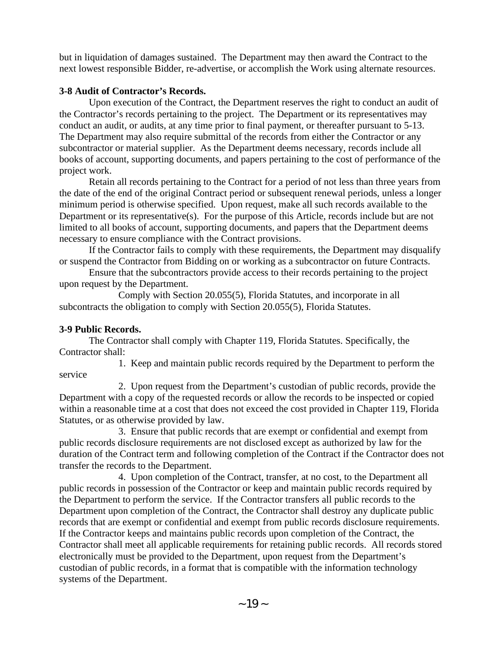but in liquidation of damages sustained. The Department may then award the Contract to the next lowest responsible Bidder, re-advertise, or accomplish the Work using alternate resources.

## **3-8 Audit of Contractor's Records.**

Upon execution of the Contract, the Department reserves the right to conduct an audit of the Contractor's records pertaining to the project. The Department or its representatives may conduct an audit, or audits, at any time prior to final payment, or thereafter pursuant to 5-13. The Department may also require submittal of the records from either the Contractor or any subcontractor or material supplier. As the Department deems necessary, records include all books of account, supporting documents, and papers pertaining to the cost of performance of the project work.

Retain all records pertaining to the Contract for a period of not less than three years from the date of the end of the original Contract period or subsequent renewal periods, unless a longer minimum period is otherwise specified. Upon request, make all such records available to the Department or its representative(s). For the purpose of this Article, records include but are not limited to all books of account, supporting documents, and papers that the Department deems necessary to ensure compliance with the Contract provisions.

If the Contractor fails to comply with these requirements, the Department may disqualify or suspend the Contractor from Bidding on or working as a subcontractor on future Contracts.

Ensure that the subcontractors provide access to their records pertaining to the project upon request by the Department.

Comply with Section 20.055(5), Florida Statutes, and incorporate in all subcontracts the obligation to comply with Section 20.055(5), Florida Statutes.

# **3-9 Public Records.**

The Contractor shall comply with Chapter 119, Florida Statutes. Specifically, the Contractor shall:

1. Keep and maintain public records required by the Department to perform the service

2. Upon request from the Department's custodian of public records, provide the Department with a copy of the requested records or allow the records to be inspected or copied within a reasonable time at a cost that does not exceed the cost provided in Chapter 119, Florida Statutes, or as otherwise provided by law.

3. Ensure that public records that are exempt or confidential and exempt from public records disclosure requirements are not disclosed except as authorized by law for the duration of the Contract term and following completion of the Contract if the Contractor does not transfer the records to the Department.

4. Upon completion of the Contract, transfer, at no cost, to the Department all public records in possession of the Contractor or keep and maintain public records required by the Department to perform the service. If the Contractor transfers all public records to the Department upon completion of the Contract, the Contractor shall destroy any duplicate public records that are exempt or confidential and exempt from public records disclosure requirements. If the Contractor keeps and maintains public records upon completion of the Contract, the Contractor shall meet all applicable requirements for retaining public records. All records stored electronically must be provided to the Department, upon request from the Department's custodian of public records, in a format that is compatible with the information technology systems of the Department.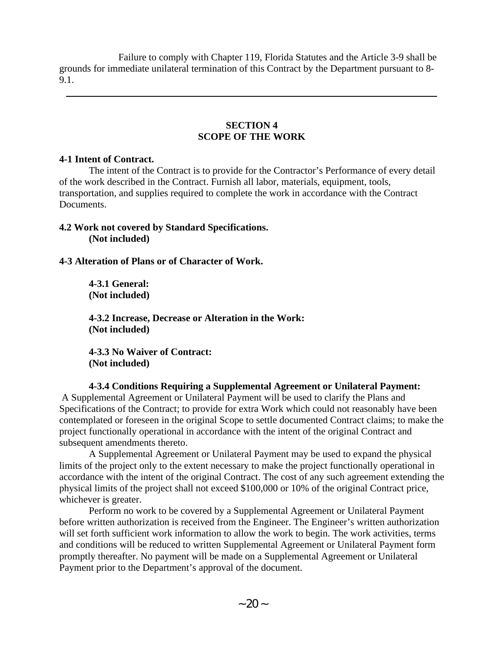Failure to comply with Chapter 119, Florida Statutes and the Article 3-9 shall be grounds for immediate unilateral termination of this Contract by the Department pursuant to 8- 9.1.

## **SECTION 4 SCOPE OF THE WORK**

### **4-1 Intent of Contract.**

The intent of the Contract is to provide for the Contractor's Performance of every detail of the work described in the Contract. Furnish all labor, materials, equipment, tools, transportation, and supplies required to complete the work in accordance with the Contract Documents.

## **4.2 Work not covered by Standard Specifications. (Not included)**

## **4-3 Alteration of Plans or of Character of Work.**

**4-3.1 General: (Not included)** 

**4-3.2 Increase, Decrease or Alteration in the Work: (Not included)** 

**4-3.3 No Waiver of Contract: (Not included)** 

**4-3.4 Conditions Requiring a Supplemental Agreement or Unilateral Payment:** A Supplemental Agreement or Unilateral Payment will be used to clarify the Plans and Specifications of the Contract; to provide for extra Work which could not reasonably have been contemplated or foreseen in the original Scope to settle documented Contract claims; to make the project functionally operational in accordance with the intent of the original Contract and subsequent amendments thereto.

A Supplemental Agreement or Unilateral Payment may be used to expand the physical limits of the project only to the extent necessary to make the project functionally operational in accordance with the intent of the original Contract. The cost of any such agreement extending the physical limits of the project shall not exceed \$100,000 or 10% of the original Contract price, whichever is greater.

Perform no work to be covered by a Supplemental Agreement or Unilateral Payment before written authorization is received from the Engineer. The Engineer's written authorization will set forth sufficient work information to allow the work to begin. The work activities, terms and conditions will be reduced to written Supplemental Agreement or Unilateral Payment form promptly thereafter. No payment will be made on a Supplemental Agreement or Unilateral Payment prior to the Department's approval of the document.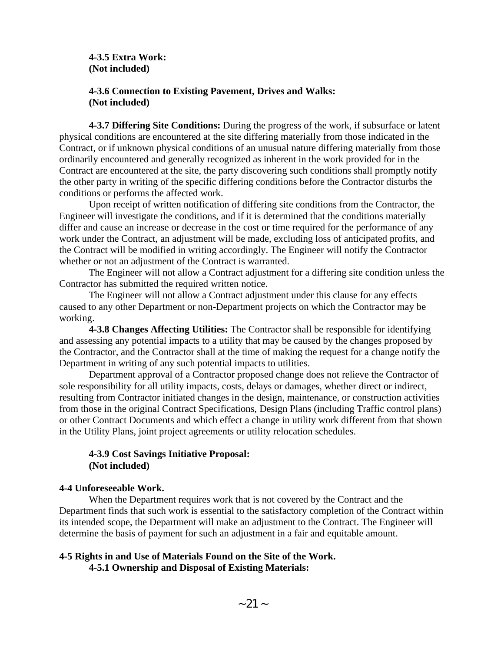**4-3.5 Extra Work: (Not included)** 

## **4-3.6 Connection to Existing Pavement, Drives and Walks: (Not included)**

**4-3.7 Differing Site Conditions:** During the progress of the work, if subsurface or latent physical conditions are encountered at the site differing materially from those indicated in the Contract, or if unknown physical conditions of an unusual nature differing materially from those ordinarily encountered and generally recognized as inherent in the work provided for in the Contract are encountered at the site, the party discovering such conditions shall promptly notify the other party in writing of the specific differing conditions before the Contractor disturbs the conditions or performs the affected work.

Upon receipt of written notification of differing site conditions from the Contractor, the Engineer will investigate the conditions, and if it is determined that the conditions materially differ and cause an increase or decrease in the cost or time required for the performance of any work under the Contract, an adjustment will be made, excluding loss of anticipated profits, and the Contract will be modified in writing accordingly. The Engineer will notify the Contractor whether or not an adjustment of the Contract is warranted.

The Engineer will not allow a Contract adjustment for a differing site condition unless the Contractor has submitted the required written notice.

The Engineer will not allow a Contract adjustment under this clause for any effects caused to any other Department or non-Department projects on which the Contractor may be working.

**4-3.8 Changes Affecting Utilities:** The Contractor shall be responsible for identifying and assessing any potential impacts to a utility that may be caused by the changes proposed by the Contractor, and the Contractor shall at the time of making the request for a change notify the Department in writing of any such potential impacts to utilities.

Department approval of a Contractor proposed change does not relieve the Contractor of sole responsibility for all utility impacts, costs, delays or damages, whether direct or indirect, resulting from Contractor initiated changes in the design, maintenance, or construction activities from those in the original Contract Specifications, Design Plans (including Traffic control plans) or other Contract Documents and which effect a change in utility work different from that shown in the Utility Plans, joint project agreements or utility relocation schedules.

## **4-3.9 Cost Savings Initiative Proposal: (Not included)**

## **4-4 Unforeseeable Work.**

When the Department requires work that is not covered by the Contract and the Department finds that such work is essential to the satisfactory completion of the Contract within its intended scope, the Department will make an adjustment to the Contract. The Engineer will determine the basis of payment for such an adjustment in a fair and equitable amount.

### **4-5 Rights in and Use of Materials Found on the Site of the Work. 4-5.1 Ownership and Disposal of Existing Materials:**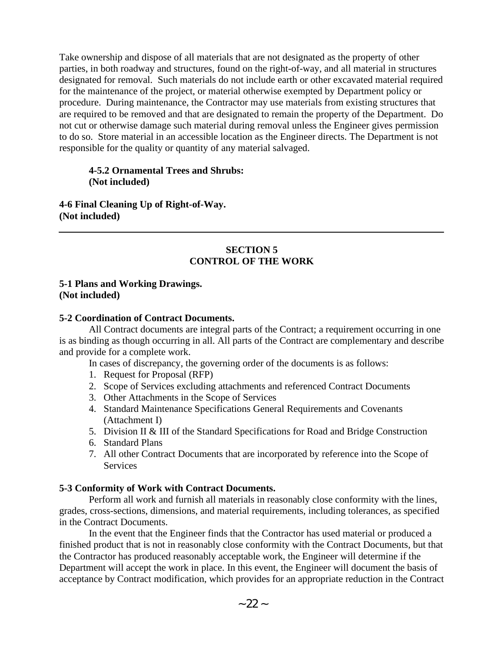Take ownership and dispose of all materials that are not designated as the property of other parties, in both roadway and structures, found on the right-of-way, and all material in structures designated for removal. Such materials do not include earth or other excavated material required for the maintenance of the project, or material otherwise exempted by Department policy or procedure. During maintenance, the Contractor may use materials from existing structures that are required to be removed and that are designated to remain the property of the Department. Do not cut or otherwise damage such material during removal unless the Engineer gives permission to do so. Store material in an accessible location as the Engineer directs. The Department is not responsible for the quality or quantity of any material salvaged.

### **4-5.2 Ornamental Trees and Shrubs: (Not included)**

**4-6 Final Cleaning Up of Right-of-Way. (Not included)** 

### **SECTION 5 CONTROL OF THE WORK**

#### **5-1 Plans and Working Drawings. (Not included)**

### **5-2 Coordination of Contract Documents.**

All Contract documents are integral parts of the Contract; a requirement occurring in one is as binding as though occurring in all. All parts of the Contract are complementary and describe and provide for a complete work.

In cases of discrepancy, the governing order of the documents is as follows:

- 1. Request for Proposal (RFP)
- 2. Scope of Services excluding attachments and referenced Contract Documents
- 3. Other Attachments in the Scope of Services
- 4. Standard Maintenance Specifications General Requirements and Covenants (Attachment I)
- 5. Division II & III of the Standard Specifications for Road and Bridge Construction
- 6. Standard Plans
- 7. All other Contract Documents that are incorporated by reference into the Scope of **Services**

## **5-3 Conformity of Work with Contract Documents.**

Perform all work and furnish all materials in reasonably close conformity with the lines, grades, cross-sections, dimensions, and material requirements, including tolerances, as specified in the Contract Documents.

In the event that the Engineer finds that the Contractor has used material or produced a finished product that is not in reasonably close conformity with the Contract Documents, but that the Contractor has produced reasonably acceptable work, the Engineer will determine if the Department will accept the work in place. In this event, the Engineer will document the basis of acceptance by Contract modification, which provides for an appropriate reduction in the Contract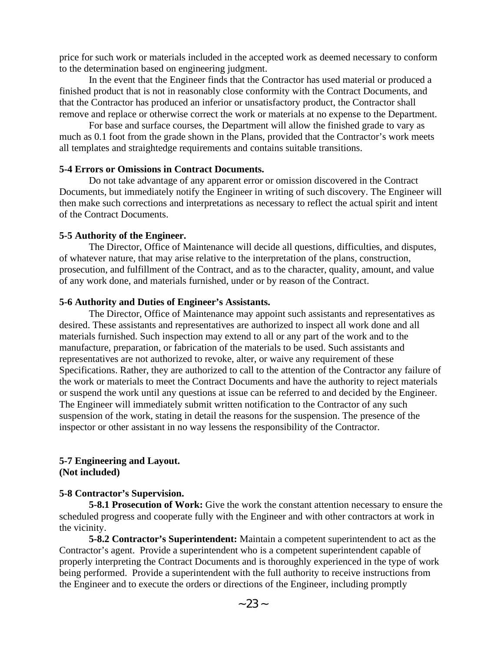price for such work or materials included in the accepted work as deemed necessary to conform to the determination based on engineering judgment.

In the event that the Engineer finds that the Contractor has used material or produced a finished product that is not in reasonably close conformity with the Contract Documents, and that the Contractor has produced an inferior or unsatisfactory product, the Contractor shall remove and replace or otherwise correct the work or materials at no expense to the Department.

For base and surface courses, the Department will allow the finished grade to vary as much as 0.1 foot from the grade shown in the Plans, provided that the Contractor's work meets all templates and straightedge requirements and contains suitable transitions.

### **5-4 Errors or Omissions in Contract Documents.**

Do not take advantage of any apparent error or omission discovered in the Contract Documents, but immediately notify the Engineer in writing of such discovery. The Engineer will then make such corrections and interpretations as necessary to reflect the actual spirit and intent of the Contract Documents.

#### **5-5 Authority of the Engineer.**

The Director, Office of Maintenance will decide all questions, difficulties, and disputes, of whatever nature, that may arise relative to the interpretation of the plans, construction, prosecution, and fulfillment of the Contract, and as to the character, quality, amount, and value of any work done, and materials furnished, under or by reason of the Contract.

### **5-6 Authority and Duties of Engineer's Assistants.**

The Director, Office of Maintenance may appoint such assistants and representatives as desired. These assistants and representatives are authorized to inspect all work done and all materials furnished. Such inspection may extend to all or any part of the work and to the manufacture, preparation, or fabrication of the materials to be used. Such assistants and representatives are not authorized to revoke, alter, or waive any requirement of these Specifications. Rather, they are authorized to call to the attention of the Contractor any failure of the work or materials to meet the Contract Documents and have the authority to reject materials or suspend the work until any questions at issue can be referred to and decided by the Engineer. The Engineer will immediately submit written notification to the Contractor of any such suspension of the work, stating in detail the reasons for the suspension. The presence of the inspector or other assistant in no way lessens the responsibility of the Contractor.

### **5-7 Engineering and Layout. (Not included)**

#### **5-8 Contractor's Supervision.**

**5-8.1 Prosecution of Work:** Give the work the constant attention necessary to ensure the scheduled progress and cooperate fully with the Engineer and with other contractors at work in the vicinity.

**5-8.2 Contractor's Superintendent:** Maintain a competent superintendent to act as the Contractor's agent. Provide a superintendent who is a competent superintendent capable of properly interpreting the Contract Documents and is thoroughly experienced in the type of work being performed. Provide a superintendent with the full authority to receive instructions from the Engineer and to execute the orders or directions of the Engineer, including promptly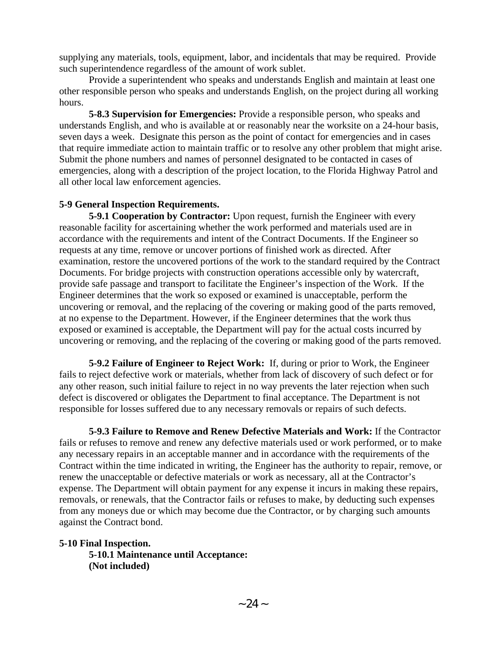supplying any materials, tools, equipment, labor, and incidentals that may be required. Provide such superintendence regardless of the amount of work sublet.

Provide a superintendent who speaks and understands English and maintain at least one other responsible person who speaks and understands English, on the project during all working hours.

**5-8.3 Supervision for Emergencies:** Provide a responsible person, who speaks and understands English, and who is available at or reasonably near the worksite on a 24-hour basis, seven days a week. Designate this person as the point of contact for emergencies and in cases that require immediate action to maintain traffic or to resolve any other problem that might arise. Submit the phone numbers and names of personnel designated to be contacted in cases of emergencies, along with a description of the project location, to the Florida Highway Patrol and all other local law enforcement agencies.

### **5-9 General Inspection Requirements.**

**5-9.1 Cooperation by Contractor:** Upon request, furnish the Engineer with every reasonable facility for ascertaining whether the work performed and materials used are in accordance with the requirements and intent of the Contract Documents. If the Engineer so requests at any time, remove or uncover portions of finished work as directed. After examination, restore the uncovered portions of the work to the standard required by the Contract Documents. For bridge projects with construction operations accessible only by watercraft, provide safe passage and transport to facilitate the Engineer's inspection of the Work. If the Engineer determines that the work so exposed or examined is unacceptable, perform the uncovering or removal, and the replacing of the covering or making good of the parts removed, at no expense to the Department. However, if the Engineer determines that the work thus exposed or examined is acceptable, the Department will pay for the actual costs incurred by uncovering or removing, and the replacing of the covering or making good of the parts removed.

**5-9.2 Failure of Engineer to Reject Work:** If, during or prior to Work, the Engineer fails to reject defective work or materials, whether from lack of discovery of such defect or for any other reason, such initial failure to reject in no way prevents the later rejection when such defect is discovered or obligates the Department to final acceptance. The Department is not responsible for losses suffered due to any necessary removals or repairs of such defects.

**5-9.3 Failure to Remove and Renew Defective Materials and Work:** If the Contractor fails or refuses to remove and renew any defective materials used or work performed, or to make any necessary repairs in an acceptable manner and in accordance with the requirements of the Contract within the time indicated in writing, the Engineer has the authority to repair, remove, or renew the unacceptable or defective materials or work as necessary, all at the Contractor's expense. The Department will obtain payment for any expense it incurs in making these repairs, removals, or renewals, that the Contractor fails or refuses to make, by deducting such expenses from any moneys due or which may become due the Contractor, or by charging such amounts against the Contract bond.

**5-10 Final Inspection. 5-10.1 Maintenance until Acceptance: (Not included)**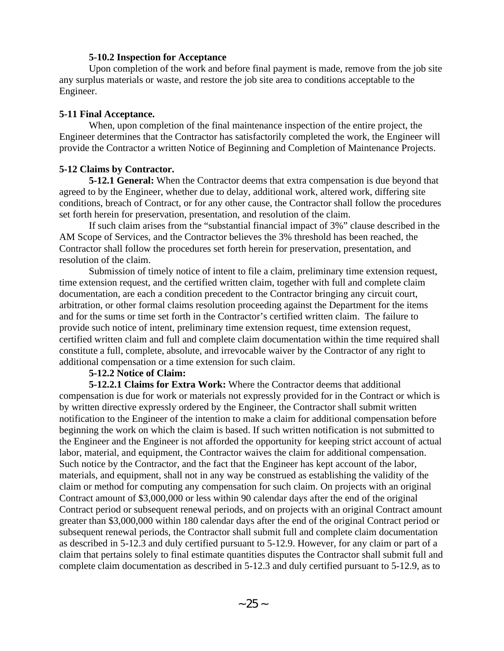#### **5-10.2 Inspection for Acceptance**

Upon completion of the work and before final payment is made, remove from the job site any surplus materials or waste, and restore the job site area to conditions acceptable to the Engineer.

#### **5-11 Final Acceptance.**

When, upon completion of the final maintenance inspection of the entire project, the Engineer determines that the Contractor has satisfactorily completed the work, the Engineer will provide the Contractor a written Notice of Beginning and Completion of Maintenance Projects.

#### **5-12 Claims by Contractor.**

**5-12.1 General:** When the Contractor deems that extra compensation is due beyond that agreed to by the Engineer, whether due to delay, additional work, altered work, differing site conditions, breach of Contract, or for any other cause, the Contractor shall follow the procedures set forth herein for preservation, presentation, and resolution of the claim.

If such claim arises from the "substantial financial impact of 3%" clause described in the AM Scope of Services, and the Contractor believes the 3% threshold has been reached, the Contractor shall follow the procedures set forth herein for preservation, presentation, and resolution of the claim.

Submission of timely notice of intent to file a claim, preliminary time extension request, time extension request, and the certified written claim, together with full and complete claim documentation, are each a condition precedent to the Contractor bringing any circuit court, arbitration, or other formal claims resolution proceeding against the Department for the items and for the sums or time set forth in the Contractor's certified written claim. The failure to provide such notice of intent, preliminary time extension request, time extension request, certified written claim and full and complete claim documentation within the time required shall constitute a full, complete, absolute, and irrevocable waiver by the Contractor of any right to additional compensation or a time extension for such claim.

#### **5-12.2 Notice of Claim:**

**5-12.2.1 Claims for Extra Work:** Where the Contractor deems that additional compensation is due for work or materials not expressly provided for in the Contract or which is by written directive expressly ordered by the Engineer, the Contractor shall submit written notification to the Engineer of the intention to make a claim for additional compensation before beginning the work on which the claim is based. If such written notification is not submitted to the Engineer and the Engineer is not afforded the opportunity for keeping strict account of actual labor, material, and equipment, the Contractor waives the claim for additional compensation. Such notice by the Contractor, and the fact that the Engineer has kept account of the labor, materials, and equipment, shall not in any way be construed as establishing the validity of the claim or method for computing any compensation for such claim. On projects with an original Contract amount of \$3,000,000 or less within 90 calendar days after the end of the original Contract period or subsequent renewal periods, and on projects with an original Contract amount greater than \$3,000,000 within 180 calendar days after the end of the original Contract period or subsequent renewal periods, the Contractor shall submit full and complete claim documentation as described in 5-12.3 and duly certified pursuant to 5-12.9. However, for any claim or part of a claim that pertains solely to final estimate quantities disputes the Contractor shall submit full and complete claim documentation as described in 5-12.3 and duly certified pursuant to 5-12.9, as to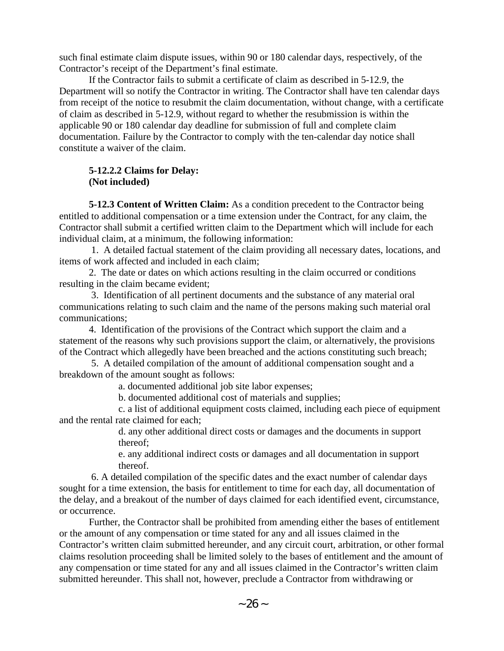such final estimate claim dispute issues, within 90 or 180 calendar days, respectively, of the Contractor's receipt of the Department's final estimate.

If the Contractor fails to submit a certificate of claim as described in 5-12.9, the Department will so notify the Contractor in writing. The Contractor shall have ten calendar days from receipt of the notice to resubmit the claim documentation, without change, with a certificate of claim as described in 5-12.9, without regard to whether the resubmission is within the applicable 90 or 180 calendar day deadline for submission of full and complete claim documentation. Failure by the Contractor to comply with the ten-calendar day notice shall constitute a waiver of the claim.

## **5-12.2.2 Claims for Delay: (Not included)**

**5-12.3 Content of Written Claim:** As a condition precedent to the Contractor being entitled to additional compensation or a time extension under the Contract, for any claim, the Contractor shall submit a certified written claim to the Department which will include for each individual claim, at a minimum, the following information:

 1. A detailed factual statement of the claim providing all necessary dates, locations, and items of work affected and included in each claim;

2. The date or dates on which actions resulting in the claim occurred or conditions resulting in the claim became evident;

 3. Identification of all pertinent documents and the substance of any material oral communications relating to such claim and the name of the persons making such material oral communications;

4. Identification of the provisions of the Contract which support the claim and a statement of the reasons why such provisions support the claim, or alternatively, the provisions of the Contract which allegedly have been breached and the actions constituting such breach;

 5. A detailed compilation of the amount of additional compensation sought and a breakdown of the amount sought as follows:

a. documented additional job site labor expenses;

b. documented additional cost of materials and supplies;

c. a list of additional equipment costs claimed, including each piece of equipment and the rental rate claimed for each;

d. any other additional direct costs or damages and the documents in support thereof;

e. any additional indirect costs or damages and all documentation in support thereof.

 6. A detailed compilation of the specific dates and the exact number of calendar days sought for a time extension, the basis for entitlement to time for each day, all documentation of the delay, and a breakout of the number of days claimed for each identified event, circumstance, or occurrence.

Further, the Contractor shall be prohibited from amending either the bases of entitlement or the amount of any compensation or time stated for any and all issues claimed in the Contractor's written claim submitted hereunder, and any circuit court, arbitration, or other formal claims resolution proceeding shall be limited solely to the bases of entitlement and the amount of any compensation or time stated for any and all issues claimed in the Contractor's written claim submitted hereunder. This shall not, however, preclude a Contractor from withdrawing or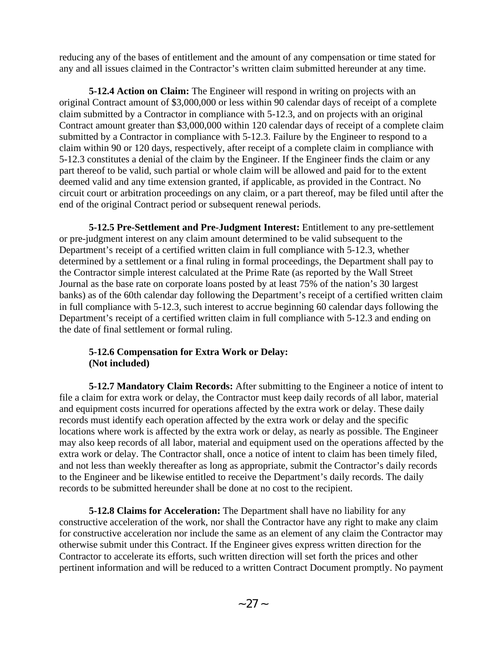reducing any of the bases of entitlement and the amount of any compensation or time stated for any and all issues claimed in the Contractor's written claim submitted hereunder at any time.

**5-12.4 Action on Claim:** The Engineer will respond in writing on projects with an original Contract amount of \$3,000,000 or less within 90 calendar days of receipt of a complete claim submitted by a Contractor in compliance with 5-12.3, and on projects with an original Contract amount greater than \$3,000,000 within 120 calendar days of receipt of a complete claim submitted by a Contractor in compliance with 5-12.3. Failure by the Engineer to respond to a claim within 90 or 120 days, respectively, after receipt of a complete claim in compliance with 5-12.3 constitutes a denial of the claim by the Engineer. If the Engineer finds the claim or any part thereof to be valid, such partial or whole claim will be allowed and paid for to the extent deemed valid and any time extension granted, if applicable, as provided in the Contract. No circuit court or arbitration proceedings on any claim, or a part thereof, may be filed until after the end of the original Contract period or subsequent renewal periods.

**5-12.5 Pre-Settlement and Pre-Judgment Interest:** Entitlement to any pre-settlement or pre-judgment interest on any claim amount determined to be valid subsequent to the Department's receipt of a certified written claim in full compliance with 5-12.3, whether determined by a settlement or a final ruling in formal proceedings, the Department shall pay to the Contractor simple interest calculated at the Prime Rate (as reported by the Wall Street Journal as the base rate on corporate loans posted by at least 75% of the nation's 30 largest banks) as of the 60th calendar day following the Department's receipt of a certified written claim in full compliance with 5-12.3, such interest to accrue beginning 60 calendar days following the Department's receipt of a certified written claim in full compliance with 5-12.3 and ending on the date of final settlement or formal ruling.

## **5-12.6 Compensation for Extra Work or Delay: (Not included)**

**5-12.7 Mandatory Claim Records:** After submitting to the Engineer a notice of intent to file a claim for extra work or delay, the Contractor must keep daily records of all labor, material and equipment costs incurred for operations affected by the extra work or delay. These daily records must identify each operation affected by the extra work or delay and the specific locations where work is affected by the extra work or delay, as nearly as possible. The Engineer may also keep records of all labor, material and equipment used on the operations affected by the extra work or delay. The Contractor shall, once a notice of intent to claim has been timely filed, and not less than weekly thereafter as long as appropriate, submit the Contractor's daily records to the Engineer and be likewise entitled to receive the Department's daily records. The daily records to be submitted hereunder shall be done at no cost to the recipient.

**5-12.8 Claims for Acceleration:** The Department shall have no liability for any constructive acceleration of the work, nor shall the Contractor have any right to make any claim for constructive acceleration nor include the same as an element of any claim the Contractor may otherwise submit under this Contract. If the Engineer gives express written direction for the Contractor to accelerate its efforts, such written direction will set forth the prices and other pertinent information and will be reduced to a written Contract Document promptly. No payment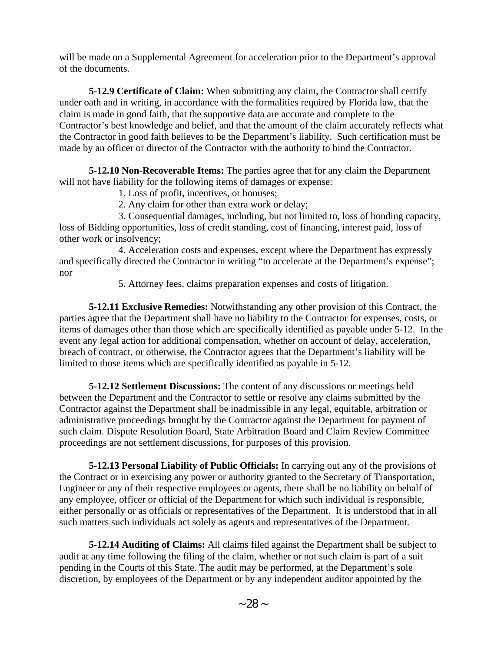will be made on a Supplemental Agreement for acceleration prior to the Department's approval of the documents.

**5-12.9 Certificate of Claim:** When submitting any claim, the Contractor shall certify under oath and in writing, in accordance with the formalities required by Florida law, that the claim is made in good faith, that the supportive data are accurate and complete to the Contractor's best knowledge and belief, and that the amount of the claim accurately reflects what the Contractor in good faith believes to be the Department's liability. Such certification must be made by an officer or director of the Contractor with the authority to bind the Contractor.

**5-12.10 Non-Recoverable Items:** The parties agree that for any claim the Department will not have liability for the following items of damages or expense:

1. Loss of profit, incentives, or bonuses;

2. Any claim for other than extra work or delay;

3. Consequential damages, including, but not limited to, loss of bonding capacity, loss of Bidding opportunities, loss of credit standing, cost of financing, interest paid, loss of other work or insolvency;

4. Acceleration costs and expenses, except where the Department has expressly and specifically directed the Contractor in writing "to accelerate at the Department's expense"; nor

5. Attorney fees, claims preparation expenses and costs of litigation.

**5-12.11 Exclusive Remedies:** Notwithstanding any other provision of this Contract, the parties agree that the Department shall have no liability to the Contractor for expenses, costs, or items of damages other than those which are specifically identified as payable under 5-12. In the event any legal action for additional compensation, whether on account of delay, acceleration, breach of contract, or otherwise, the Contractor agrees that the Department's liability will be limited to those items which are specifically identified as payable in 5-12.

**5-12.12 Settlement Discussions:** The content of any discussions or meetings held between the Department and the Contractor to settle or resolve any claims submitted by the Contractor against the Department shall be inadmissible in any legal, equitable, arbitration or administrative proceedings brought by the Contractor against the Department for payment of such claim. Dispute Resolution Board, State Arbitration Board and Claim Review Committee proceedings are not settlement discussions, for purposes of this provision.

**5-12.13 Personal Liability of Public Officials:** In carrying out any of the provisions of the Contract or in exercising any power or authority granted to the Secretary of Transportation, Engineer or any of their respective employees or agents, there shall be no liability on behalf of any employee, officer or official of the Department for which such individual is responsible, either personally or as officials or representatives of the Department. It is understood that in all such matters such individuals act solely as agents and representatives of the Department.

**5-12.14 Auditing of Claims:** All claims filed against the Department shall be subject to audit at any time following the filing of the claim, whether or not such claim is part of a suit pending in the Courts of this State. The audit may be performed, at the Department's sole discretion, by employees of the Department or by any independent auditor appointed by the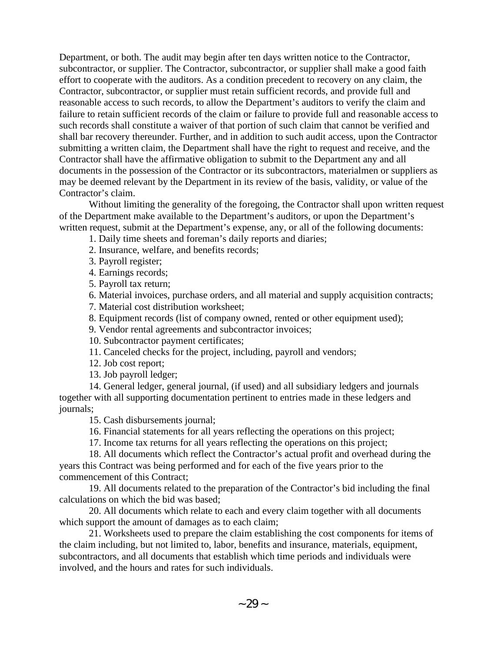Department, or both. The audit may begin after ten days written notice to the Contractor, subcontractor, or supplier. The Contractor, subcontractor, or supplier shall make a good faith effort to cooperate with the auditors. As a condition precedent to recovery on any claim, the Contractor, subcontractor, or supplier must retain sufficient records, and provide full and reasonable access to such records, to allow the Department's auditors to verify the claim and failure to retain sufficient records of the claim or failure to provide full and reasonable access to such records shall constitute a waiver of that portion of such claim that cannot be verified and shall bar recovery thereunder. Further, and in addition to such audit access, upon the Contractor submitting a written claim, the Department shall have the right to request and receive, and the Contractor shall have the affirmative obligation to submit to the Department any and all documents in the possession of the Contractor or its subcontractors, materialmen or suppliers as may be deemed relevant by the Department in its review of the basis, validity, or value of the Contractor's claim.

Without limiting the generality of the foregoing, the Contractor shall upon written request of the Department make available to the Department's auditors, or upon the Department's written request, submit at the Department's expense, any, or all of the following documents:

1. Daily time sheets and foreman's daily reports and diaries;

2. Insurance, welfare, and benefits records;

3. Payroll register;

4. Earnings records;

5. Payroll tax return;

6. Material invoices, purchase orders, and all material and supply acquisition contracts;

7. Material cost distribution worksheet;

8. Equipment records (list of company owned, rented or other equipment used);

9. Vendor rental agreements and subcontractor invoices;

10. Subcontractor payment certificates;

11. Canceled checks for the project, including, payroll and vendors;

12. Job cost report;

13. Job payroll ledger;

14. General ledger, general journal, (if used) and all subsidiary ledgers and journals together with all supporting documentation pertinent to entries made in these ledgers and journals;

15. Cash disbursements journal;

16. Financial statements for all years reflecting the operations on this project;

17. Income tax returns for all years reflecting the operations on this project;

18. All documents which reflect the Contractor's actual profit and overhead during the years this Contract was being performed and for each of the five years prior to the commencement of this Contract;

19. All documents related to the preparation of the Contractor's bid including the final calculations on which the bid was based;

20. All documents which relate to each and every claim together with all documents which support the amount of damages as to each claim;

21. Worksheets used to prepare the claim establishing the cost components for items of the claim including, but not limited to, labor, benefits and insurance, materials, equipment, subcontractors, and all documents that establish which time periods and individuals were involved, and the hours and rates for such individuals.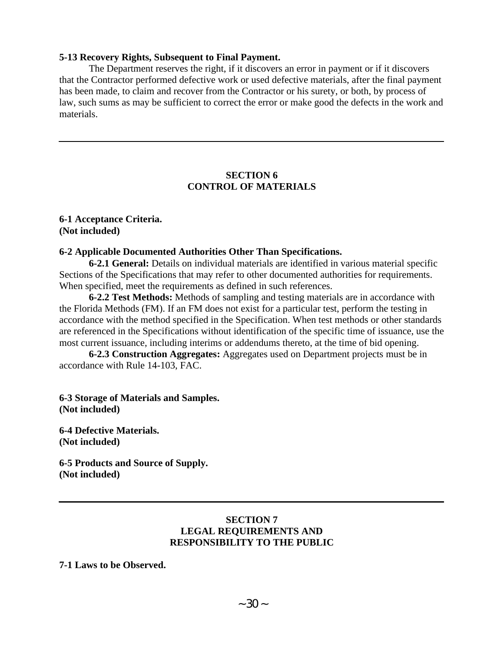#### **5-13 Recovery Rights, Subsequent to Final Payment.**

The Department reserves the right, if it discovers an error in payment or if it discovers that the Contractor performed defective work or used defective materials, after the final payment has been made, to claim and recover from the Contractor or his surety, or both, by process of law, such sums as may be sufficient to correct the error or make good the defects in the work and materials.

#### **SECTION 6 CONTROL OF MATERIALS**

**6-1 Acceptance Criteria. (Not included)** 

#### **6-2 Applicable Documented Authorities Other Than Specifications.**

**6-2.1 General:** Details on individual materials are identified in various material specific Sections of the Specifications that may refer to other documented authorities for requirements. When specified, meet the requirements as defined in such references.

**6-2.2 Test Methods:** Methods of sampling and testing materials are in accordance with the Florida Methods (FM). If an FM does not exist for a particular test, perform the testing in accordance with the method specified in the Specification. When test methods or other standards are referenced in the Specifications without identification of the specific time of issuance, use the most current issuance, including interims or addendums thereto, at the time of bid opening.

**6-2.3 Construction Aggregates:** Aggregates used on Department projects must be in accordance with Rule 14-103, FAC.

**6-3 Storage of Materials and Samples. (Not included)** 

**6-4 Defective Materials. (Not included)** 

**6-5 Products and Source of Supply. (Not included)** 

### **SECTION 7 LEGAL REQUIREMENTS AND RESPONSIBILITY TO THE PUBLIC**

**7-1 Laws to be Observed.**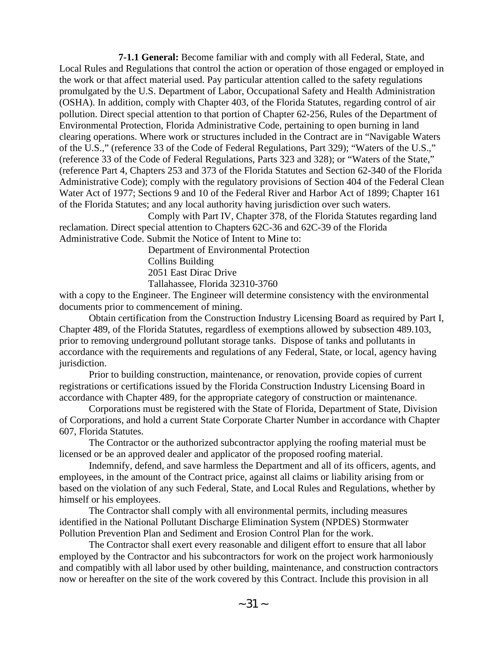**7-1.1 General:** Become familiar with and comply with all Federal, State, and Local Rules and Regulations that control the action or operation of those engaged or employed in the work or that affect material used. Pay particular attention called to the safety regulations promulgated by the U.S. Department of Labor, Occupational Safety and Health Administration (OSHA). In addition, comply with Chapter 403, of the Florida Statutes, regarding control of air pollution. Direct special attention to that portion of Chapter 62-256, Rules of the Department of Environmental Protection, Florida Administrative Code, pertaining to open burning in land clearing operations. Where work or structures included in the Contract are in "Navigable Waters of the U.S.," (reference 33 of the Code of Federal Regulations, Part 329); "Waters of the U.S.," (reference 33 of the Code of Federal Regulations, Parts 323 and 328); or "Waters of the State," (reference Part 4, Chapters 253 and 373 of the Florida Statutes and Section 62-340 of the Florida Administrative Code); comply with the regulatory provisions of Section 404 of the Federal Clean Water Act of 1977; Sections 9 and 10 of the Federal River and Harbor Act of 1899; Chapter 161 of the Florida Statutes; and any local authority having jurisdiction over such waters.

Comply with Part IV, Chapter 378, of the Florida Statutes regarding land reclamation. Direct special attention to Chapters 62C-36 and 62C-39 of the Florida Administrative Code. Submit the Notice of Intent to Mine to:

> Department of Environmental Protection Collins Building 2051 East Dirac Drive Tallahassee, Florida 32310-3760

with a copy to the Engineer. The Engineer will determine consistency with the environmental documents prior to commencement of mining.

Obtain certification from the Construction Industry Licensing Board as required by Part I, Chapter 489, of the Florida Statutes, regardless of exemptions allowed by subsection 489.103, prior to removing underground pollutant storage tanks. Dispose of tanks and pollutants in accordance with the requirements and regulations of any Federal, State, or local, agency having jurisdiction.

Prior to building construction, maintenance, or renovation, provide copies of current registrations or certifications issued by the Florida Construction Industry Licensing Board in accordance with Chapter 489, for the appropriate category of construction or maintenance.

Corporations must be registered with the State of Florida, Department of State, Division of Corporations, and hold a current State Corporate Charter Number in accordance with Chapter 607, Florida Statutes.

The Contractor or the authorized subcontractor applying the roofing material must be licensed or be an approved dealer and applicator of the proposed roofing material.

Indemnify, defend, and save harmless the Department and all of its officers, agents, and employees, in the amount of the Contract price, against all claims or liability arising from or based on the violation of any such Federal, State, and Local Rules and Regulations, whether by himself or his employees.

The Contractor shall comply with all environmental permits, including measures identified in the National Pollutant Discharge Elimination System (NPDES) Stormwater Pollution Prevention Plan and Sediment and Erosion Control Plan for the work.

The Contractor shall exert every reasonable and diligent effort to ensure that all labor employed by the Contractor and his subcontractors for work on the project work harmoniously and compatibly with all labor used by other building, maintenance, and construction contractors now or hereafter on the site of the work covered by this Contract. Include this provision in all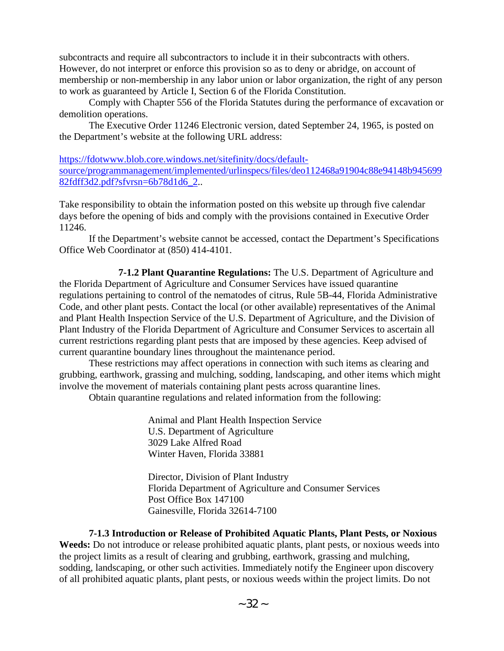subcontracts and require all subcontractors to include it in their subcontracts with others. However, do not interpret or enforce this provision so as to deny or abridge, on account of membership or non-membership in any labor union or labor organization, the right of any person to work as guaranteed by Article I, Section 6 of the Florida Constitution.

Comply with Chapter 556 of the Florida Statutes during the performance of excavation or demolition operations.

The Executive Order 11246 Electronic version, dated September 24, 1965, is posted on the Department's website at the following URL address:

[https://fdotwww.blob.core.windows.net/sitefinity/docs/default](https://fdotwww.blob.core.windows.net/sitefinity/docs/default-source/programmanagement/implemented/urlinspecs/files/deo112468a91904c88e94148b94569982fdff3d2.pdf?sfvrsn=6b78d1d6_2)[source/programmanagement/implemented/urlinspecs/files/deo112468a91904c88e94148b945699](https://fdotwww.blob.core.windows.net/sitefinity/docs/default-source/programmanagement/implemented/urlinspecs/files/deo112468a91904c88e94148b94569982fdff3d2.pdf?sfvrsn=6b78d1d6_2) [82fdff3d2.pdf?sfvrsn=6b78d1d6\\_2.](https://fdotwww.blob.core.windows.net/sitefinity/docs/default-source/programmanagement/implemented/urlinspecs/files/deo112468a91904c88e94148b94569982fdff3d2.pdf?sfvrsn=6b78d1d6_2).

Take responsibility to obtain the information posted on this website up through five calendar days before the opening of bids and comply with the provisions contained in Executive Order 11246.

If the Department's website cannot be accessed, contact the Department's Specifications Office Web Coordinator at (850) 414-4101.

**7-1.2 Plant Quarantine Regulations:** The U.S. Department of Agriculture and the Florida Department of Agriculture and Consumer Services have issued quarantine regulations pertaining to control of the nematodes of citrus, Rule 5B-44, Florida Administrative Code, and other plant pests. Contact the local (or other available) representatives of the Animal and Plant Health Inspection Service of the U.S. Department of Agriculture, and the Division of Plant Industry of the Florida Department of Agriculture and Consumer Services to ascertain all current restrictions regarding plant pests that are imposed by these agencies. Keep advised of current quarantine boundary lines throughout the maintenance period.

These restrictions may affect operations in connection with such items as clearing and grubbing, earthwork, grassing and mulching, sodding, landscaping, and other items which might involve the movement of materials containing plant pests across quarantine lines.

Obtain quarantine regulations and related information from the following:

Animal and Plant Health Inspection Service U.S. Department of Agriculture 3029 Lake Alfred Road Winter Haven, Florida 33881

Director, Division of Plant Industry Florida Department of Agriculture and Consumer Services Post Office Box 147100 Gainesville, Florida 32614-7100

**7-1.3 Introduction or Release of Prohibited Aquatic Plants, Plant Pests, or Noxious Weeds:** Do not introduce or release prohibited aquatic plants, plant pests, or noxious weeds into the project limits as a result of clearing and grubbing, earthwork, grassing and mulching, sodding, landscaping, or other such activities. Immediately notify the Engineer upon discovery of all prohibited aquatic plants, plant pests, or noxious weeds within the project limits. Do not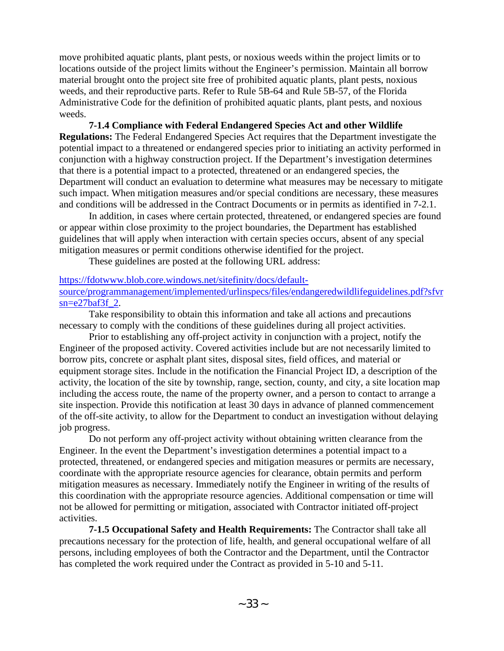move prohibited aquatic plants, plant pests, or noxious weeds within the project limits or to locations outside of the project limits without the Engineer's permission. Maintain all borrow material brought onto the project site free of prohibited aquatic plants, plant pests, noxious weeds, and their reproductive parts. Refer to Rule 5B-64 and Rule 5B-57, of the Florida Administrative Code for the definition of prohibited aquatic plants, plant pests, and noxious weeds.

**7-1.4 Compliance with Federal Endangered Species Act and other Wildlife Regulations:** The Federal Endangered Species Act requires that the Department investigate the potential impact to a threatened or endangered species prior to initiating an activity performed in conjunction with a highway construction project. If the Department's investigation determines that there is a potential impact to a protected, threatened or an endangered species, the Department will conduct an evaluation to determine what measures may be necessary to mitigate such impact. When mitigation measures and/or special conditions are necessary, these measures and conditions will be addressed in the Contract Documents or in permits as identified in 7-2.1.

In addition, in cases where certain protected, threatened, or endangered species are found or appear within close proximity to the project boundaries, the Department has established guidelines that will apply when interaction with certain species occurs, absent of any special mitigation measures or permit conditions otherwise identified for the project.

These guidelines are posted at the following URL address:

[https://fdotwww.blob.core.windows.net/sitefinity/docs/default-](https://fdotwww.blob.core.windows.net/sitefinity/docs/default-source/programmanagement/implemented/urlinspecs/files/endangeredwildlifeguidelines.pdf?sfvrsn=e27baf3f_2)

[source/programmanagement/implemented/urlinspecs/files/endangeredwildlifeguidelines.pdf?sfvr](https://fdotwww.blob.core.windows.net/sitefinity/docs/default-source/programmanagement/implemented/urlinspecs/files/endangeredwildlifeguidelines.pdf?sfvrsn=e27baf3f_2) [sn=e27baf3f\\_2.](https://fdotwww.blob.core.windows.net/sitefinity/docs/default-source/programmanagement/implemented/urlinspecs/files/endangeredwildlifeguidelines.pdf?sfvrsn=e27baf3f_2)

Take responsibility to obtain this information and take all actions and precautions necessary to comply with the conditions of these guidelines during all project activities.

Prior to establishing any off-project activity in conjunction with a project, notify the Engineer of the proposed activity. Covered activities include but are not necessarily limited to borrow pits, concrete or asphalt plant sites, disposal sites, field offices, and material or equipment storage sites. Include in the notification the Financial Project ID, a description of the activity, the location of the site by township, range, section, county, and city, a site location map including the access route, the name of the property owner, and a person to contact to arrange a site inspection. Provide this notification at least 30 days in advance of planned commencement of the off-site activity, to allow for the Department to conduct an investigation without delaying job progress.

Do not perform any off-project activity without obtaining written clearance from the Engineer. In the event the Department's investigation determines a potential impact to a protected, threatened, or endangered species and mitigation measures or permits are necessary, coordinate with the appropriate resource agencies for clearance, obtain permits and perform mitigation measures as necessary. Immediately notify the Engineer in writing of the results of this coordination with the appropriate resource agencies. Additional compensation or time will not be allowed for permitting or mitigation, associated with Contractor initiated off-project activities.

**7-1.5 Occupational Safety and Health Requirements:** The Contractor shall take all precautions necessary for the protection of life, health, and general occupational welfare of all persons, including employees of both the Contractor and the Department, until the Contractor has completed the work required under the Contract as provided in 5-10 and 5-11.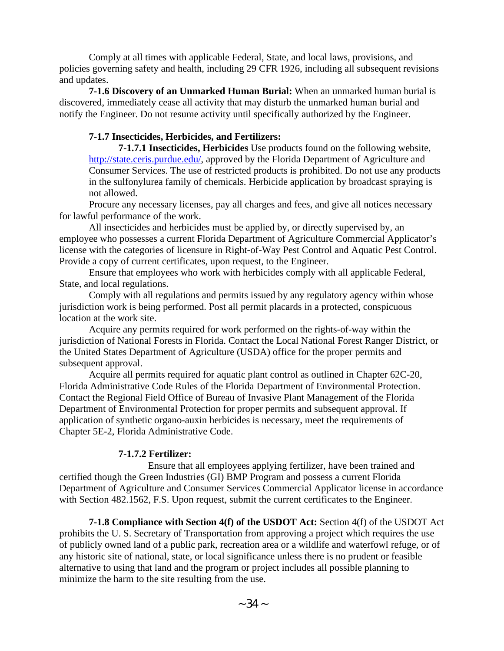Comply at all times with applicable Federal, State, and local laws, provisions, and policies governing safety and health, including 29 CFR 1926, including all subsequent revisions and updates.

**7-1.6 Discovery of an Unmarked Human Burial:** When an unmarked human burial is discovered, immediately cease all activity that may disturb the unmarked human burial and notify the Engineer. Do not resume activity until specifically authorized by the Engineer.

## **7-1.7 Insecticides, Herbicides, and Fertilizers:**

**7-1.7.1 Insecticides, Herbicides** Use products found on the following website, [http://state.ceris.purdue.edu/,](http://state.ceris.purdue.edu/) approved by the Florida Department of Agriculture and Consumer Services. The use of restricted products is prohibited. Do not use any products in the sulfonylurea family of chemicals. Herbicide application by broadcast spraying is not allowed.

Procure any necessary licenses, pay all charges and fees, and give all notices necessary for lawful performance of the work.

All insecticides and herbicides must be applied by, or directly supervised by, an employee who possesses a current Florida Department of Agriculture Commercial Applicator's license with the categories of licensure in Right-of-Way Pest Control and Aquatic Pest Control. Provide a copy of current certificates, upon request, to the Engineer.

Ensure that employees who work with herbicides comply with all applicable Federal, State, and local regulations.

Comply with all regulations and permits issued by any regulatory agency within whose jurisdiction work is being performed. Post all permit placards in a protected, conspicuous location at the work site.

Acquire any permits required for work performed on the rights-of-way within the jurisdiction of National Forests in Florida. Contact the Local National Forest Ranger District, or the United States Department of Agriculture (USDA) office for the proper permits and subsequent approval.

Acquire all permits required for aquatic plant control as outlined in Chapter 62C-20, Florida Administrative Code Rules of the Florida Department of Environmental Protection. Contact the Regional Field Office of Bureau of Invasive Plant Management of the Florida Department of Environmental Protection for proper permits and subsequent approval. If application of synthetic organo-auxin herbicides is necessary, meet the requirements of Chapter 5E-2, Florida Administrative Code.

# **7-1.7.2 Fertilizer:**

 Ensure that all employees applying fertilizer, have been trained and certified though the Green Industries (GI) BMP Program and possess a current Florida Department of Agriculture and Consumer Services Commercial Applicator license in accordance with Section 482.1562, F.S. Upon request, submit the current certificates to the Engineer.

**7-1.8 Compliance with Section 4(f) of the USDOT Act:** Section 4(f) of the USDOT Act prohibits the U. S. Secretary of Transportation from approving a project which requires the use of publicly owned land of a public park, recreation area or a wildlife and waterfowl refuge, or of any historic site of national, state, or local significance unless there is no prudent or feasible alternative to using that land and the program or project includes all possible planning to minimize the harm to the site resulting from the use.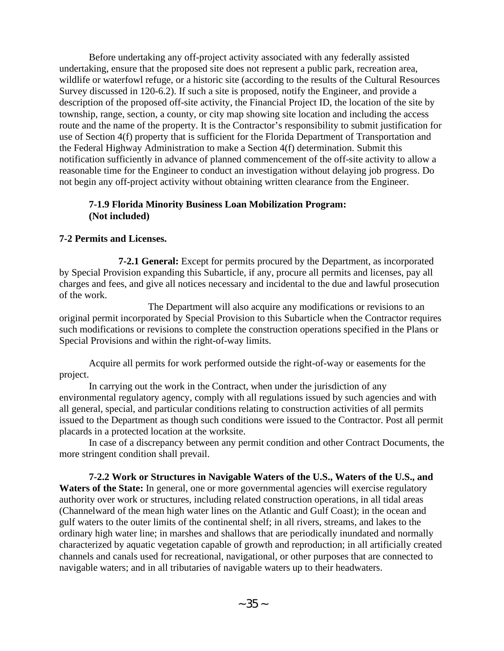Before undertaking any off-project activity associated with any federally assisted undertaking, ensure that the proposed site does not represent a public park, recreation area, wildlife or waterfowl refuge, or a historic site (according to the results of the Cultural Resources Survey discussed in 120-6.2). If such a site is proposed, notify the Engineer, and provide a description of the proposed off-site activity, the Financial Project ID, the location of the site by township, range, section, a county, or city map showing site location and including the access route and the name of the property. It is the Contractor's responsibility to submit justification for use of Section 4(f) property that is sufficient for the Florida Department of Transportation and the Federal Highway Administration to make a Section 4(f) determination. Submit this notification sufficiently in advance of planned commencement of the off-site activity to allow a reasonable time for the Engineer to conduct an investigation without delaying job progress. Do not begin any off-project activity without obtaining written clearance from the Engineer.

### **7-1.9 Florida Minority Business Loan Mobilization Program: (Not included)**

## **7-2 Permits and Licenses.**

**7-2.1 General:** Except for permits procured by the Department, as incorporated by Special Provision expanding this Subarticle, if any, procure all permits and licenses, pay all charges and fees, and give all notices necessary and incidental to the due and lawful prosecution of the work.

The Department will also acquire any modifications or revisions to an original permit incorporated by Special Provision to this Subarticle when the Contractor requires such modifications or revisions to complete the construction operations specified in the Plans or Special Provisions and within the right-of-way limits.

Acquire all permits for work performed outside the right-of-way or easements for the project.

In carrying out the work in the Contract, when under the jurisdiction of any environmental regulatory agency, comply with all regulations issued by such agencies and with all general, special, and particular conditions relating to construction activities of all permits issued to the Department as though such conditions were issued to the Contractor. Post all permit placards in a protected location at the worksite.

In case of a discrepancy between any permit condition and other Contract Documents, the more stringent condition shall prevail.

**7-2.2 Work or Structures in Navigable Waters of the U.S., Waters of the U.S., and**  Waters of the State: In general, one or more governmental agencies will exercise regulatory authority over work or structures, including related construction operations, in all tidal areas (Channelward of the mean high water lines on the Atlantic and Gulf Coast); in the ocean and gulf waters to the outer limits of the continental shelf; in all rivers, streams, and lakes to the ordinary high water line; in marshes and shallows that are periodically inundated and normally characterized by aquatic vegetation capable of growth and reproduction; in all artificially created channels and canals used for recreational, navigational, or other purposes that are connected to navigable waters; and in all tributaries of navigable waters up to their headwaters.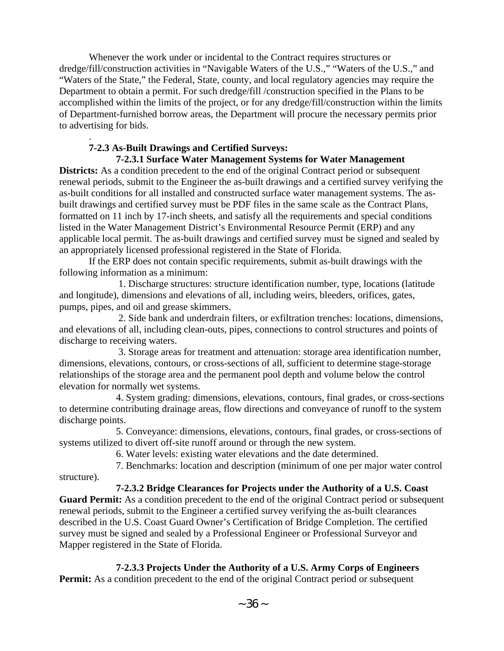Whenever the work under or incidental to the Contract requires structures or dredge/fill/construction activities in "Navigable Waters of the U.S.," "Waters of the U.S.," and "Waters of the State," the Federal, State, county, and local regulatory agencies may require the Department to obtain a permit. For such dredge/fill /construction specified in the Plans to be accomplished within the limits of the project, or for any dredge/fill/construction within the limits of Department-furnished borrow areas, the Department will procure the necessary permits prior to advertising for bids.

## . **7-2.3 As-Built Drawings and Certified Surveys:**

 **7-2.3.1 Surface Water Management Systems for Water Management** 

**Districts:** As a condition precedent to the end of the original Contract period or subsequent renewal periods, submit to the Engineer the as-built drawings and a certified survey verifying the as-built conditions for all installed and constructed surface water management systems. The asbuilt drawings and certified survey must be PDF files in the same scale as the Contract Plans, formatted on 11 inch by 17-inch sheets, and satisfy all the requirements and special conditions listed in the Water Management District's Environmental Resource Permit (ERP) and any applicable local permit. The as-built drawings and certified survey must be signed and sealed by an appropriately licensed professional registered in the State of Florida.

If the ERP does not contain specific requirements, submit as-built drawings with the following information as a minimum:

 1. Discharge structures: structure identification number, type, locations (latitude and longitude), dimensions and elevations of all, including weirs, bleeders, orifices, gates, pumps, pipes, and oil and grease skimmers.

 2. Side bank and underdrain filters, or exfiltration trenches: locations, dimensions, and elevations of all, including clean-outs, pipes, connections to control structures and points of discharge to receiving waters.

 3. Storage areas for treatment and attenuation: storage area identification number, dimensions, elevations, contours, or cross-sections of all, sufficient to determine stage-storage relationships of the storage area and the permanent pool depth and volume below the control elevation for normally wet systems.

 4. System grading: dimensions, elevations, contours, final grades, or cross-sections to determine contributing drainage areas, flow directions and conveyance of runoff to the system discharge points.

 5. Conveyance: dimensions, elevations, contours, final grades, or cross-sections of systems utilized to divert off-site runoff around or through the new system.

6. Water levels: existing water elevations and the date determined.

 7. Benchmarks: location and description (minimum of one per major water control structure).

 **7-2.3.2 Bridge Clearances for Projects under the Authority of a U.S. Coast Guard Permit:** As a condition precedent to the end of the original Contract period or subsequent renewal periods, submit to the Engineer a certified survey verifying the as-built clearances described in the U.S. Coast Guard Owner's Certification of Bridge Completion. The certified survey must be signed and sealed by a Professional Engineer or Professional Surveyor and Mapper registered in the State of Florida.

 **7-2.3.3 Projects Under the Authority of a U.S. Army Corps of Engineers** 

**Permit:** As a condition precedent to the end of the original Contract period or subsequent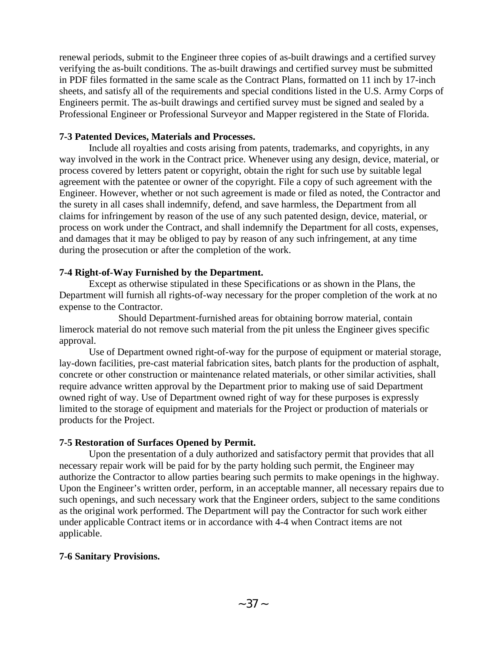renewal periods, submit to the Engineer three copies of as-built drawings and a certified survey verifying the as-built conditions. The as-built drawings and certified survey must be submitted in PDF files formatted in the same scale as the Contract Plans, formatted on 11 inch by 17-inch sheets, and satisfy all of the requirements and special conditions listed in the U.S. Army Corps of Engineers permit. The as-built drawings and certified survey must be signed and sealed by a Professional Engineer or Professional Surveyor and Mapper registered in the State of Florida.

### **7-3 Patented Devices, Materials and Processes.**

Include all royalties and costs arising from patents, trademarks, and copyrights, in any way involved in the work in the Contract price. Whenever using any design, device, material, or process covered by letters patent or copyright, obtain the right for such use by suitable legal agreement with the patentee or owner of the copyright. File a copy of such agreement with the Engineer. However, whether or not such agreement is made or filed as noted, the Contractor and the surety in all cases shall indemnify, defend, and save harmless, the Department from all claims for infringement by reason of the use of any such patented design, device, material, or process on work under the Contract, and shall indemnify the Department for all costs, expenses, and damages that it may be obliged to pay by reason of any such infringement, at any time during the prosecution or after the completion of the work.

## **7-4 Right-of-Way Furnished by the Department.**

Except as otherwise stipulated in these Specifications or as shown in the Plans, the Department will furnish all rights-of-way necessary for the proper completion of the work at no expense to the Contractor.

Should Department-furnished areas for obtaining borrow material, contain limerock material do not remove such material from the pit unless the Engineer gives specific approval.

Use of Department owned right-of-way for the purpose of equipment or material storage, lay-down facilities, pre-cast material fabrication sites, batch plants for the production of asphalt, concrete or other construction or maintenance related materials, or other similar activities, shall require advance written approval by the Department prior to making use of said Department owned right of way. Use of Department owned right of way for these purposes is expressly limited to the storage of equipment and materials for the Project or production of materials or products for the Project.

## **7-5 Restoration of Surfaces Opened by Permit.**

Upon the presentation of a duly authorized and satisfactory permit that provides that all necessary repair work will be paid for by the party holding such permit, the Engineer may authorize the Contractor to allow parties bearing such permits to make openings in the highway. Upon the Engineer's written order, perform, in an acceptable manner, all necessary repairs due to such openings, and such necessary work that the Engineer orders, subject to the same conditions as the original work performed. The Department will pay the Contractor for such work either under applicable Contract items or in accordance with 4-4 when Contract items are not applicable.

## **7-6 Sanitary Provisions.**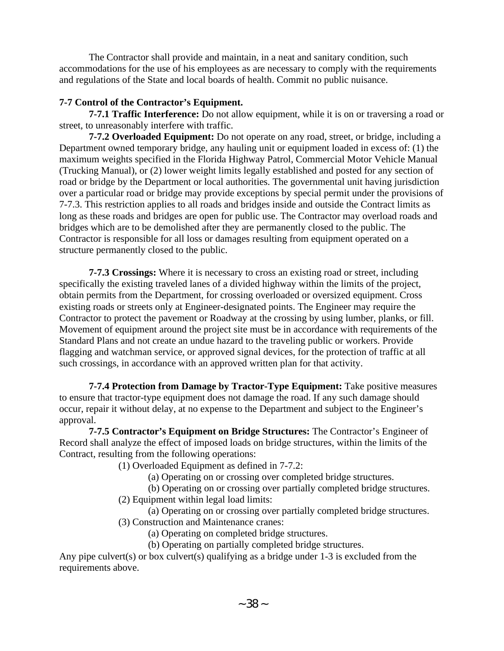The Contractor shall provide and maintain, in a neat and sanitary condition, such accommodations for the use of his employees as are necessary to comply with the requirements and regulations of the State and local boards of health. Commit no public nuisance.

# **7-7 Control of the Contractor's Equipment.**

**7-7.1 Traffic Interference:** Do not allow equipment, while it is on or traversing a road or street, to unreasonably interfere with traffic.

**7-7.2 Overloaded Equipment:** Do not operate on any road, street, or bridge, including a Department owned temporary bridge, any hauling unit or equipment loaded in excess of: (1) the maximum weights specified in the Florida Highway Patrol, Commercial Motor Vehicle Manual (Trucking Manual), or (2) lower weight limits legally established and posted for any section of road or bridge by the Department or local authorities. The governmental unit having jurisdiction over a particular road or bridge may provide exceptions by special permit under the provisions of 7-7.3. This restriction applies to all roads and bridges inside and outside the Contract limits as long as these roads and bridges are open for public use. The Contractor may overload roads and bridges which are to be demolished after they are permanently closed to the public. The Contractor is responsible for all loss or damages resulting from equipment operated on a structure permanently closed to the public.

**7-7.3 Crossings:** Where it is necessary to cross an existing road or street, including specifically the existing traveled lanes of a divided highway within the limits of the project, obtain permits from the Department, for crossing overloaded or oversized equipment. Cross existing roads or streets only at Engineer-designated points. The Engineer may require the Contractor to protect the pavement or Roadway at the crossing by using lumber, planks, or fill. Movement of equipment around the project site must be in accordance with requirements of the Standard Plans and not create an undue hazard to the traveling public or workers. Provide flagging and watchman service, or approved signal devices, for the protection of traffic at all such crossings, in accordance with an approved written plan for that activity.

**7-7.4 Protection from Damage by Tractor-Type Equipment:** Take positive measures to ensure that tractor-type equipment does not damage the road. If any such damage should occur, repair it without delay, at no expense to the Department and subject to the Engineer's approval.

**7-7.5 Contractor's Equipment on Bridge Structures:** The Contractor's Engineer of Record shall analyze the effect of imposed loads on bridge structures, within the limits of the Contract, resulting from the following operations:

(1) Overloaded Equipment as defined in 7-7.2:

(a) Operating on or crossing over completed bridge structures.

(b) Operating on or crossing over partially completed bridge structures.

(2) Equipment within legal load limits:

 (a) Operating on or crossing over partially completed bridge structures. (3) Construction and Maintenance cranes:

(a) Operating on completed bridge structures.

(b) Operating on partially completed bridge structures.

Any pipe culvert(s) or box culvert(s) qualifying as a bridge under 1-3 is excluded from the requirements above.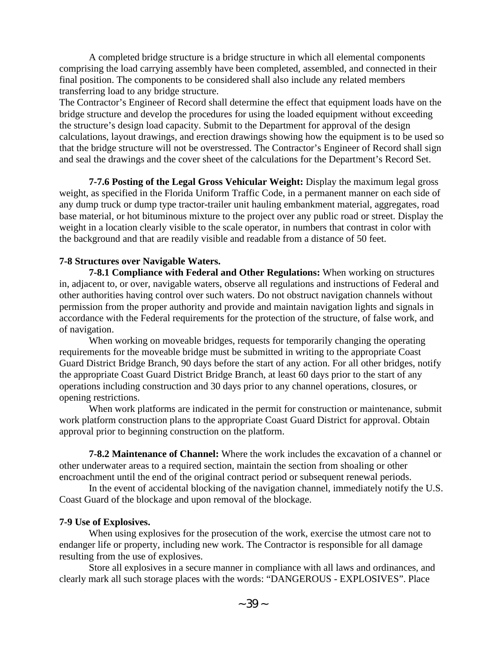A completed bridge structure is a bridge structure in which all elemental components comprising the load carrying assembly have been completed, assembled, and connected in their final position. The components to be considered shall also include any related members transferring load to any bridge structure.

The Contractor's Engineer of Record shall determine the effect that equipment loads have on the bridge structure and develop the procedures for using the loaded equipment without exceeding the structure's design load capacity. Submit to the Department for approval of the design calculations, layout drawings, and erection drawings showing how the equipment is to be used so that the bridge structure will not be overstressed. The Contractor's Engineer of Record shall sign and seal the drawings and the cover sheet of the calculations for the Department's Record Set.

**7-7.6 Posting of the Legal Gross Vehicular Weight:** Display the maximum legal gross weight, as specified in the Florida Uniform Traffic Code, in a permanent manner on each side of any dump truck or dump type tractor-trailer unit hauling embankment material, aggregates, road base material, or hot bituminous mixture to the project over any public road or street. Display the weight in a location clearly visible to the scale operator, in numbers that contrast in color with the background and that are readily visible and readable from a distance of 50 feet.

### **7-8 Structures over Navigable Waters.**

**7-8.1 Compliance with Federal and Other Regulations:** When working on structures in, adjacent to, or over, navigable waters, observe all regulations and instructions of Federal and other authorities having control over such waters. Do not obstruct navigation channels without permission from the proper authority and provide and maintain navigation lights and signals in accordance with the Federal requirements for the protection of the structure, of false work, and of navigation.

When working on moveable bridges, requests for temporarily changing the operating requirements for the moveable bridge must be submitted in writing to the appropriate Coast Guard District Bridge Branch, 90 days before the start of any action. For all other bridges, notify the appropriate Coast Guard District Bridge Branch, at least 60 days prior to the start of any operations including construction and 30 days prior to any channel operations, closures, or opening restrictions.

When work platforms are indicated in the permit for construction or maintenance, submit work platform construction plans to the appropriate Coast Guard District for approval. Obtain approval prior to beginning construction on the platform.

**7-8.2 Maintenance of Channel:** Where the work includes the excavation of a channel or other underwater areas to a required section, maintain the section from shoaling or other encroachment until the end of the original contract period or subsequent renewal periods.

 In the event of accidental blocking of the navigation channel, immediately notify the U.S. Coast Guard of the blockage and upon removal of the blockage.

#### **7-9 Use of Explosives.**

When using explosives for the prosecution of the work, exercise the utmost care not to endanger life or property, including new work. The Contractor is responsible for all damage resulting from the use of explosives.

Store all explosives in a secure manner in compliance with all laws and ordinances, and clearly mark all such storage places with the words: "DANGEROUS - EXPLOSIVES". Place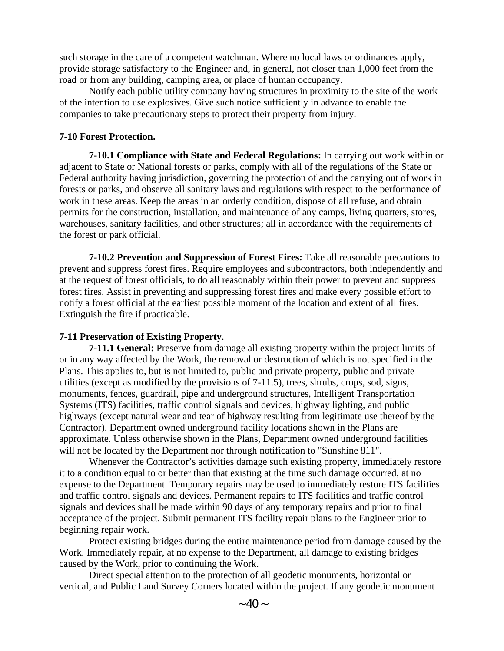such storage in the care of a competent watchman. Where no local laws or ordinances apply, provide storage satisfactory to the Engineer and, in general, not closer than 1,000 feet from the road or from any building, camping area, or place of human occupancy.

Notify each public utility company having structures in proximity to the site of the work of the intention to use explosives. Give such notice sufficiently in advance to enable the companies to take precautionary steps to protect their property from injury.

### **7-10 Forest Protection.**

**7-10.1 Compliance with State and Federal Regulations:** In carrying out work within or adjacent to State or National forests or parks, comply with all of the regulations of the State or Federal authority having jurisdiction, governing the protection of and the carrying out of work in forests or parks, and observe all sanitary laws and regulations with respect to the performance of work in these areas. Keep the areas in an orderly condition, dispose of all refuse, and obtain permits for the construction, installation, and maintenance of any camps, living quarters, stores, warehouses, sanitary facilities, and other structures; all in accordance with the requirements of the forest or park official.

**7-10.2 Prevention and Suppression of Forest Fires:** Take all reasonable precautions to prevent and suppress forest fires. Require employees and subcontractors, both independently and at the request of forest officials, to do all reasonably within their power to prevent and suppress forest fires. Assist in preventing and suppressing forest fires and make every possible effort to notify a forest official at the earliest possible moment of the location and extent of all fires. Extinguish the fire if practicable.

## **7-11 Preservation of Existing Property.**

**7-11.1 General:** Preserve from damage all existing property within the project limits of or in any way affected by the Work, the removal or destruction of which is not specified in the Plans. This applies to, but is not limited to, public and private property, public and private utilities (except as modified by the provisions of 7-11.5), trees, shrubs, crops, sod, signs, monuments, fences, guardrail, pipe and underground structures, Intelligent Transportation Systems (ITS) facilities, traffic control signals and devices, highway lighting, and public highways (except natural wear and tear of highway resulting from legitimate use thereof by the Contractor). Department owned underground facility locations shown in the Plans are approximate. Unless otherwise shown in the Plans, Department owned underground facilities will not be located by the Department nor through notification to "Sunshine 811".

Whenever the Contractor's activities damage such existing property, immediately restore it to a condition equal to or better than that existing at the time such damage occurred, at no expense to the Department. Temporary repairs may be used to immediately restore ITS facilities and traffic control signals and devices. Permanent repairs to ITS facilities and traffic control signals and devices shall be made within 90 days of any temporary repairs and prior to final acceptance of the project. Submit permanent ITS facility repair plans to the Engineer prior to beginning repair work.

Protect existing bridges during the entire maintenance period from damage caused by the Work. Immediately repair, at no expense to the Department, all damage to existing bridges caused by the Work, prior to continuing the Work.

Direct special attention to the protection of all geodetic monuments, horizontal or vertical, and Public Land Survey Corners located within the project. If any geodetic monument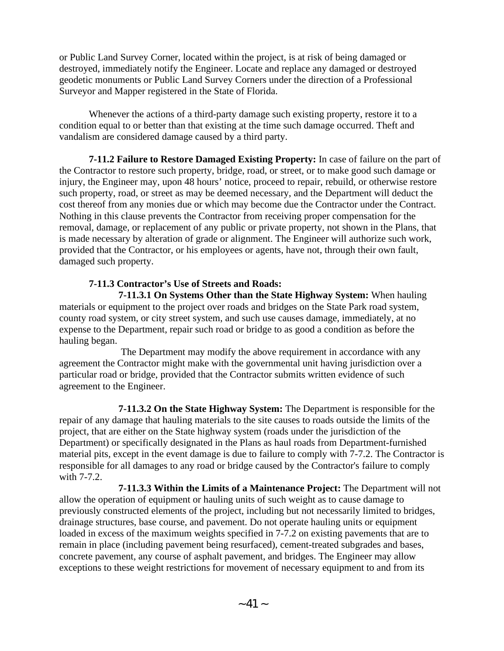or Public Land Survey Corner, located within the project, is at risk of being damaged or destroyed, immediately notify the Engineer. Locate and replace any damaged or destroyed geodetic monuments or Public Land Survey Corners under the direction of a Professional Surveyor and Mapper registered in the State of Florida.

Whenever the actions of a third-party damage such existing property, restore it to a condition equal to or better than that existing at the time such damage occurred. Theft and vandalism are considered damage caused by a third party.

**7-11.2 Failure to Restore Damaged Existing Property:** In case of failure on the part of the Contractor to restore such property, bridge, road, or street, or to make good such damage or injury, the Engineer may, upon 48 hours' notice, proceed to repair, rebuild, or otherwise restore such property, road, or street as may be deemed necessary, and the Department will deduct the cost thereof from any monies due or which may become due the Contractor under the Contract. Nothing in this clause prevents the Contractor from receiving proper compensation for the removal, damage, or replacement of any public or private property, not shown in the Plans, that is made necessary by alteration of grade or alignment. The Engineer will authorize such work, provided that the Contractor, or his employees or agents, have not, through their own fault, damaged such property.

# **7-11.3 Contractor's Use of Streets and Roads:**

 **7-11.3.1 On Systems Other than the State Highway System:** When hauling materials or equipment to the project over roads and bridges on the State Park road system, county road system, or city street system, and such use causes damage, immediately, at no expense to the Department, repair such road or bridge to as good a condition as before the hauling began.

 The Department may modify the above requirement in accordance with any agreement the Contractor might make with the governmental unit having jurisdiction over a particular road or bridge, provided that the Contractor submits written evidence of such agreement to the Engineer.

 **7-11.3.2 On the State Highway System:** The Department is responsible for the repair of any damage that hauling materials to the site causes to roads outside the limits of the project, that are either on the State highway system (roads under the jurisdiction of the Department) or specifically designated in the Plans as haul roads from Department-furnished material pits, except in the event damage is due to failure to comply with 7-7.2. The Contractor is responsible for all damages to any road or bridge caused by the Contractor's failure to comply with 7-7.2.

 **7-11.3.3 Within the Limits of a Maintenance Project:** The Department will not allow the operation of equipment or hauling units of such weight as to cause damage to previously constructed elements of the project, including but not necessarily limited to bridges, drainage structures, base course, and pavement. Do not operate hauling units or equipment loaded in excess of the maximum weights specified in 7-7.2 on existing pavements that are to remain in place (including pavement being resurfaced), cement-treated subgrades and bases, concrete pavement, any course of asphalt pavement, and bridges. The Engineer may allow exceptions to these weight restrictions for movement of necessary equipment to and from its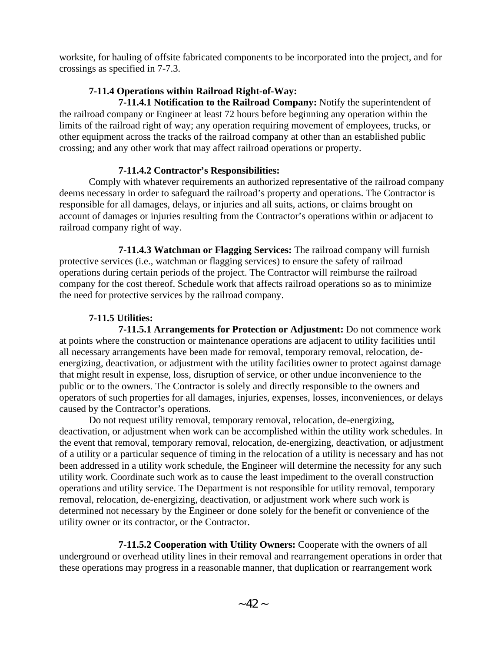worksite, for hauling of offsite fabricated components to be incorporated into the project, and for crossings as specified in 7-7.3.

# **7-11.4 Operations within Railroad Right-of-Way:**

 **7-11.4.1 Notification to the Railroad Company:** Notify the superintendent of the railroad company or Engineer at least 72 hours before beginning any operation within the limits of the railroad right of way; any operation requiring movement of employees, trucks, or other equipment across the tracks of the railroad company at other than an established public crossing; and any other work that may affect railroad operations or property.

# **7-11.4.2 Contractor's Responsibilities:**

Comply with whatever requirements an authorized representative of the railroad company deems necessary in order to safeguard the railroad's property and operations. The Contractor is responsible for all damages, delays, or injuries and all suits, actions, or claims brought on account of damages or injuries resulting from the Contractor's operations within or adjacent to railroad company right of way.

 **7-11.4.3 Watchman or Flagging Services:** The railroad company will furnish protective services (i.e., watchman or flagging services) to ensure the safety of railroad operations during certain periods of the project. The Contractor will reimburse the railroad company for the cost thereof. Schedule work that affects railroad operations so as to minimize the need for protective services by the railroad company.

# **7-11.5 Utilities:**

 **7-11.5.1 Arrangements for Protection or Adjustment:** Do not commence work at points where the construction or maintenance operations are adjacent to utility facilities until all necessary arrangements have been made for removal, temporary removal, relocation, deenergizing, deactivation, or adjustment with the utility facilities owner to protect against damage that might result in expense, loss, disruption of service, or other undue inconvenience to the public or to the owners. The Contractor is solely and directly responsible to the owners and operators of such properties for all damages, injuries, expenses, losses, inconveniences, or delays caused by the Contractor's operations.

Do not request utility removal, temporary removal, relocation, de-energizing, deactivation, or adjustment when work can be accomplished within the utility work schedules. In the event that removal, temporary removal, relocation, de-energizing, deactivation, or adjustment of a utility or a particular sequence of timing in the relocation of a utility is necessary and has not been addressed in a utility work schedule, the Engineer will determine the necessity for any such utility work. Coordinate such work as to cause the least impediment to the overall construction operations and utility service. The Department is not responsible for utility removal, temporary removal, relocation, de-energizing, deactivation, or adjustment work where such work is determined not necessary by the Engineer or done solely for the benefit or convenience of the utility owner or its contractor, or the Contractor.

 **7-11.5.2 Cooperation with Utility Owners:** Cooperate with the owners of all underground or overhead utility lines in their removal and rearrangement operations in order that these operations may progress in a reasonable manner, that duplication or rearrangement work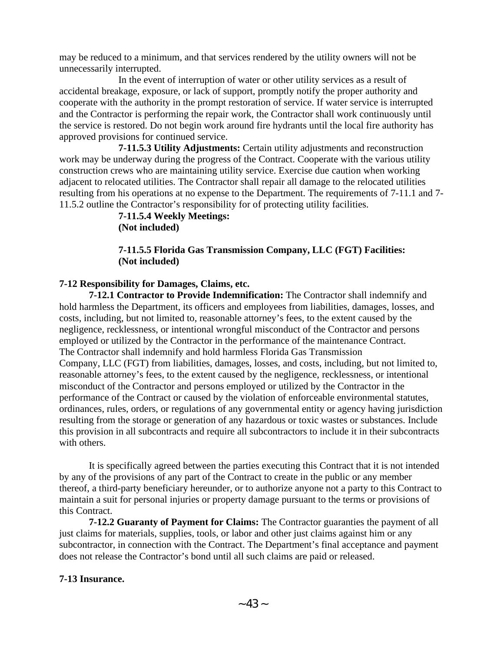may be reduced to a minimum, and that services rendered by the utility owners will not be unnecessarily interrupted.

 In the event of interruption of water or other utility services as a result of accidental breakage, exposure, or lack of support, promptly notify the proper authority and cooperate with the authority in the prompt restoration of service. If water service is interrupted and the Contractor is performing the repair work, the Contractor shall work continuously until the service is restored. Do not begin work around fire hydrants until the local fire authority has approved provisions for continued service.

 **7-11.5.3 Utility Adjustments:** Certain utility adjustments and reconstruction work may be underway during the progress of the Contract. Cooperate with the various utility construction crews who are maintaining utility service. Exercise due caution when working adjacent to relocated utilities. The Contractor shall repair all damage to the relocated utilities resulting from his operations at no expense to the Department. The requirements of 7-11.1 and 7- 11.5.2 outline the Contractor's responsibility for of protecting utility facilities.

> **7-11.5.4 Weekly Meetings: (Not included)**

## **7-11.5.5 Florida Gas Transmission Company, LLC (FGT) Facilities: (Not included)**

## **7-12 Responsibility for Damages, Claims, etc.**

**7-12.1 Contractor to Provide Indemnification:** The Contractor shall indemnify and hold harmless the Department, its officers and employees from liabilities, damages, losses, and costs, including, but not limited to, reasonable attorney's fees, to the extent caused by the negligence, recklessness, or intentional wrongful misconduct of the Contractor and persons employed or utilized by the Contractor in the performance of the maintenance Contract. The Contractor shall indemnify and hold harmless Florida Gas Transmission Company, LLC (FGT) from liabilities, damages, losses, and costs, including, but not limited to, reasonable attorney's fees, to the extent caused by the negligence, recklessness, or intentional misconduct of the Contractor and persons employed or utilized by the Contractor in the performance of the Contract or caused by the violation of enforceable environmental statutes, ordinances, rules, orders, or regulations of any governmental entity or agency having jurisdiction resulting from the storage or generation of any hazardous or toxic wastes or substances. Include this provision in all subcontracts and require all subcontractors to include it in their subcontracts with others.

It is specifically agreed between the parties executing this Contract that it is not intended by any of the provisions of any part of the Contract to create in the public or any member thereof, a third-party beneficiary hereunder, or to authorize anyone not a party to this Contract to maintain a suit for personal injuries or property damage pursuant to the terms or provisions of this Contract.

**7-12.2 Guaranty of Payment for Claims:** The Contractor guaranties the payment of all just claims for materials, supplies, tools, or labor and other just claims against him or any subcontractor, in connection with the Contract. The Department's final acceptance and payment does not release the Contractor's bond until all such claims are paid or released.

## **7-13 Insurance.**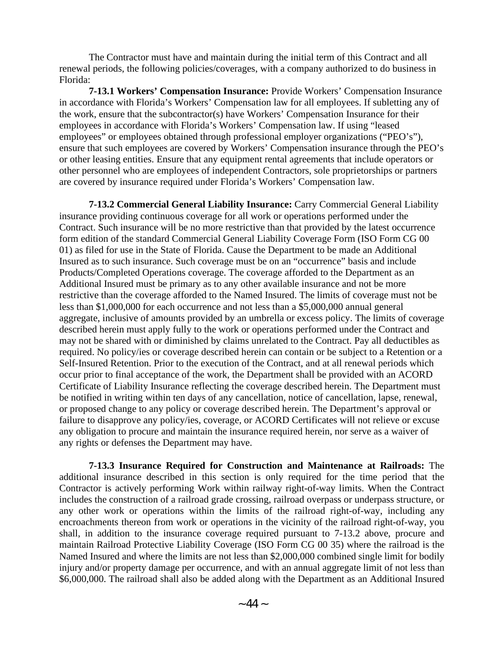The Contractor must have and maintain during the initial term of this Contract and all renewal periods, the following policies/coverages, with a company authorized to do business in Florida:

**7-13.1 Workers' Compensation Insurance:** Provide Workers' Compensation Insurance in accordance with Florida's Workers' Compensation law for all employees. If subletting any of the work, ensure that the subcontractor(s) have Workers' Compensation Insurance for their employees in accordance with Florida's Workers' Compensation law. If using "leased employees" or employees obtained through professional employer organizations ("PEO's"), ensure that such employees are covered by Workers' Compensation insurance through the PEO's or other leasing entities. Ensure that any equipment rental agreements that include operators or other personnel who are employees of independent Contractors, sole proprietorships or partners are covered by insurance required under Florida's Workers' Compensation law.

**7-13.2 Commercial General Liability Insurance:** Carry Commercial General Liability insurance providing continuous coverage for all work or operations performed under the Contract. Such insurance will be no more restrictive than that provided by the latest occurrence form edition of the standard Commercial General Liability Coverage Form (ISO Form CG 00 01) as filed for use in the State of Florida. Cause the Department to be made an Additional Insured as to such insurance. Such coverage must be on an "occurrence" basis and include Products/Completed Operations coverage. The coverage afforded to the Department as an Additional Insured must be primary as to any other available insurance and not be more restrictive than the coverage afforded to the Named Insured. The limits of coverage must not be less than \$1,000,000 for each occurrence and not less than a \$5,000,000 annual general aggregate, inclusive of amounts provided by an umbrella or excess policy. The limits of coverage described herein must apply fully to the work or operations performed under the Contract and may not be shared with or diminished by claims unrelated to the Contract. Pay all deductibles as required. No policy/ies or coverage described herein can contain or be subject to a Retention or a Self-Insured Retention. Prior to the execution of the Contract, and at all renewal periods which occur prior to final acceptance of the work, the Department shall be provided with an ACORD Certificate of Liability Insurance reflecting the coverage described herein. The Department must be notified in writing within ten days of any cancellation, notice of cancellation, lapse, renewal, or proposed change to any policy or coverage described herein. The Department's approval or failure to disapprove any policy/ies, coverage, or ACORD Certificates will not relieve or excuse any obligation to procure and maintain the insurance required herein, nor serve as a waiver of any rights or defenses the Department may have.

**7-13.3 Insurance Required for Construction and Maintenance at Railroads:** The additional insurance described in this section is only required for the time period that the Contractor is actively performing Work within railway right-of-way limits. When the Contract includes the construction of a railroad grade crossing, railroad overpass or underpass structure, or any other work or operations within the limits of the railroad right-of-way, including any encroachments thereon from work or operations in the vicinity of the railroad right-of-way, you shall, in addition to the insurance coverage required pursuant to 7-13.2 above, procure and maintain Railroad Protective Liability Coverage (ISO Form CG 00 35) where the railroad is the Named Insured and where the limits are not less than \$2,000,000 combined single limit for bodily injury and/or property damage per occurrence, and with an annual aggregate limit of not less than \$6,000,000. The railroad shall also be added along with the Department as an Additional Insured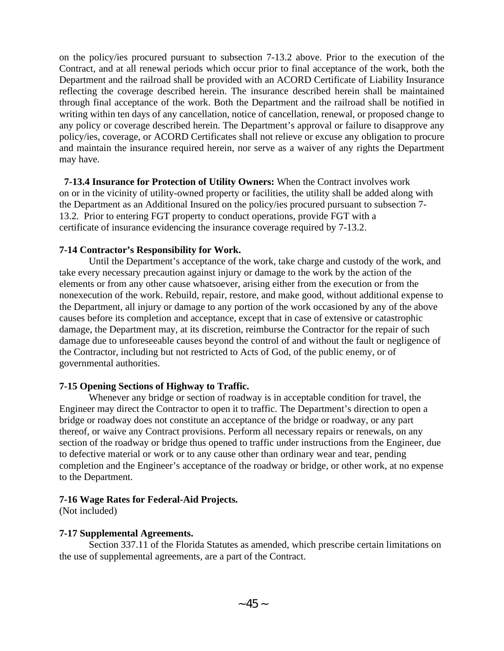on the policy/ies procured pursuant to subsection 7-13.2 above. Prior to the execution of the Contract, and at all renewal periods which occur prior to final acceptance of the work, both the Department and the railroad shall be provided with an ACORD Certificate of Liability Insurance reflecting the coverage described herein. The insurance described herein shall be maintained through final acceptance of the work. Both the Department and the railroad shall be notified in writing within ten days of any cancellation, notice of cancellation, renewal, or proposed change to any policy or coverage described herein. The Department's approval or failure to disapprove any policy/ies, coverage, or ACORD Certificates shall not relieve or excuse any obligation to procure and maintain the insurance required herein, nor serve as a waiver of any rights the Department may have.

**7-13.4 Insurance for Protection of Utility Owners:** When the Contract involves work on or in the vicinity of utility-owned property or facilities, the utility shall be added along with the Department as an Additional Insured on the policy/ies procured pursuant to subsection 7- 13.2. Prior to entering FGT property to conduct operations, provide FGT with a certificate of insurance evidencing the insurance coverage required by 7-13.2.

## **7-14 Contractor's Responsibility for Work.**

Until the Department's acceptance of the work, take charge and custody of the work, and take every necessary precaution against injury or damage to the work by the action of the elements or from any other cause whatsoever, arising either from the execution or from the nonexecution of the work. Rebuild, repair, restore, and make good, without additional expense to the Department, all injury or damage to any portion of the work occasioned by any of the above causes before its completion and acceptance, except that in case of extensive or catastrophic damage, the Department may, at its discretion, reimburse the Contractor for the repair of such damage due to unforeseeable causes beyond the control of and without the fault or negligence of the Contractor, including but not restricted to Acts of God, of the public enemy, or of governmental authorities.

# **7-15 Opening Sections of Highway to Traffic.**

Whenever any bridge or section of roadway is in acceptable condition for travel, the Engineer may direct the Contractor to open it to traffic. The Department's direction to open a bridge or roadway does not constitute an acceptance of the bridge or roadway, or any part thereof, or waive any Contract provisions. Perform all necessary repairs or renewals, on any section of the roadway or bridge thus opened to traffic under instructions from the Engineer, due to defective material or work or to any cause other than ordinary wear and tear, pending completion and the Engineer's acceptance of the roadway or bridge, or other work, at no expense to the Department.

## **7-16 Wage Rates for Federal-Aid Projects.**

(Not included)

## **7-17 Supplemental Agreements.**

Section 337.11 of the Florida Statutes as amended, which prescribe certain limitations on the use of supplemental agreements, are a part of the Contract.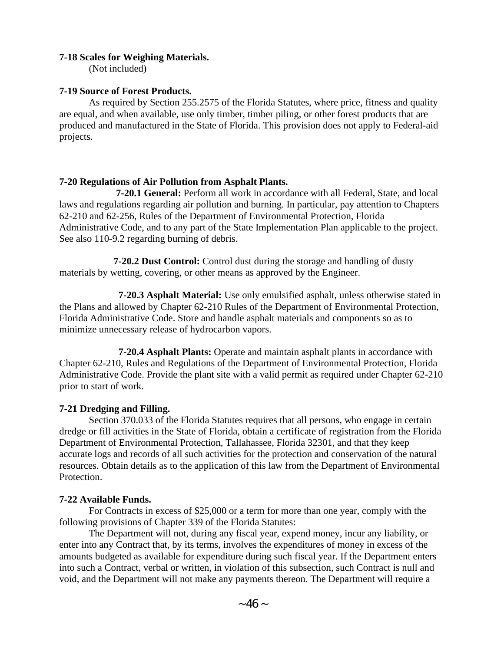### **7-18 Scales for Weighing Materials.**

(Not included)

### **7-19 Source of Forest Products.**

As required by Section 255.2575 of the Florida Statutes, where price, fitness and quality are equal, and when available, use only timber, timber piling, or other forest products that are produced and manufactured in the State of Florida. This provision does not apply to Federal-aid projects.

## **7-20 Regulations of Air Pollution from Asphalt Plants.**

 **7-20.1 General:** Perform all work in accordance with all Federal, State, and local laws and regulations regarding air pollution and burning. In particular, pay attention to Chapters 62-210 and 62-256, Rules of the Department of Environmental Protection, Florida Administrative Code, and to any part of the State Implementation Plan applicable to the project. See also 110-9.2 regarding burning of debris.

**7-20.2 Dust Control:** Control dust during the storage and handling of dusty materials by wetting, covering, or other means as approved by the Engineer.

 **7-20.3 Asphalt Material:** Use only emulsified asphalt, unless otherwise stated in the Plans and allowed by Chapter 62-210 Rules of the Department of Environmental Protection, Florida Administrative Code. Store and handle asphalt materials and components so as to minimize unnecessary release of hydrocarbon vapors.

 **7-20.4 Asphalt Plants:** Operate and maintain asphalt plants in accordance with Chapter 62-210, Rules and Regulations of the Department of Environmental Protection, Florida Administrative Code. Provide the plant site with a valid permit as required under Chapter 62-210 prior to start of work.

## **7-21 Dredging and Filling.**

Section 370.033 of the Florida Statutes requires that all persons, who engage in certain dredge or fill activities in the State of Florida, obtain a certificate of registration from the Florida Department of Environmental Protection, Tallahassee, Florida 32301, and that they keep accurate logs and records of all such activities for the protection and conservation of the natural resources. Obtain details as to the application of this law from the Department of Environmental Protection.

## **7-22 Available Funds.**

For Contracts in excess of \$25,000 or a term for more than one year, comply with the following provisions of Chapter 339 of the Florida Statutes:

The Department will not, during any fiscal year, expend money, incur any liability, or enter into any Contract that, by its terms, involves the expenditures of money in excess of the amounts budgeted as available for expenditure during such fiscal year. If the Department enters into such a Contract, verbal or written, in violation of this subsection, such Contract is null and void, and the Department will not make any payments thereon. The Department will require a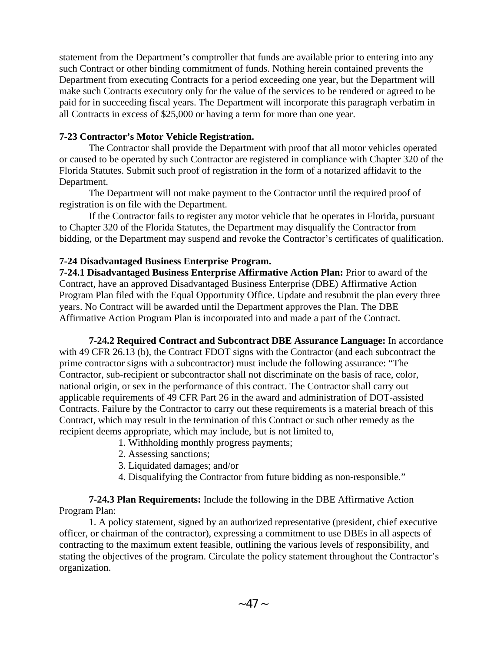statement from the Department's comptroller that funds are available prior to entering into any such Contract or other binding commitment of funds. Nothing herein contained prevents the Department from executing Contracts for a period exceeding one year, but the Department will make such Contracts executory only for the value of the services to be rendered or agreed to be paid for in succeeding fiscal years. The Department will incorporate this paragraph verbatim in all Contracts in excess of \$25,000 or having a term for more than one year.

## **7-23 Contractor's Motor Vehicle Registration.**

The Contractor shall provide the Department with proof that all motor vehicles operated or caused to be operated by such Contractor are registered in compliance with Chapter 320 of the Florida Statutes. Submit such proof of registration in the form of a notarized affidavit to the Department.

The Department will not make payment to the Contractor until the required proof of registration is on file with the Department.

If the Contractor fails to register any motor vehicle that he operates in Florida, pursuant to Chapter 320 of the Florida Statutes, the Department may disqualify the Contractor from bidding, or the Department may suspend and revoke the Contractor's certificates of qualification.

## **7-24 Disadvantaged Business Enterprise Program.**

**7-24.1 Disadvantaged Business Enterprise Affirmative Action Plan:** Prior to award of the Contract, have an approved Disadvantaged Business Enterprise (DBE) Affirmative Action Program Plan filed with the Equal Opportunity Office. Update and resubmit the plan every three years. No Contract will be awarded until the Department approves the Plan. The DBE Affirmative Action Program Plan is incorporated into and made a part of the Contract.

**7-24.2 Required Contract and Subcontract DBE Assurance Language:** In accordance with 49 CFR 26.13 (b), the Contract FDOT signs with the Contractor (and each subcontract the prime contractor signs with a subcontractor) must include the following assurance: "The Contractor, sub-recipient or subcontractor shall not discriminate on the basis of race, color, national origin, or sex in the performance of this contract. The Contractor shall carry out applicable requirements of 49 CFR Part 26 in the award and administration of DOT-assisted Contracts. Failure by the Contractor to carry out these requirements is a material breach of this Contract, which may result in the termination of this Contract or such other remedy as the recipient deems appropriate, which may include, but is not limited to,

- 1. Withholding monthly progress payments;
- 2. Assessing sanctions;
- 3. Liquidated damages; and/or
- 4. Disqualifying the Contractor from future bidding as non-responsible."

## **7-24.3 Plan Requirements:** Include the following in the DBE Affirmative Action Program Plan:

1. A policy statement, signed by an authorized representative (president, chief executive officer, or chairman of the contractor), expressing a commitment to use DBEs in all aspects of contracting to the maximum extent feasible, outlining the various levels of responsibility, and stating the objectives of the program. Circulate the policy statement throughout the Contractor's organization.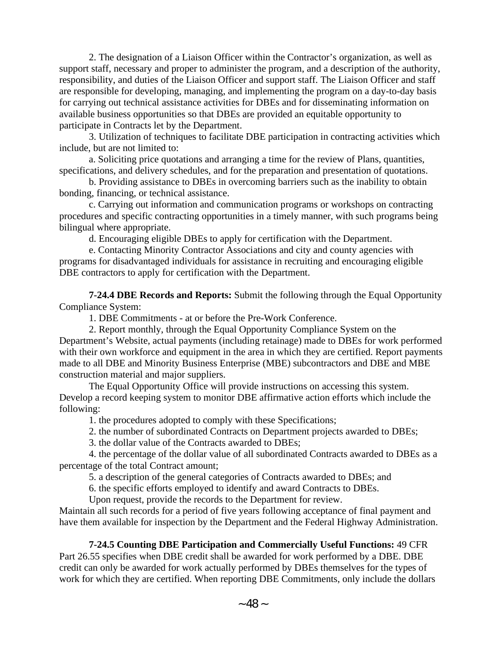2. The designation of a Liaison Officer within the Contractor's organization, as well as support staff, necessary and proper to administer the program, and a description of the authority, responsibility, and duties of the Liaison Officer and support staff. The Liaison Officer and staff are responsible for developing, managing, and implementing the program on a day-to-day basis for carrying out technical assistance activities for DBEs and for disseminating information on available business opportunities so that DBEs are provided an equitable opportunity to participate in Contracts let by the Department.

3. Utilization of techniques to facilitate DBE participation in contracting activities which include, but are not limited to:

a. Soliciting price quotations and arranging a time for the review of Plans, quantities, specifications, and delivery schedules, and for the preparation and presentation of quotations.

b. Providing assistance to DBEs in overcoming barriers such as the inability to obtain bonding, financing, or technical assistance.

c. Carrying out information and communication programs or workshops on contracting procedures and specific contracting opportunities in a timely manner, with such programs being bilingual where appropriate.

d. Encouraging eligible DBEs to apply for certification with the Department.

e. Contacting Minority Contractor Associations and city and county agencies with programs for disadvantaged individuals for assistance in recruiting and encouraging eligible DBE contractors to apply for certification with the Department.

**7-24.4 DBE Records and Reports:** Submit the following through the Equal Opportunity Compliance System:

1. DBE Commitments - at or before the Pre-Work Conference.

2. Report monthly, through the Equal Opportunity Compliance System on the Department's Website, actual payments (including retainage) made to DBEs for work performed with their own workforce and equipment in the area in which they are certified. Report payments made to all DBE and Minority Business Enterprise (MBE) subcontractors and DBE and MBE construction material and major suppliers.

The Equal Opportunity Office will provide instructions on accessing this system. Develop a record keeping system to monitor DBE affirmative action efforts which include the following:

1. the procedures adopted to comply with these Specifications;

2. the number of subordinated Contracts on Department projects awarded to DBEs;

3. the dollar value of the Contracts awarded to DBEs;

4. the percentage of the dollar value of all subordinated Contracts awarded to DBEs as a percentage of the total Contract amount;

5. a description of the general categories of Contracts awarded to DBEs; and

6. the specific efforts employed to identify and award Contracts to DBEs.

Upon request, provide the records to the Department for review.

Maintain all such records for a period of five years following acceptance of final payment and have them available for inspection by the Department and the Federal Highway Administration.

# **7-24.5 Counting DBE Participation and Commercially Useful Functions:** 49 CFR

Part 26.55 specifies when DBE credit shall be awarded for work performed by a DBE. DBE credit can only be awarded for work actually performed by DBEs themselves for the types of work for which they are certified. When reporting DBE Commitments, only include the dollars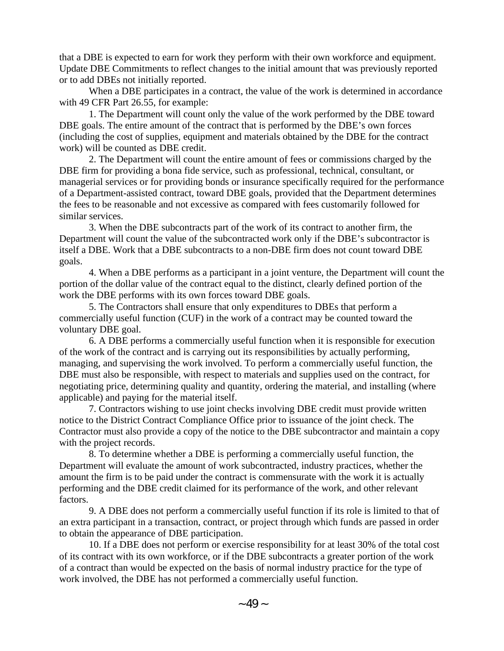that a DBE is expected to earn for work they perform with their own workforce and equipment. Update DBE Commitments to reflect changes to the initial amount that was previously reported or to add DBEs not initially reported.

When a DBE participates in a contract, the value of the work is determined in accordance with 49 CFR Part 26.55, for example:

1. The Department will count only the value of the work performed by the DBE toward DBE goals. The entire amount of the contract that is performed by the DBE's own forces (including the cost of supplies, equipment and materials obtained by the DBE for the contract work) will be counted as DBE credit.

2. The Department will count the entire amount of fees or commissions charged by the DBE firm for providing a bona fide service, such as professional, technical, consultant, or managerial services or for providing bonds or insurance specifically required for the performance of a Department-assisted contract, toward DBE goals, provided that the Department determines the fees to be reasonable and not excessive as compared with fees customarily followed for similar services.

3. When the DBE subcontracts part of the work of its contract to another firm, the Department will count the value of the subcontracted work only if the DBE's subcontractor is itself a DBE. Work that a DBE subcontracts to a non-DBE firm does not count toward DBE goals.

4. When a DBE performs as a participant in a joint venture, the Department will count the portion of the dollar value of the contract equal to the distinct, clearly defined portion of the work the DBE performs with its own forces toward DBE goals.

5. The Contractors shall ensure that only expenditures to DBEs that perform a commercially useful function (CUF) in the work of a contract may be counted toward the voluntary DBE goal.

6. A DBE performs a commercially useful function when it is responsible for execution of the work of the contract and is carrying out its responsibilities by actually performing, managing, and supervising the work involved. To perform a commercially useful function, the DBE must also be responsible, with respect to materials and supplies used on the contract, for negotiating price, determining quality and quantity, ordering the material, and installing (where applicable) and paying for the material itself.

7. Contractors wishing to use joint checks involving DBE credit must provide written notice to the District Contract Compliance Office prior to issuance of the joint check. The Contractor must also provide a copy of the notice to the DBE subcontractor and maintain a copy with the project records.

8. To determine whether a DBE is performing a commercially useful function, the Department will evaluate the amount of work subcontracted, industry practices, whether the amount the firm is to be paid under the contract is commensurate with the work it is actually performing and the DBE credit claimed for its performance of the work, and other relevant factors.

9. A DBE does not perform a commercially useful function if its role is limited to that of an extra participant in a transaction, contract, or project through which funds are passed in order to obtain the appearance of DBE participation.

10. If a DBE does not perform or exercise responsibility for at least 30% of the total cost of its contract with its own workforce, or if the DBE subcontracts a greater portion of the work of a contract than would be expected on the basis of normal industry practice for the type of work involved, the DBE has not performed a commercially useful function.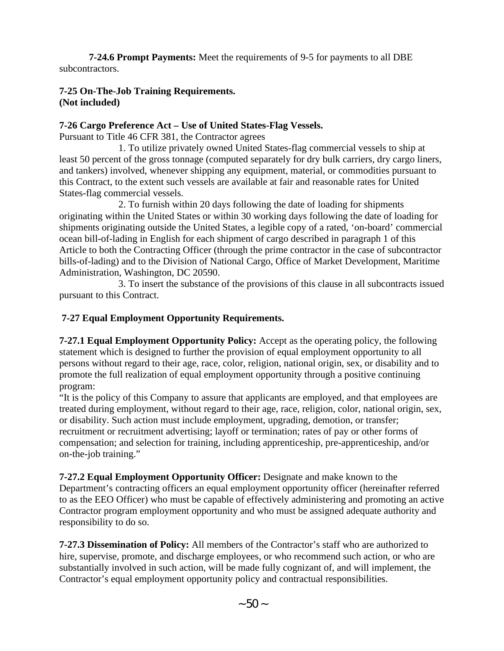**7-24.6 Prompt Payments:** Meet the requirements of 9-5 for payments to all DBE subcontractors.

# **7-25 On-The-Job Training Requirements. (Not included)**

## **7-26 Cargo Preference Act – Use of United States-Flag Vessels.**

Pursuant to Title 46 CFR 381, the Contractor agrees

1. To utilize privately owned United States-flag commercial vessels to ship at least 50 percent of the gross tonnage (computed separately for dry bulk carriers, dry cargo liners, and tankers) involved, whenever shipping any equipment, material, or commodities pursuant to this Contract, to the extent such vessels are available at fair and reasonable rates for United States-flag commercial vessels.

2. To furnish within 20 days following the date of loading for shipments originating within the United States or within 30 working days following the date of loading for shipments originating outside the United States, a legible copy of a rated, 'on-board' commercial ocean bill-of-lading in English for each shipment of cargo described in paragraph 1 of this Article to both the Contracting Officer (through the prime contractor in the case of subcontractor bills-of-lading) and to the Division of National Cargo, Office of Market Development, Maritime Administration, Washington, DC 20590.

3. To insert the substance of the provisions of this clause in all subcontracts issued pursuant to this Contract.

# **7-27 Equal Employment Opportunity Requirements.**

**7-27.1 Equal Employment Opportunity Policy:** Accept as the operating policy, the following statement which is designed to further the provision of equal employment opportunity to all persons without regard to their age, race, color, religion, national origin, sex, or disability and to promote the full realization of equal employment opportunity through a positive continuing program:

"It is the policy of this Company to assure that applicants are employed, and that employees are treated during employment, without regard to their age, race, religion, color, national origin, sex, or disability. Such action must include employment, upgrading, demotion, or transfer; recruitment or recruitment advertising; layoff or termination; rates of pay or other forms of compensation; and selection for training, including apprenticeship, pre-apprenticeship, and/or on-the-job training."

**7-27.2 Equal Employment Opportunity Officer:** Designate and make known to the Department's contracting officers an equal employment opportunity officer (hereinafter referred to as the EEO Officer) who must be capable of effectively administering and promoting an active Contractor program employment opportunity and who must be assigned adequate authority and responsibility to do so.

**7-27.3 Dissemination of Policy:** All members of the Contractor's staff who are authorized to hire, supervise, promote, and discharge employees, or who recommend such action, or who are substantially involved in such action, will be made fully cognizant of, and will implement, the Contractor's equal employment opportunity policy and contractual responsibilities.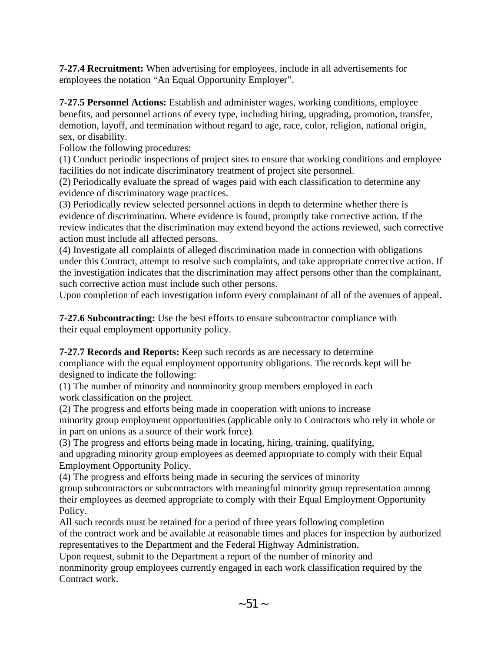**7-27.4 Recruitment:** When advertising for employees, include in all advertisements for employees the notation "An Equal Opportunity Employer".

**7-27.5 Personnel Actions:** Establish and administer wages, working conditions, employee benefits, and personnel actions of every type, including hiring, upgrading, promotion, transfer, demotion, layoff, and termination without regard to age, race, color, religion, national origin, sex, or disability.

Follow the following procedures:

(1) Conduct periodic inspections of project sites to ensure that working conditions and employee facilities do not indicate discriminatory treatment of project site personnel.

(2) Periodically evaluate the spread of wages paid with each classification to determine any evidence of discriminatory wage practices.

(3) Periodically review selected personnel actions in depth to determine whether there is evidence of discrimination. Where evidence is found, promptly take corrective action. If the review indicates that the discrimination may extend beyond the actions reviewed, such corrective action must include all affected persons.

(4) Investigate all complaints of alleged discrimination made in connection with obligations under this Contract, attempt to resolve such complaints, and take appropriate corrective action. If the investigation indicates that the discrimination may affect persons other than the complainant, such corrective action must include such other persons.

Upon completion of each investigation inform every complainant of all of the avenues of appeal.

**7-27.6 Subcontracting:** Use the best efforts to ensure subcontractor compliance with their equal employment opportunity policy.

**7-27.7 Records and Reports:** Keep such records as are necessary to determine

compliance with the equal employment opportunity obligations. The records kept will be designed to indicate the following:

(1) The number of minority and nonminority group members employed in each work classification on the project.

(2) The progress and efforts being made in cooperation with unions to increase minority group employment opportunities (applicable only to Contractors who rely in whole or in part on unions as a source of their work force).

(3) The progress and efforts being made in locating, hiring, training, qualifying, and upgrading minority group employees as deemed appropriate to comply with their Equal Employment Opportunity Policy.

(4) The progress and efforts being made in securing the services of minority

group subcontractors or subcontractors with meaningful minority group representation among their employees as deemed appropriate to comply with their Equal Employment Opportunity Policy.

All such records must be retained for a period of three years following completion of the contract work and be available at reasonable times and places for inspection by authorized representatives to the Department and the Federal Highway Administration.

Upon request, submit to the Department a report of the number of minority and nonminority group employees currently engaged in each work classification required by the Contract work.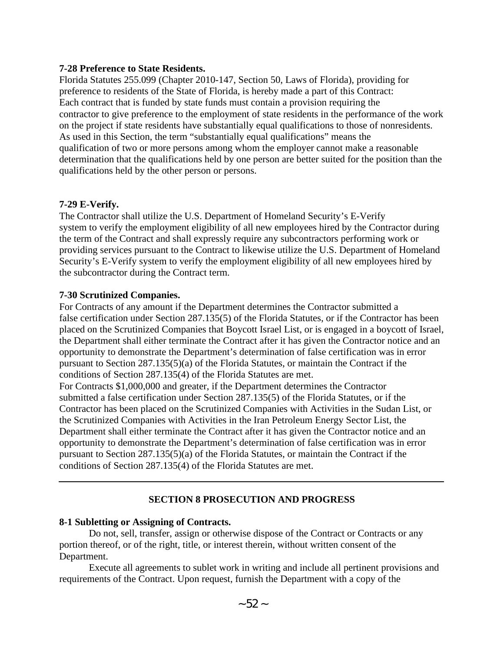#### **7-28 Preference to State Residents.**

Florida Statutes 255.099 (Chapter 2010-147, Section 50, Laws of Florida), providing for preference to residents of the State of Florida, is hereby made a part of this Contract: Each contract that is funded by state funds must contain a provision requiring the contractor to give preference to the employment of state residents in the performance of the work on the project if state residents have substantially equal qualifications to those of nonresidents. As used in this Section, the term "substantially equal qualifications" means the qualification of two or more persons among whom the employer cannot make a reasonable determination that the qualifications held by one person are better suited for the position than the qualifications held by the other person or persons.

### **7-29 E-Verify.**

The Contractor shall utilize the U.S. Department of Homeland Security's E-Verify system to verify the employment eligibility of all new employees hired by the Contractor during the term of the Contract and shall expressly require any subcontractors performing work or providing services pursuant to the Contract to likewise utilize the U.S. Department of Homeland Security's E-Verify system to verify the employment eligibility of all new employees hired by the subcontractor during the Contract term.

### **7-30 Scrutinized Companies.**

For Contracts of any amount if the Department determines the Contractor submitted a false certification under Section 287.135(5) of the Florida Statutes, or if the Contractor has been placed on the Scrutinized Companies that Boycott Israel List, or is engaged in a boycott of Israel, the Department shall either terminate the Contract after it has given the Contractor notice and an opportunity to demonstrate the Department's determination of false certification was in error pursuant to Section 287.135(5)(a) of the Florida Statutes, or maintain the Contract if the conditions of Section 287.135(4) of the Florida Statutes are met.

For Contracts \$1,000,000 and greater, if the Department determines the Contractor submitted a false certification under Section 287.135(5) of the Florida Statutes, or if the Contractor has been placed on the Scrutinized Companies with Activities in the Sudan List, or the Scrutinized Companies with Activities in the Iran Petroleum Energy Sector List, the Department shall either terminate the Contract after it has given the Contractor notice and an opportunity to demonstrate the Department's determination of false certification was in error pursuant to Section 287.135(5)(a) of the Florida Statutes, or maintain the Contract if the conditions of Section 287.135(4) of the Florida Statutes are met.

## **SECTION 8 PROSECUTION AND PROGRESS**

## **8-1 Subletting or Assigning of Contracts.**

Do not, sell, transfer, assign or otherwise dispose of the Contract or Contracts or any portion thereof, or of the right, title, or interest therein, without written consent of the Department.

Execute all agreements to sublet work in writing and include all pertinent provisions and requirements of the Contract. Upon request, furnish the Department with a copy of the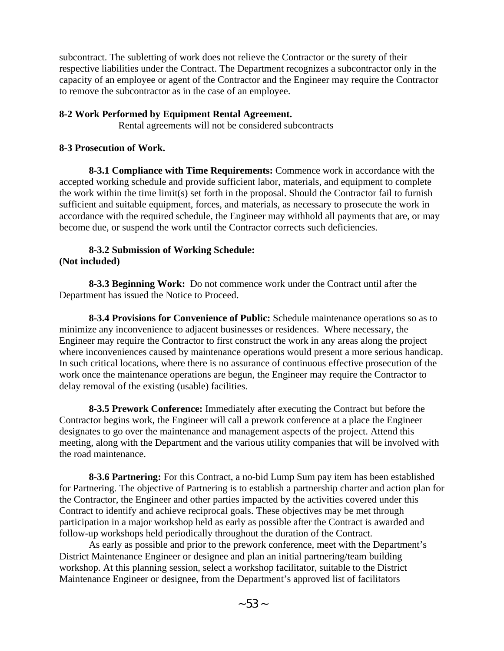subcontract. The subletting of work does not relieve the Contractor or the surety of their respective liabilities under the Contract. The Department recognizes a subcontractor only in the capacity of an employee or agent of the Contractor and the Engineer may require the Contractor to remove the subcontractor as in the case of an employee.

### **8-2 Work Performed by Equipment Rental Agreement.**

Rental agreements will not be considered subcontracts

### **8-3 Prosecution of Work.**

**8-3.1 Compliance with Time Requirements:** Commence work in accordance with the accepted working schedule and provide sufficient labor, materials, and equipment to complete the work within the time limit(s) set forth in the proposal. Should the Contractor fail to furnish sufficient and suitable equipment, forces, and materials, as necessary to prosecute the work in accordance with the required schedule, the Engineer may withhold all payments that are, or may become due, or suspend the work until the Contractor corrects such deficiencies.

### **8-3.2 Submission of Working Schedule: (Not included)**

**8-3.3 Beginning Work:** Do not commence work under the Contract until after the Department has issued the Notice to Proceed.

**8-3.4 Provisions for Convenience of Public:** Schedule maintenance operations so as to minimize any inconvenience to adjacent businesses or residences. Where necessary, the Engineer may require the Contractor to first construct the work in any areas along the project where inconveniences caused by maintenance operations would present a more serious handicap. In such critical locations, where there is no assurance of continuous effective prosecution of the work once the maintenance operations are begun, the Engineer may require the Contractor to delay removal of the existing (usable) facilities.

**8-3.5 Prework Conference:** Immediately after executing the Contract but before the Contractor begins work, the Engineer will call a prework conference at a place the Engineer designates to go over the maintenance and management aspects of the project. Attend this meeting, along with the Department and the various utility companies that will be involved with the road maintenance.

**8-3.6 Partnering:** For this Contract, a no-bid Lump Sum pay item has been established for Partnering. The objective of Partnering is to establish a partnership charter and action plan for the Contractor, the Engineer and other parties impacted by the activities covered under this Contract to identify and achieve reciprocal goals. These objectives may be met through participation in a major workshop held as early as possible after the Contract is awarded and follow-up workshops held periodically throughout the duration of the Contract.

As early as possible and prior to the prework conference, meet with the Department's District Maintenance Engineer or designee and plan an initial partnering/team building workshop. At this planning session, select a workshop facilitator, suitable to the District Maintenance Engineer or designee, from the Department's approved list of facilitators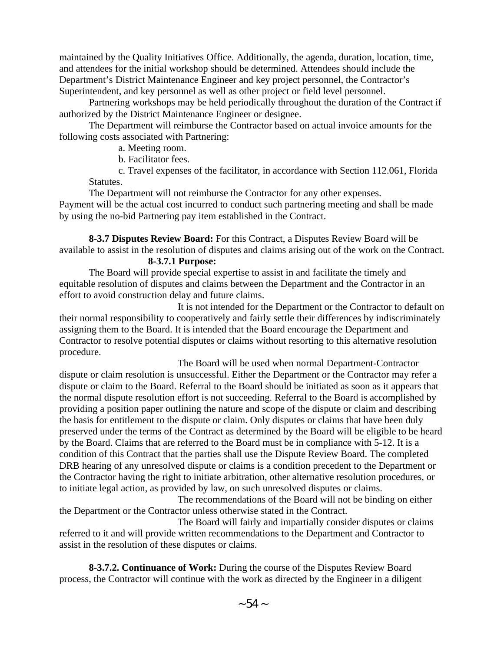maintained by the Quality Initiatives Office. Additionally, the agenda, duration, location, time, and attendees for the initial workshop should be determined. Attendees should include the Department's District Maintenance Engineer and key project personnel, the Contractor's Superintendent, and key personnel as well as other project or field level personnel.

Partnering workshops may be held periodically throughout the duration of the Contract if authorized by the District Maintenance Engineer or designee.

The Department will reimburse the Contractor based on actual invoice amounts for the following costs associated with Partnering:

a. Meeting room.

b. Facilitator fees.

c. Travel expenses of the facilitator, in accordance with Section 112.061, Florida Statutes.

The Department will not reimburse the Contractor for any other expenses. Payment will be the actual cost incurred to conduct such partnering meeting and shall be made by using the no-bid Partnering pay item established in the Contract.

**8-3.7 Disputes Review Board:** For this Contract, a Disputes Review Board will be available to assist in the resolution of disputes and claims arising out of the work on the Contract.

## **8-3.7.1 Purpose:**

The Board will provide special expertise to assist in and facilitate the timely and equitable resolution of disputes and claims between the Department and the Contractor in an effort to avoid construction delay and future claims.

It is not intended for the Department or the Contractor to default on their normal responsibility to cooperatively and fairly settle their differences by indiscriminately assigning them to the Board. It is intended that the Board encourage the Department and Contractor to resolve potential disputes or claims without resorting to this alternative resolution procedure.

The Board will be used when normal Department-Contractor dispute or claim resolution is unsuccessful. Either the Department or the Contractor may refer a dispute or claim to the Board. Referral to the Board should be initiated as soon as it appears that the normal dispute resolution effort is not succeeding. Referral to the Board is accomplished by providing a position paper outlining the nature and scope of the dispute or claim and describing the basis for entitlement to the dispute or claim. Only disputes or claims that have been duly preserved under the terms of the Contract as determined by the Board will be eligible to be heard by the Board. Claims that are referred to the Board must be in compliance with 5-12. It is a condition of this Contract that the parties shall use the Dispute Review Board. The completed DRB hearing of any unresolved dispute or claims is a condition precedent to the Department or the Contractor having the right to initiate arbitration, other alternative resolution procedures, or to initiate legal action, as provided by law, on such unresolved disputes or claims.

The recommendations of the Board will not be binding on either the Department or the Contractor unless otherwise stated in the Contract.

The Board will fairly and impartially consider disputes or claims referred to it and will provide written recommendations to the Department and Contractor to assist in the resolution of these disputes or claims.

**8-3.7.2. Continuance of Work:** During the course of the Disputes Review Board process, the Contractor will continue with the work as directed by the Engineer in a diligent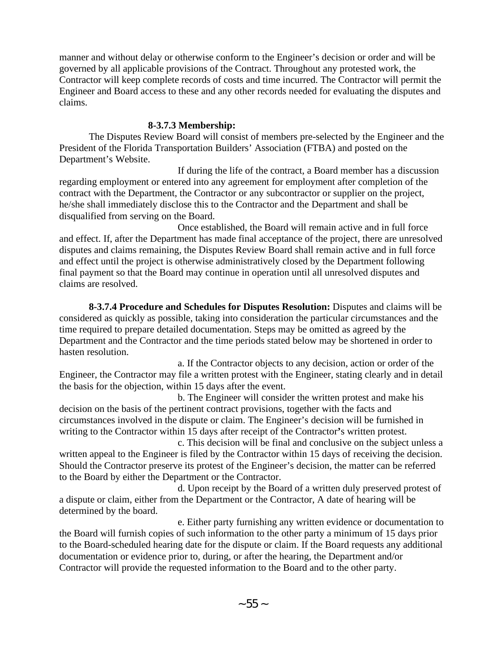manner and without delay or otherwise conform to the Engineer's decision or order and will be governed by all applicable provisions of the Contract. Throughout any protested work, the Contractor will keep complete records of costs and time incurred. The Contractor will permit the Engineer and Board access to these and any other records needed for evaluating the disputes and claims.

### **8-3.7.3 Membership:**

The Disputes Review Board will consist of members pre-selected by the Engineer and the President of the Florida Transportation Builders' Association (FTBA) and posted on the Department's Website.

If during the life of the contract, a Board member has a discussion regarding employment or entered into any agreement for employment after completion of the contract with the Department, the Contractor or any subcontractor or supplier on the project, he/she shall immediately disclose this to the Contractor and the Department and shall be disqualified from serving on the Board.

Once established, the Board will remain active and in full force and effect. If, after the Department has made final acceptance of the project, there are unresolved disputes and claims remaining, the Disputes Review Board shall remain active and in full force and effect until the project is otherwise administratively closed by the Department following final payment so that the Board may continue in operation until all unresolved disputes and claims are resolved.

**8-3.7.4 Procedure and Schedules for Disputes Resolution:** Disputes and claims will be considered as quickly as possible, taking into consideration the particular circumstances and the time required to prepare detailed documentation. Steps may be omitted as agreed by the Department and the Contractor and the time periods stated below may be shortened in order to hasten resolution.

a. If the Contractor objects to any decision, action or order of the Engineer, the Contractor may file a written protest with the Engineer, stating clearly and in detail the basis for the objection, within 15 days after the event.

b. The Engineer will consider the written protest and make his decision on the basis of the pertinent contract provisions, together with the facts and circumstances involved in the dispute or claim. The Engineer's decision will be furnished in writing to the Contractor within 15 days after receipt of the Contractor**'**s written protest.

c. This decision will be final and conclusive on the subject unless a written appeal to the Engineer is filed by the Contractor within 15 days of receiving the decision. Should the Contractor preserve its protest of the Engineer's decision, the matter can be referred to the Board by either the Department or the Contractor.

d. Upon receipt by the Board of a written duly preserved protest of a dispute or claim, either from the Department or the Contractor, A date of hearing will be determined by the board.

e. Either party furnishing any written evidence or documentation to the Board will furnish copies of such information to the other party a minimum of 15 days prior to the Board-scheduled hearing date for the dispute or claim. If the Board requests any additional documentation or evidence prior to, during, or after the hearing, the Department and/or Contractor will provide the requested information to the Board and to the other party.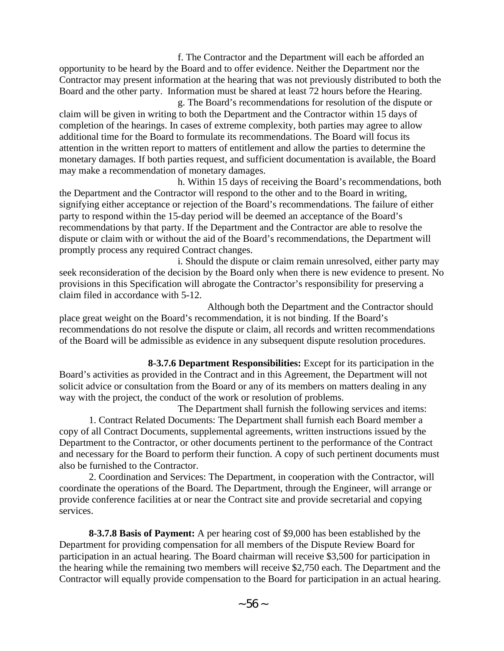f. The Contractor and the Department will each be afforded an opportunity to be heard by the Board and to offer evidence. Neither the Department nor the Contractor may present information at the hearing that was not previously distributed to both the Board and the other party. Information must be shared at least 72 hours before the Hearing.

g. The Board's recommendations for resolution of the dispute or claim will be given in writing to both the Department and the Contractor within 15 days of completion of the hearings. In cases of extreme complexity, both parties may agree to allow additional time for the Board to formulate its recommendations. The Board will focus its attention in the written report to matters of entitlement and allow the parties to determine the monetary damages. If both parties request, and sufficient documentation is available, the Board may make a recommendation of monetary damages.

h. Within 15 days of receiving the Board's recommendations, both the Department and the Contractor will respond to the other and to the Board in writing, signifying either acceptance or rejection of the Board's recommendations. The failure of either party to respond within the 15-day period will be deemed an acceptance of the Board's recommendations by that party. If the Department and the Contractor are able to resolve the dispute or claim with or without the aid of the Board's recommendations, the Department will promptly process any required Contract changes.

i. Should the dispute or claim remain unresolved, either party may seek reconsideration of the decision by the Board only when there is new evidence to present. No provisions in this Specification will abrogate the Contractor's responsibility for preserving a claim filed in accordance with 5-12.

Although both the Department and the Contractor should place great weight on the Board's recommendation, it is not binding. If the Board's recommendations do not resolve the dispute or claim, all records and written recommendations of the Board will be admissible as evidence in any subsequent dispute resolution procedures.

**8-3.7.6 Department Responsibilities:** Except for its participation in the Board's activities as provided in the Contract and in this Agreement, the Department will not solicit advice or consultation from the Board or any of its members on matters dealing in any way with the project, the conduct of the work or resolution of problems.

The Department shall furnish the following services and items: 1. Contract Related Documents: The Department shall furnish each Board member a copy of all Contract Documents, supplemental agreements, written instructions issued by the Department to the Contractor, or other documents pertinent to the performance of the Contract and necessary for the Board to perform their function. A copy of such pertinent documents must also be furnished to the Contractor.

2. Coordination and Services: The Department, in cooperation with the Contractor, will coordinate the operations of the Board. The Department, through the Engineer, will arrange or provide conference facilities at or near the Contract site and provide secretarial and copying services.

**8-3.7.8 Basis of Payment:** A per hearing cost of \$9,000 has been established by the Department for providing compensation for all members of the Dispute Review Board for participation in an actual hearing. The Board chairman will receive \$3,500 for participation in the hearing while the remaining two members will receive \$2,750 each. The Department and the Contractor will equally provide compensation to the Board for participation in an actual hearing.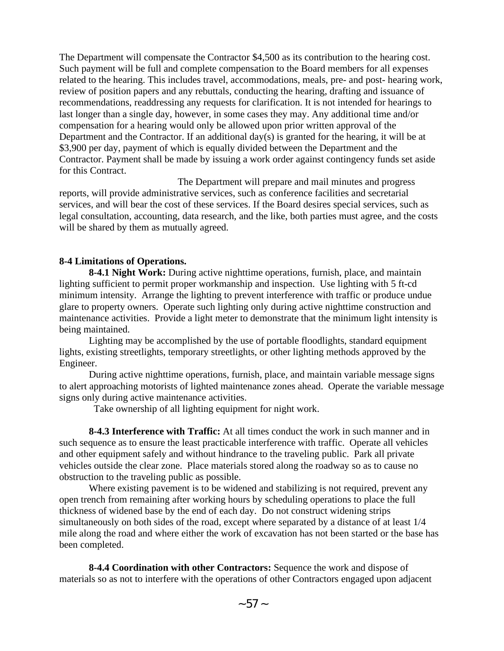The Department will compensate the Contractor \$4,500 as its contribution to the hearing cost. Such payment will be full and complete compensation to the Board members for all expenses related to the hearing. This includes travel, accommodations, meals, pre- and post- hearing work, review of position papers and any rebuttals, conducting the hearing, drafting and issuance of recommendations, readdressing any requests for clarification. It is not intended for hearings to last longer than a single day, however, in some cases they may. Any additional time and/or compensation for a hearing would only be allowed upon prior written approval of the Department and the Contractor. If an additional day(s) is granted for the hearing, it will be at \$3,900 per day, payment of which is equally divided between the Department and the Contractor. Payment shall be made by issuing a work order against contingency funds set aside for this Contract.

The Department will prepare and mail minutes and progress reports, will provide administrative services, such as conference facilities and secretarial services, and will bear the cost of these services. If the Board desires special services, such as legal consultation, accounting, data research, and the like, both parties must agree, and the costs will be shared by them as mutually agreed.

#### **8-4 Limitations of Operations.**

**8-4.1 Night Work:** During active nighttime operations, furnish, place, and maintain lighting sufficient to permit proper workmanship and inspection. Use lighting with 5 ft-cd minimum intensity. Arrange the lighting to prevent interference with traffic or produce undue glare to property owners. Operate such lighting only during active nighttime construction and maintenance activities. Provide a light meter to demonstrate that the minimum light intensity is being maintained.

Lighting may be accomplished by the use of portable floodlights, standard equipment lights, existing streetlights, temporary streetlights, or other lighting methods approved by the Engineer.

During active nighttime operations, furnish, place, and maintain variable message signs to alert approaching motorists of lighted maintenance zones ahead. Operate the variable message signs only during active maintenance activities.

Take ownership of all lighting equipment for night work.

**8-4.3 Interference with Traffic:** At all times conduct the work in such manner and in such sequence as to ensure the least practicable interference with traffic. Operate all vehicles and other equipment safely and without hindrance to the traveling public. Park all private vehicles outside the clear zone. Place materials stored along the roadway so as to cause no obstruction to the traveling public as possible.

Where existing pavement is to be widened and stabilizing is not required, prevent any open trench from remaining after working hours by scheduling operations to place the full thickness of widened base by the end of each day. Do not construct widening strips simultaneously on both sides of the road, except where separated by a distance of at least 1/4 mile along the road and where either the work of excavation has not been started or the base has been completed.

**8-4.4 Coordination with other Contractors:** Sequence the work and dispose of materials so as not to interfere with the operations of other Contractors engaged upon adjacent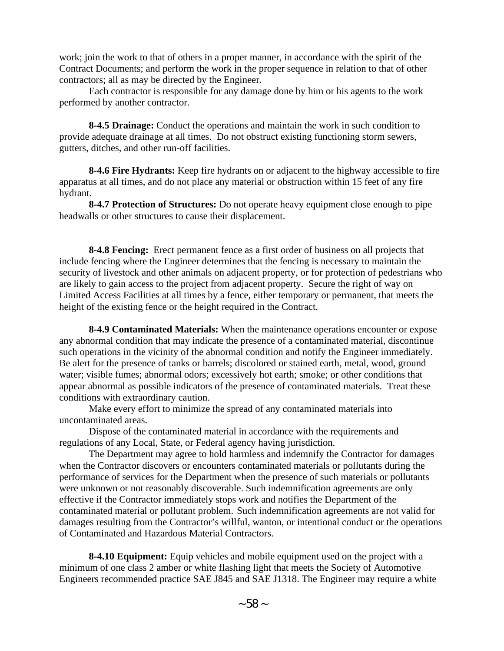work; join the work to that of others in a proper manner, in accordance with the spirit of the Contract Documents; and perform the work in the proper sequence in relation to that of other contractors; all as may be directed by the Engineer.

Each contractor is responsible for any damage done by him or his agents to the work performed by another contractor.

**8-4.5 Drainage:** Conduct the operations and maintain the work in such condition to provide adequate drainage at all times. Do not obstruct existing functioning storm sewers, gutters, ditches, and other run-off facilities.

**8-4.6 Fire Hydrants:** Keep fire hydrants on or adjacent to the highway accessible to fire apparatus at all times, and do not place any material or obstruction within 15 feet of any fire hydrant.

**8-4.7 Protection of Structures:** Do not operate heavy equipment close enough to pipe headwalls or other structures to cause their displacement.

**8-4.8 Fencing:** Erect permanent fence as a first order of business on all projects that include fencing where the Engineer determines that the fencing is necessary to maintain the security of livestock and other animals on adjacent property, or for protection of pedestrians who are likely to gain access to the project from adjacent property. Secure the right of way on Limited Access Facilities at all times by a fence, either temporary or permanent, that meets the height of the existing fence or the height required in the Contract.

**8-4.9 Contaminated Materials:** When the maintenance operations encounter or expose any abnormal condition that may indicate the presence of a contaminated material, discontinue such operations in the vicinity of the abnormal condition and notify the Engineer immediately. Be alert for the presence of tanks or barrels; discolored or stained earth, metal, wood, ground water; visible fumes; abnormal odors; excessively hot earth; smoke; or other conditions that appear abnormal as possible indicators of the presence of contaminated materials. Treat these conditions with extraordinary caution.

Make every effort to minimize the spread of any contaminated materials into uncontaminated areas.

Dispose of the contaminated material in accordance with the requirements and regulations of any Local, State, or Federal agency having jurisdiction.

The Department may agree to hold harmless and indemnify the Contractor for damages when the Contractor discovers or encounters contaminated materials or pollutants during the performance of services for the Department when the presence of such materials or pollutants were unknown or not reasonably discoverable. Such indemnification agreements are only effective if the Contractor immediately stops work and notifies the Department of the contaminated material or pollutant problem. Such indemnification agreements are not valid for damages resulting from the Contractor's willful, wanton, or intentional conduct or the operations of Contaminated and Hazardous Material Contractors.

**8-4.10 Equipment:** Equip vehicles and mobile equipment used on the project with a minimum of one class 2 amber or white flashing light that meets the Society of Automotive Engineers recommended practice SAE J845 and SAE J1318. The Engineer may require a white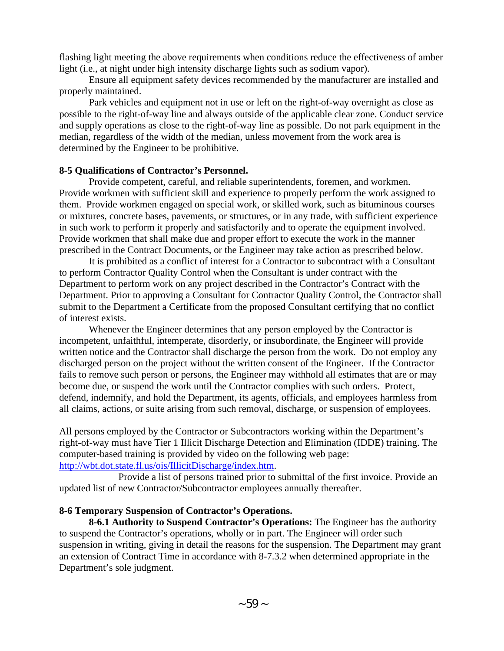flashing light meeting the above requirements when conditions reduce the effectiveness of amber light (i.e., at night under high intensity discharge lights such as sodium vapor).

Ensure all equipment safety devices recommended by the manufacturer are installed and properly maintained.

Park vehicles and equipment not in use or left on the right-of-way overnight as close as possible to the right-of-way line and always outside of the applicable clear zone. Conduct service and supply operations as close to the right-of-way line as possible. Do not park equipment in the median, regardless of the width of the median, unless movement from the work area is determined by the Engineer to be prohibitive.

## **8-5 Qualifications of Contractor's Personnel.**

Provide competent, careful, and reliable superintendents, foremen, and workmen. Provide workmen with sufficient skill and experience to properly perform the work assigned to them. Provide workmen engaged on special work, or skilled work, such as bituminous courses or mixtures, concrete bases, pavements, or structures, or in any trade, with sufficient experience in such work to perform it properly and satisfactorily and to operate the equipment involved. Provide workmen that shall make due and proper effort to execute the work in the manner prescribed in the Contract Documents, or the Engineer may take action as prescribed below.

It is prohibited as a conflict of interest for a Contractor to subcontract with a Consultant to perform Contractor Quality Control when the Consultant is under contract with the Department to perform work on any project described in the Contractor's Contract with the Department. Prior to approving a Consultant for Contractor Quality Control, the Contractor shall submit to the Department a Certificate from the proposed Consultant certifying that no conflict of interest exists.

Whenever the Engineer determines that any person employed by the Contractor is incompetent, unfaithful, intemperate, disorderly, or insubordinate, the Engineer will provide written notice and the Contractor shall discharge the person from the work. Do not employ any discharged person on the project without the written consent of the Engineer. If the Contractor fails to remove such person or persons, the Engineer may withhold all estimates that are or may become due, or suspend the work until the Contractor complies with such orders. Protect, defend, indemnify, and hold the Department, its agents, officials, and employees harmless from all claims, actions, or suite arising from such removal, discharge, or suspension of employees.

All persons employed by the Contractor or Subcontractors working within the Department's right-of-way must have Tier 1 Illicit Discharge Detection and Elimination (IDDE) training. The computer-based training is provided by video on the following web page: [http://wbt.dot.state.fl.us/ois/IllicitDischarge/index.htm.](http://wbt.dot.state.fl.us/ois/IllicitDischarge/index.htm)

Provide a list of persons trained prior to submittal of the first invoice. Provide an updated list of new Contractor/Subcontractor employees annually thereafter.

## **8-6 Temporary Suspension of Contractor's Operations.**

**8-6.1 Authority to Suspend Contractor's Operations:** The Engineer has the authority to suspend the Contractor's operations, wholly or in part. The Engineer will order such suspension in writing, giving in detail the reasons for the suspension. The Department may grant an extension of Contract Time in accordance with 8-7.3.2 when determined appropriate in the Department's sole judgment.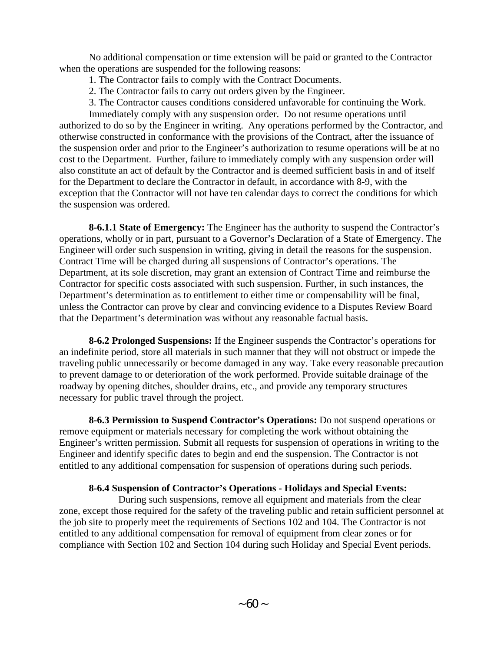No additional compensation or time extension will be paid or granted to the Contractor when the operations are suspended for the following reasons:

- 1. The Contractor fails to comply with the Contract Documents.
- 2. The Contractor fails to carry out orders given by the Engineer.
- 3. The Contractor causes conditions considered unfavorable for continuing the Work.

Immediately comply with any suspension order. Do not resume operations until authorized to do so by the Engineer in writing. Any operations performed by the Contractor, and otherwise constructed in conformance with the provisions of the Contract, after the issuance of the suspension order and prior to the Engineer's authorization to resume operations will be at no cost to the Department. Further, failure to immediately comply with any suspension order will also constitute an act of default by the Contractor and is deemed sufficient basis in and of itself for the Department to declare the Contractor in default, in accordance with 8-9, with the exception that the Contractor will not have ten calendar days to correct the conditions for which the suspension was ordered.

**8-6.1.1 State of Emergency:** The Engineer has the authority to suspend the Contractor's operations, wholly or in part, pursuant to a Governor's Declaration of a State of Emergency. The Engineer will order such suspension in writing, giving in detail the reasons for the suspension. Contract Time will be charged during all suspensions of Contractor's operations. The Department, at its sole discretion, may grant an extension of Contract Time and reimburse the Contractor for specific costs associated with such suspension. Further, in such instances, the Department's determination as to entitlement to either time or compensability will be final, unless the Contractor can prove by clear and convincing evidence to a Disputes Review Board that the Department's determination was without any reasonable factual basis.

**8-6.2 Prolonged Suspensions:** If the Engineer suspends the Contractor's operations for an indefinite period, store all materials in such manner that they will not obstruct or impede the traveling public unnecessarily or become damaged in any way. Take every reasonable precaution to prevent damage to or deterioration of the work performed. Provide suitable drainage of the roadway by opening ditches, shoulder drains, etc., and provide any temporary structures necessary for public travel through the project.

**8-6.3 Permission to Suspend Contractor's Operations:** Do not suspend operations or remove equipment or materials necessary for completing the work without obtaining the Engineer's written permission. Submit all requests for suspension of operations in writing to the Engineer and identify specific dates to begin and end the suspension. The Contractor is not entitled to any additional compensation for suspension of operations during such periods.

## **8-6.4 Suspension of Contractor's Operations - Holidays and Special Events:**

During such suspensions, remove all equipment and materials from the clear zone, except those required for the safety of the traveling public and retain sufficient personnel at the job site to properly meet the requirements of Sections 102 and 104. The Contractor is not entitled to any additional compensation for removal of equipment from clear zones or for compliance with Section 102 and Section 104 during such Holiday and Special Event periods.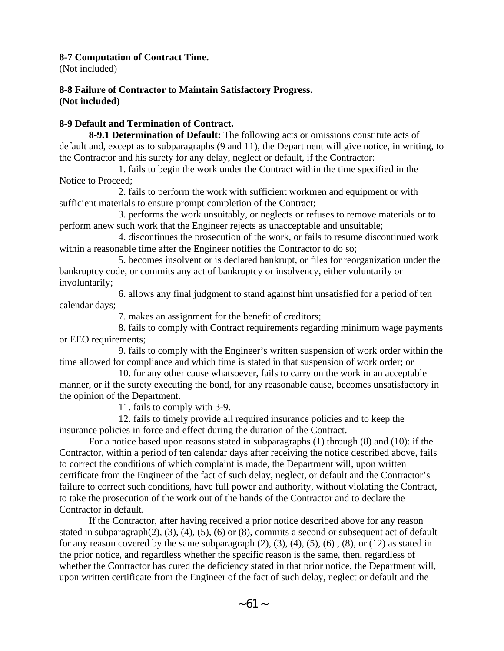## **8-7 Computation of Contract Time.**

(Not included)

### **8-8 Failure of Contractor to Maintain Satisfactory Progress. (Not included)**

# **8-9 Default and Termination of Contract.**

**8-9.1 Determination of Default:** The following acts or omissions constitute acts of default and, except as to subparagraphs (9 and 11), the Department will give notice, in writing, to the Contractor and his surety for any delay, neglect or default, if the Contractor:

1. fails to begin the work under the Contract within the time specified in the Notice to Proceed;

2. fails to perform the work with sufficient workmen and equipment or with sufficient materials to ensure prompt completion of the Contract;

3. performs the work unsuitably, or neglects or refuses to remove materials or to perform anew such work that the Engineer rejects as unacceptable and unsuitable;

4. discontinues the prosecution of the work, or fails to resume discontinued work within a reasonable time after the Engineer notifies the Contractor to do so;

5. becomes insolvent or is declared bankrupt, or files for reorganization under the bankruptcy code, or commits any act of bankruptcy or insolvency, either voluntarily or involuntarily;

6. allows any final judgment to stand against him unsatisfied for a period of ten calendar days;

7. makes an assignment for the benefit of creditors;

8. fails to comply with Contract requirements regarding minimum wage payments or EEO requirements;

9. fails to comply with the Engineer's written suspension of work order within the time allowed for compliance and which time is stated in that suspension of work order; or

10. for any other cause whatsoever, fails to carry on the work in an acceptable manner, or if the surety executing the bond, for any reasonable cause, becomes unsatisfactory in the opinion of the Department.

11. fails to comply with 3-9.

12. fails to timely provide all required insurance policies and to keep the insurance policies in force and effect during the duration of the Contract.

For a notice based upon reasons stated in subparagraphs (1) through (8) and (10): if the Contractor, within a period of ten calendar days after receiving the notice described above, fails to correct the conditions of which complaint is made, the Department will, upon written certificate from the Engineer of the fact of such delay, neglect, or default and the Contractor's failure to correct such conditions, have full power and authority, without violating the Contract, to take the prosecution of the work out of the hands of the Contractor and to declare the Contractor in default.

If the Contractor, after having received a prior notice described above for any reason stated in subparagraph(2), (3), (4), (5), (6) or (8), commits a second or subsequent act of default for any reason covered by the same subparagraph  $(2)$ ,  $(3)$ ,  $(4)$ ,  $(5)$ ,  $(6)$ ,  $(8)$ , or  $(12)$  as stated in the prior notice, and regardless whether the specific reason is the same, then, regardless of whether the Contractor has cured the deficiency stated in that prior notice, the Department will, upon written certificate from the Engineer of the fact of such delay, neglect or default and the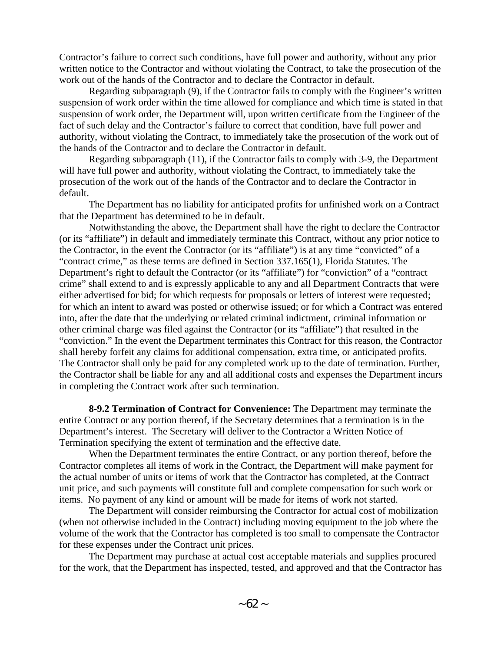Contractor's failure to correct such conditions, have full power and authority, without any prior written notice to the Contractor and without violating the Contract, to take the prosecution of the work out of the hands of the Contractor and to declare the Contractor in default.

Regarding subparagraph (9), if the Contractor fails to comply with the Engineer's written suspension of work order within the time allowed for compliance and which time is stated in that suspension of work order, the Department will, upon written certificate from the Engineer of the fact of such delay and the Contractor's failure to correct that condition, have full power and authority, without violating the Contract, to immediately take the prosecution of the work out of the hands of the Contractor and to declare the Contractor in default.

Regarding subparagraph (11), if the Contractor fails to comply with 3-9, the Department will have full power and authority, without violating the Contract, to immediately take the prosecution of the work out of the hands of the Contractor and to declare the Contractor in default.

The Department has no liability for anticipated profits for unfinished work on a Contract that the Department has determined to be in default.

Notwithstanding the above, the Department shall have the right to declare the Contractor (or its "affiliate") in default and immediately terminate this Contract, without any prior notice to the Contractor, in the event the Contractor (or its "affiliate") is at any time "convicted" of a "contract crime," as these terms are defined in Section 337.165(1), Florida Statutes. The Department's right to default the Contractor (or its "affiliate") for "conviction" of a "contract crime" shall extend to and is expressly applicable to any and all Department Contracts that were either advertised for bid; for which requests for proposals or letters of interest were requested; for which an intent to award was posted or otherwise issued; or for which a Contract was entered into, after the date that the underlying or related criminal indictment, criminal information or other criminal charge was filed against the Contractor (or its "affiliate") that resulted in the "conviction." In the event the Department terminates this Contract for this reason, the Contractor shall hereby forfeit any claims for additional compensation, extra time, or anticipated profits. The Contractor shall only be paid for any completed work up to the date of termination. Further, the Contractor shall be liable for any and all additional costs and expenses the Department incurs in completing the Contract work after such termination.

**8-9.2 Termination of Contract for Convenience:** The Department may terminate the entire Contract or any portion thereof, if the Secretary determines that a termination is in the Department's interest. The Secretary will deliver to the Contractor a Written Notice of Termination specifying the extent of termination and the effective date.

When the Department terminates the entire Contract, or any portion thereof, before the Contractor completes all items of work in the Contract, the Department will make payment for the actual number of units or items of work that the Contractor has completed, at the Contract unit price, and such payments will constitute full and complete compensation for such work or items. No payment of any kind or amount will be made for items of work not started.

The Department will consider reimbursing the Contractor for actual cost of mobilization (when not otherwise included in the Contract) including moving equipment to the job where the volume of the work that the Contractor has completed is too small to compensate the Contractor for these expenses under the Contract unit prices.

The Department may purchase at actual cost acceptable materials and supplies procured for the work, that the Department has inspected, tested, and approved and that the Contractor has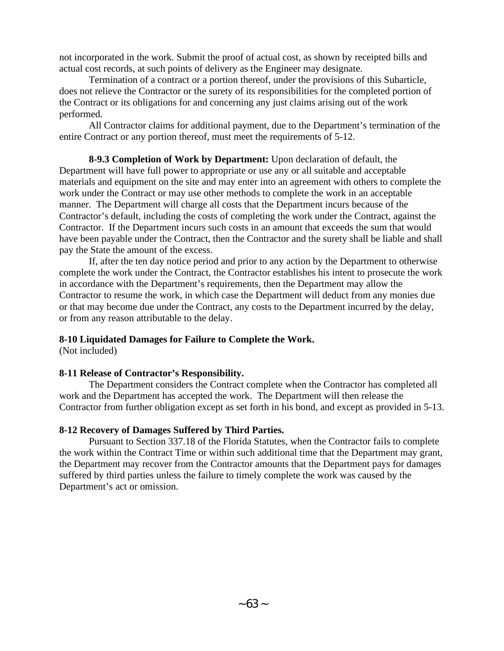not incorporated in the work. Submit the proof of actual cost, as shown by receipted bills and actual cost records, at such points of delivery as the Engineer may designate.

Termination of a contract or a portion thereof, under the provisions of this Subarticle, does not relieve the Contractor or the surety of its responsibilities for the completed portion of the Contract or its obligations for and concerning any just claims arising out of the work performed.

All Contractor claims for additional payment, due to the Department's termination of the entire Contract or any portion thereof, must meet the requirements of 5-12.

**8-9.3 Completion of Work by Department:** Upon declaration of default, the Department will have full power to appropriate or use any or all suitable and acceptable materials and equipment on the site and may enter into an agreement with others to complete the work under the Contract or may use other methods to complete the work in an acceptable manner. The Department will charge all costs that the Department incurs because of the Contractor's default, including the costs of completing the work under the Contract, against the Contractor. If the Department incurs such costs in an amount that exceeds the sum that would have been payable under the Contract, then the Contractor and the surety shall be liable and shall pay the State the amount of the excess.

If, after the ten day notice period and prior to any action by the Department to otherwise complete the work under the Contract, the Contractor establishes his intent to prosecute the work in accordance with the Department's requirements, then the Department may allow the Contractor to resume the work, in which case the Department will deduct from any monies due or that may become due under the Contract, any costs to the Department incurred by the delay, or from any reason attributable to the delay.

## **8-10 Liquidated Damages for Failure to Complete the Work.**

(Not included)

# **8-11 Release of Contractor's Responsibility.**

The Department considers the Contract complete when the Contractor has completed all work and the Department has accepted the work. The Department will then release the Contractor from further obligation except as set forth in his bond, and except as provided in 5-13.

# **8-12 Recovery of Damages Suffered by Third Parties.**

Pursuant to Section 337.18 of the Florida Statutes, when the Contractor fails to complete the work within the Contract Time or within such additional time that the Department may grant, the Department may recover from the Contractor amounts that the Department pays for damages suffered by third parties unless the failure to timely complete the work was caused by the Department's act or omission.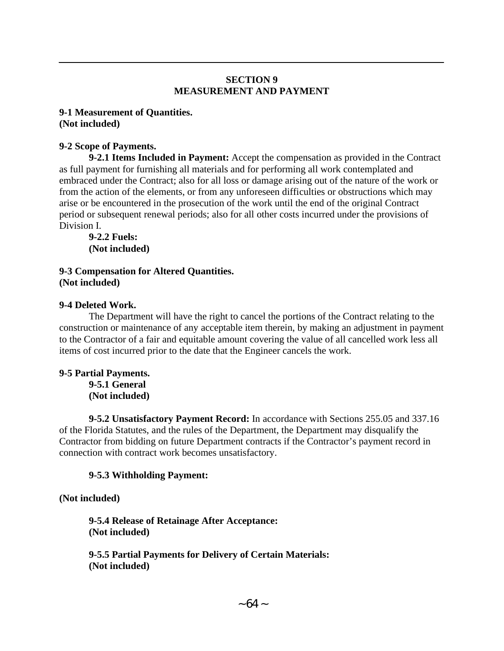# **SECTION 9 MEASUREMENT AND PAYMENT**

### **9-1 Measurement of Quantities. (Not included)**

# **9-2 Scope of Payments.**

**9-2.1 Items Included in Payment:** Accept the compensation as provided in the Contract as full payment for furnishing all materials and for performing all work contemplated and embraced under the Contract; also for all loss or damage arising out of the nature of the work or from the action of the elements, or from any unforeseen difficulties or obstructions which may arise or be encountered in the prosecution of the work until the end of the original Contract period or subsequent renewal periods; also for all other costs incurred under the provisions of Division I.

**9-2.2 Fuels: (Not included)** 

**9-3 Compensation for Altered Quantities. (Not included)** 

## **9-4 Deleted Work.**

The Department will have the right to cancel the portions of the Contract relating to the construction or maintenance of any acceptable item therein, by making an adjustment in payment to the Contractor of a fair and equitable amount covering the value of all cancelled work less all items of cost incurred prior to the date that the Engineer cancels the work.

#### **9-5 Partial Payments. 9-5.1 General (Not included)**

**9-5.2 Unsatisfactory Payment Record:** In accordance with Sections 255.05 and 337.16 of the Florida Statutes, and the rules of the Department, the Department may disqualify the Contractor from bidding on future Department contracts if the Contractor's payment record in connection with contract work becomes unsatisfactory.

## **9-5.3 Withholding Payment:**

**(Not included)** 

**9-5.4 Release of Retainage After Acceptance: (Not included)** 

**9-5.5 Partial Payments for Delivery of Certain Materials: (Not included)**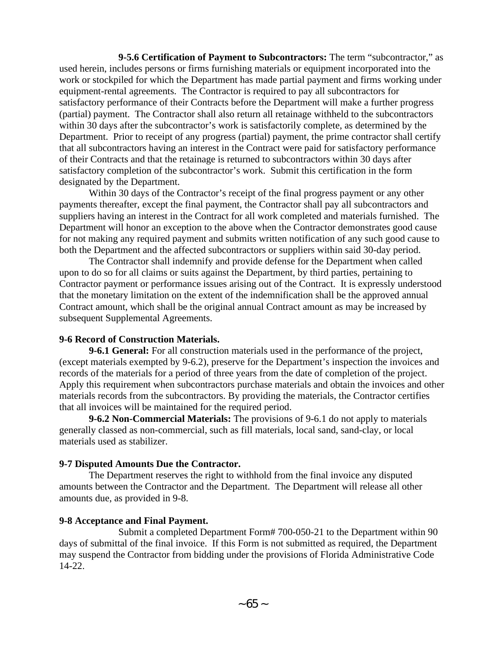**9-5.6 Certification of Payment to Subcontractors:** The term "subcontractor," as used herein, includes persons or firms furnishing materials or equipment incorporated into the work or stockpiled for which the Department has made partial payment and firms working under equipment-rental agreements. The Contractor is required to pay all subcontractors for satisfactory performance of their Contracts before the Department will make a further progress (partial) payment. The Contractor shall also return all retainage withheld to the subcontractors within 30 days after the subcontractor's work is satisfactorily complete, as determined by the Department. Prior to receipt of any progress (partial) payment, the prime contractor shall certify that all subcontractors having an interest in the Contract were paid for satisfactory performance of their Contracts and that the retainage is returned to subcontractors within 30 days after satisfactory completion of the subcontractor's work. Submit this certification in the form designated by the Department.

Within 30 days of the Contractor's receipt of the final progress payment or any other payments thereafter, except the final payment, the Contractor shall pay all subcontractors and suppliers having an interest in the Contract for all work completed and materials furnished. The Department will honor an exception to the above when the Contractor demonstrates good cause for not making any required payment and submits written notification of any such good cause to both the Department and the affected subcontractors or suppliers within said 30-day period.

The Contractor shall indemnify and provide defense for the Department when called upon to do so for all claims or suits against the Department, by third parties, pertaining to Contractor payment or performance issues arising out of the Contract. It is expressly understood that the monetary limitation on the extent of the indemnification shall be the approved annual Contract amount, which shall be the original annual Contract amount as may be increased by subsequent Supplemental Agreements.

#### **9-6 Record of Construction Materials.**

**9-6.1 General:** For all construction materials used in the performance of the project, (except materials exempted by 9-6.2), preserve for the Department's inspection the invoices and records of the materials for a period of three years from the date of completion of the project. Apply this requirement when subcontractors purchase materials and obtain the invoices and other materials records from the subcontractors. By providing the materials, the Contractor certifies that all invoices will be maintained for the required period.

**9-6.2 Non-Commercial Materials:** The provisions of 9-6.1 do not apply to materials generally classed as non-commercial, such as fill materials, local sand, sand-clay, or local materials used as stabilizer.

#### **9-7 Disputed Amounts Due the Contractor.**

The Department reserves the right to withhold from the final invoice any disputed amounts between the Contractor and the Department. The Department will release all other amounts due, as provided in 9-8.

#### **9-8 Acceptance and Final Payment.**

Submit a completed Department Form# 700-050-21 to the Department within 90 days of submittal of the final invoice. If this Form is not submitted as required, the Department may suspend the Contractor from bidding under the provisions of Florida Administrative Code 14-22.